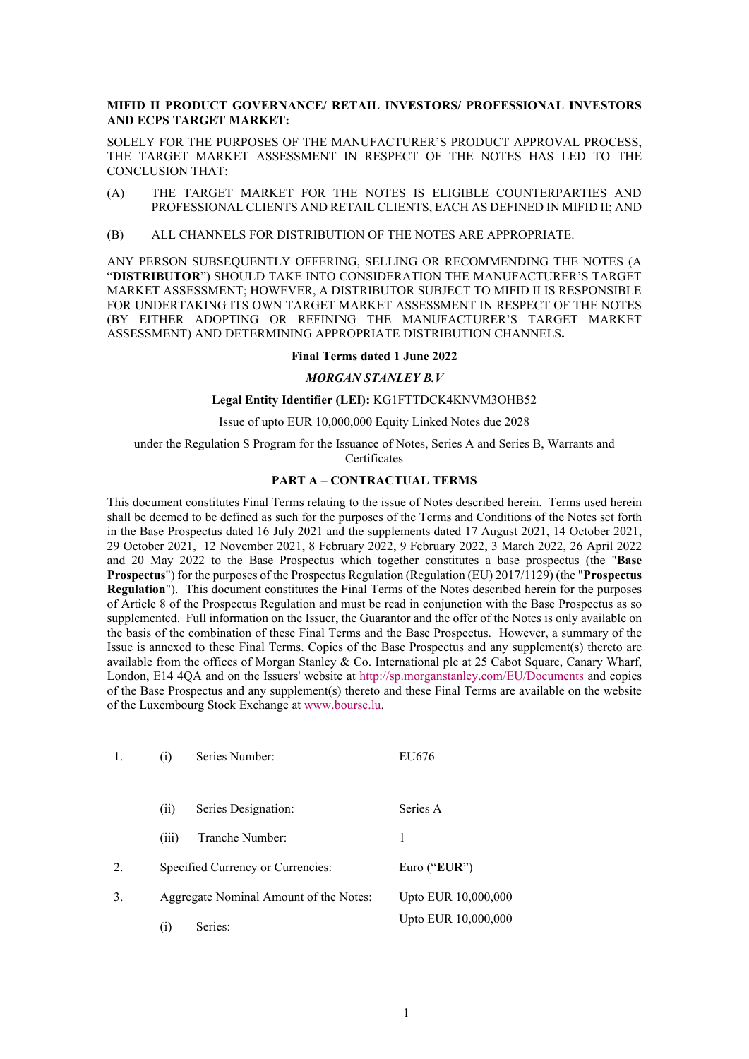#### **MIFID II PRODUCT GOVERNANCE/ RETAIL INVESTORS/ PROFESSIONAL INVESTORS AND ECPS TARGET MARKET:**

SOLELY FOR THE PURPOSES OF THE MANUFACTURER'S PRODUCT APPROVAL PROCESS, THE TARGET MARKET ASSESSMENT IN RESPECT OF THE NOTES HAS LED TO THE CONCLUSION THAT:

- (A) THE TARGET MARKET FOR THE NOTES IS ELIGIBLE COUNTERPARTIES AND PROFESSIONAL CLIENTS AND RETAIL CLIENTS, EACH AS DEFINED IN MIFID II; AND
- (B) ALL CHANNELS FOR DISTRIBUTION OF THE NOTES ARE APPROPRIATE.

ANY PERSON SUBSEQUENTLY OFFERING, SELLING OR RECOMMENDING THE NOTES (A "**DISTRIBUTOR**") SHOULD TAKE INTO CONSIDERATION THE MANUFACTURER'S TARGET MARKET ASSESSMENT; HOWEVER, A DISTRIBUTOR SUBJECT TO MIFID II IS RESPONSIBLE FOR UNDERTAKING ITS OWN TARGET MARKET ASSESSMENT IN RESPECT OF THE NOTES (BY EITHER ADOPTING OR REFINING THE MANUFACTURER'S TARGET MARKET ASSESSMENT) AND DETERMINING APPROPRIATE DISTRIBUTION CHANNELS**.**

#### **Final Terms dated 1 June 2022**

#### *MORGAN STANLEY B.V*

#### **Legal Entity Identifier (LEI):** KG1FTTDCK4KNVM3OHB52

Issue of upto EUR 10,000,000 Equity Linked Notes due 2028

under the Regulation S Program for the Issuance of Notes, Series A and Series B, Warrants and Certificates

#### **PART A – CONTRACTUAL TERMS**

This document constitutes Final Terms relating to the issue of Notes described herein. Terms used herein shall be deemed to be defined as such for the purposes of the Terms and Conditions of the Notes set forth in the Base Prospectus dated 16 July 2021 and the supplements dated 17 August 2021, 14 October 2021, 29 October 2021, 12 November 2021, 8 February 2022, 9 February 2022, 3 March 2022, 26 April 2022 and 20 May 2022 to the Base Prospectus which together constitutes a base prospectus (the "**Base Prospectus**") for the purposes of the Prospectus Regulation (Regulation (EU) 2017/1129) (the "**Prospectus Regulation**"). This document constitutes the Final Terms of the Notes described herein for the purposes of Article 8 of the Prospectus Regulation and must be read in conjunction with the Base Prospectus as so supplemented. Full information on the Issuer, the Guarantor and the offer of the Notes is only available on the basis of the combination of these Final Terms and the Base Prospectus. However, a summary of the Issue is annexed to these Final Terms. Copies of the Base Prospectus and any supplement(s) thereto are available from the offices of Morgan Stanley & Co. International plc at 25 Cabot Square, Canary Wharf, London, E14 4QA and on the Issuers' website at<http://sp.morganstanley.com/EU/Documents> and copies of the Base Prospectus and any supplement(s) thereto and these Final Terms are available on the website of the Luxembourg Stock Exchange a[t www.bourse.lu.](http://www.bourse.lu/)

|    | Series Number:<br>(i)                  | EU676               |
|----|----------------------------------------|---------------------|
|    | Series Designation:<br>(i)             | Series A            |
|    | Tranche Number:<br>(iii)               | 1                   |
| 2. | Specified Currency or Currencies:      | Euro (" $EUR$ ")    |
| 3. | Aggregate Nominal Amount of the Notes: | Upto EUR 10,000,000 |
|    | Series:<br>$\left( 1\right)$           | Upto EUR 10,000,000 |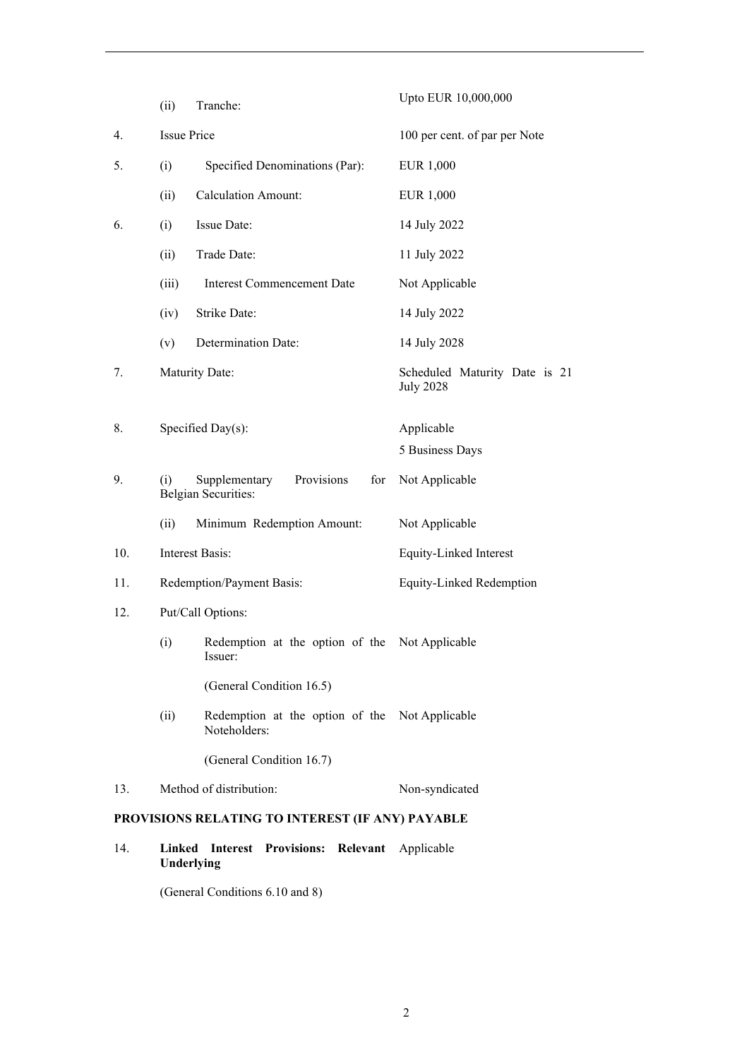|                                                  | (ii)               | Tranche:                                                         | Upto EUR 10,000,000                               |
|--------------------------------------------------|--------------------|------------------------------------------------------------------|---------------------------------------------------|
| 4.                                               | <b>Issue Price</b> |                                                                  | 100 per cent. of par per Note                     |
| 5.                                               | (i)                | Specified Denominations (Par):                                   | <b>EUR 1,000</b>                                  |
|                                                  | (ii)               | <b>Calculation Amount:</b>                                       | EUR 1,000                                         |
| 6.                                               | (i)                | Issue Date:                                                      | 14 July 2022                                      |
|                                                  | (ii)               | Trade Date:                                                      | 11 July 2022                                      |
|                                                  | (iii)              | <b>Interest Commencement Date</b>                                | Not Applicable                                    |
|                                                  | (iv)               | Strike Date:                                                     | 14 July 2022                                      |
|                                                  | (v)                | Determination Date:                                              | 14 July 2028                                      |
| 7.                                               |                    | Maturity Date:                                                   | Scheduled Maturity Date is 21<br><b>July 2028</b> |
| 8.                                               |                    | Specified Day(s):                                                | Applicable<br>5 Business Days                     |
| 9.                                               | (i)                | Provisions<br>Supplementary<br>for<br><b>Belgian Securities:</b> | Not Applicable                                    |
|                                                  | (ii)               | Minimum Redemption Amount:                                       | Not Applicable                                    |
| 10.                                              |                    | <b>Interest Basis:</b>                                           | Equity-Linked Interest                            |
| 11.                                              |                    | Redemption/Payment Basis:                                        | Equity-Linked Redemption                          |
| 12.                                              |                    | Put/Call Options:                                                |                                                   |
|                                                  | (i)                | Redemption at the option of the Not Applicable<br>Issuer:        |                                                   |
|                                                  |                    | (General Condition 16.5)                                         |                                                   |
|                                                  | (ii)               | Redemption at the option of the Not Applicable<br>Noteholders:   |                                                   |
|                                                  |                    | (General Condition 16.7)                                         |                                                   |
| 13.                                              |                    | Method of distribution:                                          | Non-syndicated                                    |
| PROVISIONS RELATING TO INTEREST (IF ANY) PAYABLE |                    |                                                                  |                                                   |

14. **Linked Interest Provisions: Relevant**  Applicable **Underlying**

(General Conditions 6.10 and 8)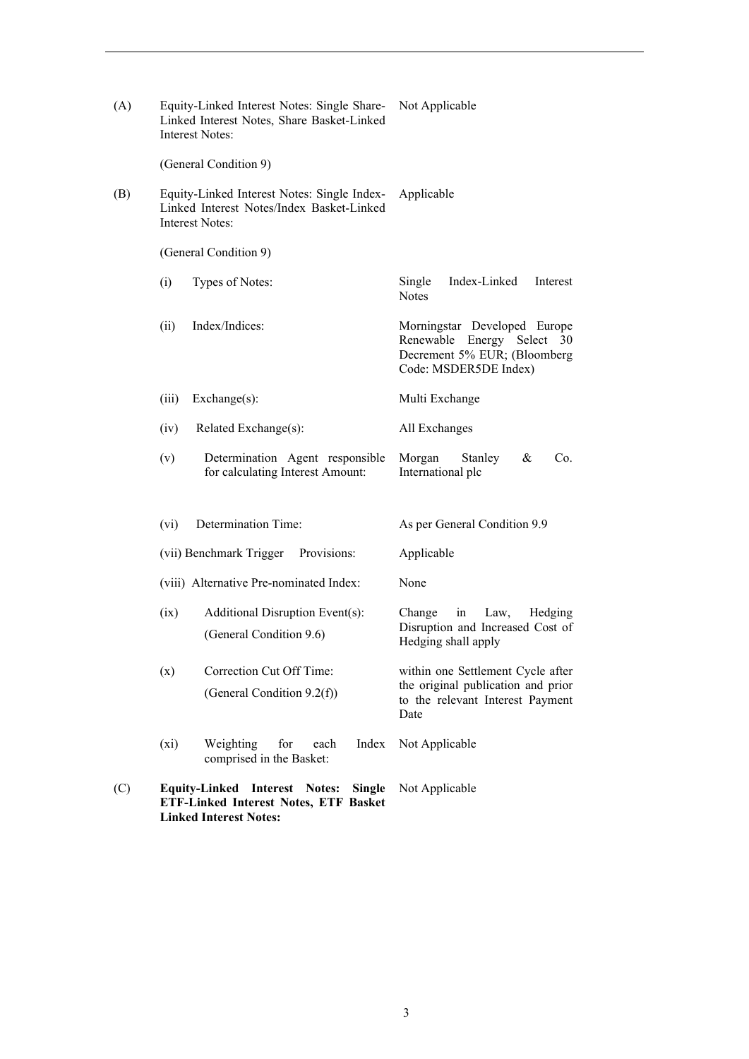| (A) |         | Equity-Linked Interest Notes: Single Share-<br>Linked Interest Notes, Share Basket-Linked<br><b>Interest Notes:</b>             | Not Applicable                                                                                                      |
|-----|---------|---------------------------------------------------------------------------------------------------------------------------------|---------------------------------------------------------------------------------------------------------------------|
|     |         | (General Condition 9)                                                                                                           |                                                                                                                     |
| (B) |         | Equity-Linked Interest Notes: Single Index-<br>Linked Interest Notes/Index Basket-Linked<br><b>Interest Notes:</b>              | Applicable                                                                                                          |
|     |         | (General Condition 9)                                                                                                           |                                                                                                                     |
|     | (i)     | Types of Notes:                                                                                                                 | Index-Linked<br>Interest<br>Single<br><b>Notes</b>                                                                  |
|     | (ii)    | Index/Indices:                                                                                                                  | Morningstar Developed Europe<br>Renewable Energy Select 30<br>Decrement 5% EUR; (Bloomberg<br>Code: MSDER5DE Index) |
|     | (iii)   | Exchange(s):                                                                                                                    | Multi Exchange                                                                                                      |
|     | (iv)    | Related Exchange(s):                                                                                                            | All Exchanges                                                                                                       |
|     | (v)     | Determination Agent responsible<br>for calculating Interest Amount:                                                             | Morgan<br>Stanley<br>&<br>Co.<br>International plc                                                                  |
|     | (vi)    | Determination Time:                                                                                                             | As per General Condition 9.9                                                                                        |
|     |         | Provisions:<br>(vii) Benchmark Trigger                                                                                          | Applicable                                                                                                          |
|     |         | (viii) Alternative Pre-nominated Index:                                                                                         | None                                                                                                                |
|     | (ix)    | Additional Disruption Event(s):<br>(General Condition 9.6)                                                                      | Hedging<br>Change<br>in<br>Law,<br>Disruption and Increased Cost of<br>Hedging shall apply                          |
|     | (x)     | Correction Cut Off Time:<br>(General Condition 9.2(f))                                                                          | within one Settlement Cycle after<br>the original publication and prior<br>to the relevant Interest Payment<br>Date |
|     | $(x_i)$ | Weighting<br>for<br>Index<br>each<br>comprised in the Basket:                                                                   | Not Applicable                                                                                                      |
| (C) |         | <b>Equity-Linked Interest Notes:</b><br><b>Single</b><br>ETF-Linked Interest Notes, ETF Basket<br><b>Linked Interest Notes:</b> | Not Applicable                                                                                                      |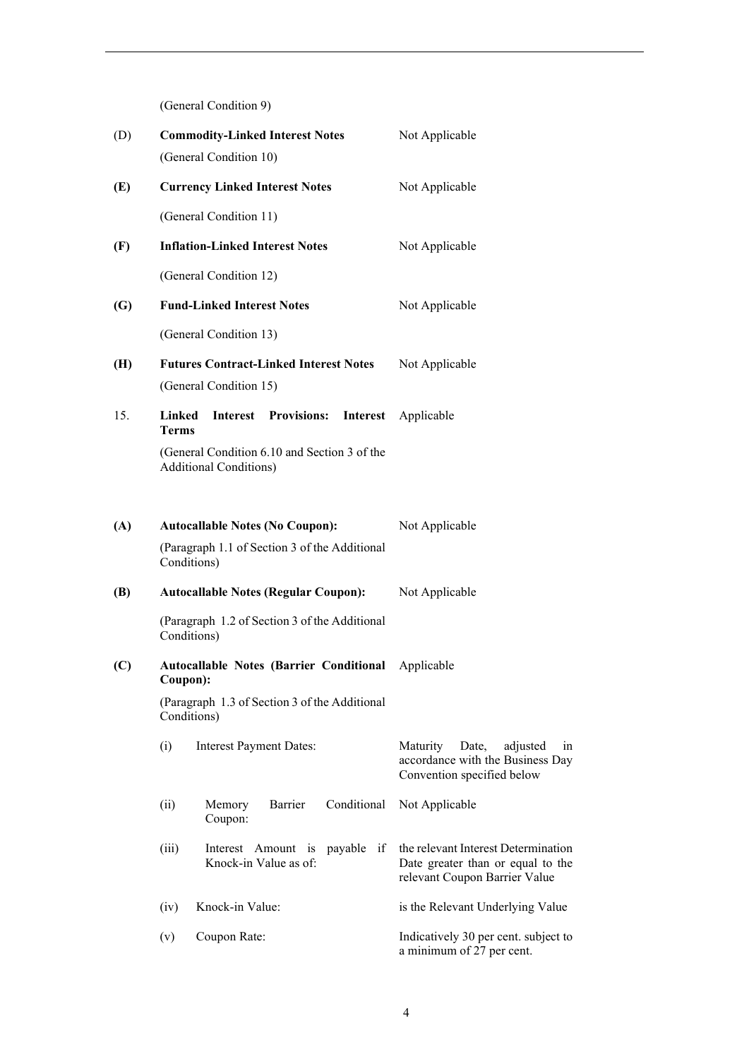(General Condition 9)

| (D) | <b>Commodity-Linked Interest Notes</b><br>(General Condition 10)                                       | Not Applicable                                                                                                  |
|-----|--------------------------------------------------------------------------------------------------------|-----------------------------------------------------------------------------------------------------------------|
| (E) | <b>Currency Linked Interest Notes</b>                                                                  | Not Applicable                                                                                                  |
|     | (General Condition 11)                                                                                 |                                                                                                                 |
| (F) | <b>Inflation-Linked Interest Notes</b>                                                                 | Not Applicable                                                                                                  |
|     | (General Condition 12)                                                                                 |                                                                                                                 |
| (G) | <b>Fund-Linked Interest Notes</b>                                                                      | Not Applicable                                                                                                  |
|     | (General Condition 13)                                                                                 |                                                                                                                 |
| (H) | <b>Futures Contract-Linked Interest Notes</b><br>(General Condition 15)                                | Not Applicable                                                                                                  |
| 15. | <b>Linked</b><br><b>Interest</b><br><b>Provisions:</b><br>Interest<br><b>Terms</b>                     | Applicable                                                                                                      |
|     | (General Condition 6.10 and Section 3 of the<br><b>Additional Conditions)</b>                          |                                                                                                                 |
| (A) | <b>Autocallable Notes (No Coupon):</b><br>(Paragraph 1.1 of Section 3 of the Additional<br>Conditions) | Not Applicable                                                                                                  |
| (B) | <b>Autocallable Notes (Regular Coupon):</b>                                                            | Not Applicable                                                                                                  |
|     | (Paragraph 1.2 of Section 3 of the Additional<br>Conditions)                                           |                                                                                                                 |
| (C) | <b>Autocallable Notes (Barrier Conditional</b><br>Coupon):                                             | Applicable                                                                                                      |
|     | (Paragraph 1.3 of Section 3 of the Additional<br>Conditions)                                           |                                                                                                                 |
|     | (i)<br><b>Interest Payment Dates:</b>                                                                  | Maturity<br>Date,<br>adjusted<br>1n<br>accordance with the Business Day<br>Convention specified below           |
|     | Barrier<br>Conditional<br>(ii)<br>Memory<br>Coupon:                                                    | Not Applicable                                                                                                  |
|     | (iii)<br>Interest Amount is payable<br>Knock-in Value as of:                                           | the relevant Interest Determination<br>if<br>Date greater than or equal to the<br>relevant Coupon Barrier Value |
|     | Knock-in Value:<br>(iv)                                                                                | is the Relevant Underlying Value                                                                                |
|     | Coupon Rate:<br>(v)                                                                                    | Indicatively 30 per cent. subject to<br>a minimum of 27 per cent.                                               |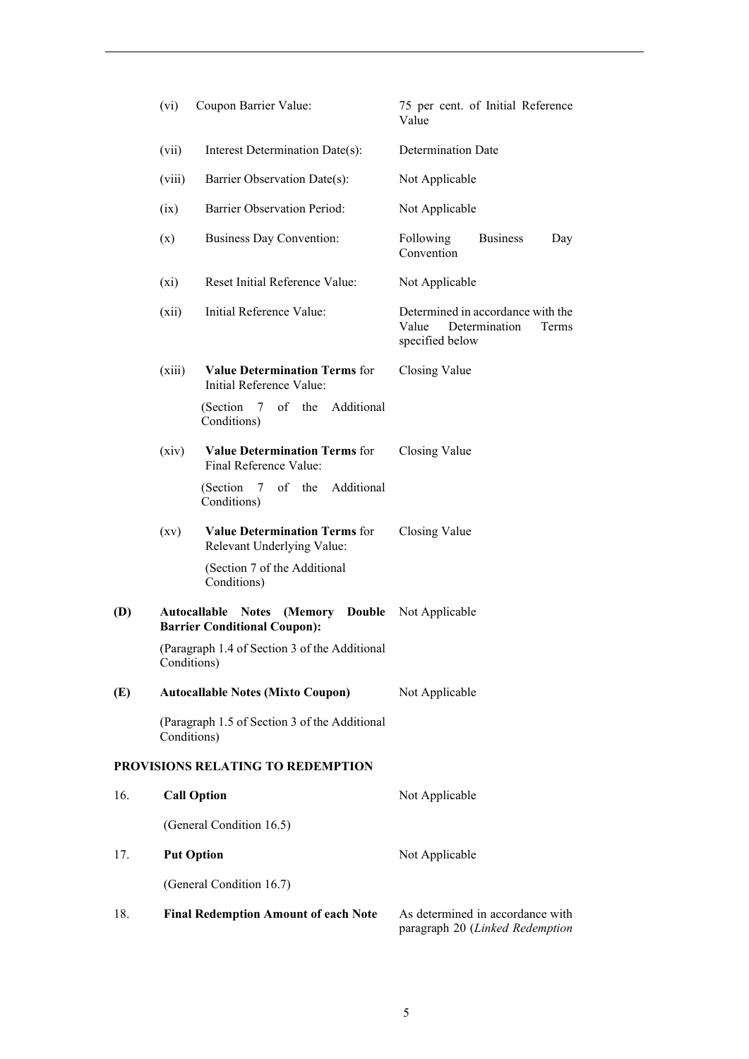|     | (vi)        | Coupon Barrier Value:                                                           | 75 per cent. of Initial Reference<br>Value                                              |
|-----|-------------|---------------------------------------------------------------------------------|-----------------------------------------------------------------------------------------|
|     | (vii)       | Interest Determination Date(s):                                                 | Determination Date                                                                      |
|     | (viii)      | Barrier Observation Date(s):                                                    | Not Applicable                                                                          |
|     | (ix)        | Barrier Observation Period:                                                     | Not Applicable                                                                          |
|     | (x)         | <b>Business Day Convention:</b>                                                 | <b>Business</b><br>Following<br>Day<br>Convention                                       |
|     | $(x_i)$     | Reset Initial Reference Value:                                                  | Not Applicable                                                                          |
|     | (xii)       | Initial Reference Value:                                                        | Determined in accordance with the<br>Value<br>Determination<br>Terms<br>specified below |
|     | (xiii)      | <b>Value Determination Terms for</b><br>Initial Reference Value:                | Closing Value                                                                           |
|     |             | of the Additional<br>(Section 7<br>Conditions)                                  |                                                                                         |
|     | (xiv)       | <b>Value Determination Terms for</b><br>Final Reference Value:                  | Closing Value                                                                           |
|     |             | of the Additional<br>(Section 7<br>Conditions)                                  |                                                                                         |
|     | (xv)        | <b>Value Determination Terms for</b><br>Relevant Underlying Value:              | Closing Value                                                                           |
|     |             | (Section 7 of the Additional<br>Conditions)                                     |                                                                                         |
| (D) |             | <b>Autocallable Notes (Memory Double</b><br><b>Barrier Conditional Coupon):</b> | Not Applicable                                                                          |
|     | Conditions) | (Paragraph 1.4 of Section 3 of the Additional                                   |                                                                                         |
| (E) |             | <b>Autocallable Notes (Mixto Coupon)</b>                                        | Not Applicable                                                                          |
|     | Conditions) | (Paragraph 1.5 of Section 3 of the Additional                                   |                                                                                         |
|     |             | PROVISIONS RELATING TO REDEMPTION                                               |                                                                                         |
| 16. |             | <b>Call Option</b>                                                              | Not Applicable                                                                          |
|     |             | (General Condition 16.5)                                                        |                                                                                         |
| 17. |             | <b>Put Option</b>                                                               | Not Applicable                                                                          |
|     |             | (General Condition 16.7)                                                        |                                                                                         |
| 18. |             | <b>Final Redemption Amount of each Note</b>                                     | As determined in accordance with<br>paragraph 20 (Linked Redemption                     |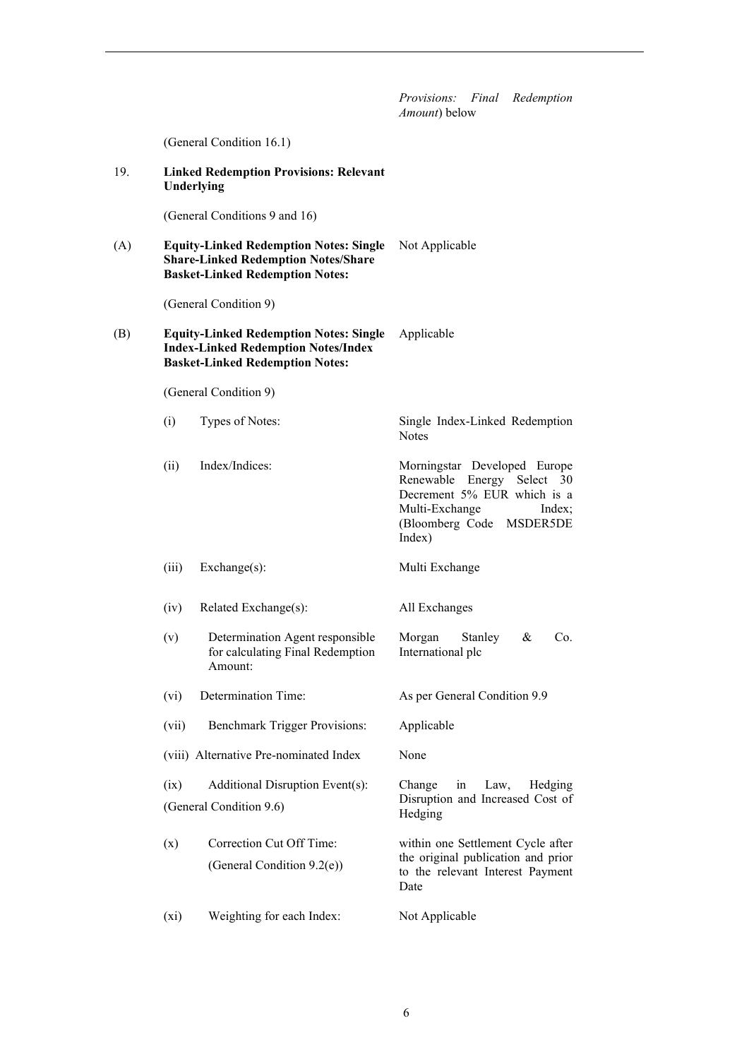*Provisions: Final Redemption Amount*) below (General Condition 16.1) 19. **Linked Redemption Provisions: Relevant Underlying** (General Conditions 9 and 16) (A) **Equity-Linked Redemption Notes: Single**  Not Applicable **Share-Linked Redemption Notes/Share Basket-Linked Redemption Notes:** (General Condition 9) (B) **Equity-Linked Redemption Notes: Single Index-Linked Redemption Notes/Index Basket-Linked Redemption Notes:** Applicable (General Condition 9) (i) Types of Notes: Single Index-Linked Redemption Notes (ii) Index/Indices: Morningstar Developed Europe Renewable Energy Select 30 Decrement 5% EUR which is a Multi-Exchange Index; (Bloomberg Code MSDER5DE Index) (iii) Exchange(s): Multi Exchange (iv) Related Exchange(s): All Exchanges (v) Determination Agent responsible for calculating Final Redemption Amount: Morgan Stanley & Co. International plc (vi) Determination Time: As per General Condition 9.9 (vii) Benchmark Trigger Provisions: Applicable (viii) Alternative Pre-nominated Index None (ix) Additional Disruption Event(s): (General Condition 9.6) Change in Law, Hedging Disruption and Increased Cost of Hedging (x) Correction Cut Off Time: (General Condition 9.2(e)) within one Settlement Cycle after the original publication and prior to the relevant Interest Payment Date (xi) Weighting for each Index: Not Applicable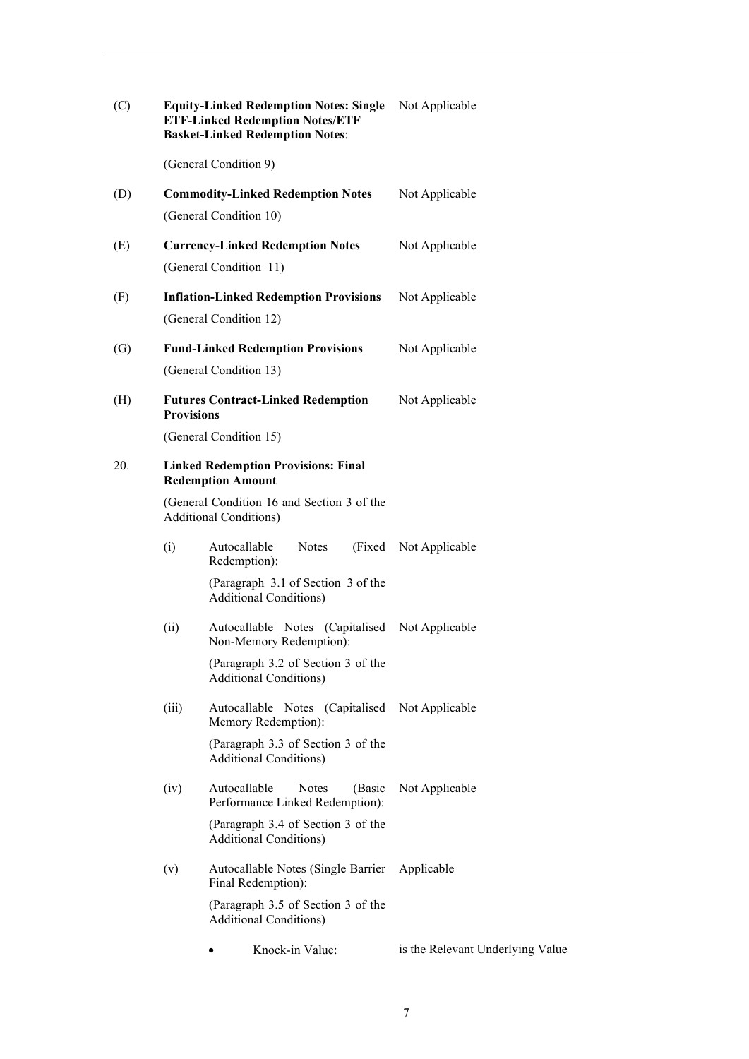| (C) |                   | <b>Equity-Linked Redemption Notes: Single</b><br><b>ETF-Linked Redemption Notes/ETF</b><br><b>Basket-Linked Redemption Notes:</b> | Not Applicable                   |
|-----|-------------------|-----------------------------------------------------------------------------------------------------------------------------------|----------------------------------|
|     |                   | (General Condition 9)                                                                                                             |                                  |
| (D) |                   | <b>Commodity-Linked Redemption Notes</b>                                                                                          | Not Applicable                   |
|     |                   | (General Condition 10)                                                                                                            |                                  |
| (E) |                   | <b>Currency-Linked Redemption Notes</b>                                                                                           | Not Applicable                   |
|     |                   | (General Condition 11)                                                                                                            |                                  |
| (F) |                   | <b>Inflation-Linked Redemption Provisions</b>                                                                                     | Not Applicable                   |
|     |                   | (General Condition 12)                                                                                                            |                                  |
| (G) |                   | <b>Fund-Linked Redemption Provisions</b>                                                                                          | Not Applicable                   |
|     |                   | (General Condition 13)                                                                                                            |                                  |
| (H) | <b>Provisions</b> | <b>Futures Contract-Linked Redemption</b>                                                                                         | Not Applicable                   |
|     |                   | (General Condition 15)                                                                                                            |                                  |
| 20. |                   | <b>Linked Redemption Provisions: Final</b><br><b>Redemption Amount</b>                                                            |                                  |
|     |                   | (General Condition 16 and Section 3 of the<br><b>Additional Conditions)</b>                                                       |                                  |
|     | (i)               | Autocallable<br><b>Notes</b><br>(Fixed)<br>Redemption):                                                                           | Not Applicable                   |
|     |                   | (Paragraph 3.1 of Section 3 of the<br><b>Additional Conditions)</b>                                                               |                                  |
|     | (ii)              | Autocallable Notes (Capitalised<br>Non-Memory Redemption):                                                                        | Not Applicable                   |
|     |                   | (Paragraph 3.2 of Section 3 of the<br><b>Additional Conditions)</b>                                                               |                                  |
|     | (iii)             | Autocallable Notes (Capitalised<br>Memory Redemption):                                                                            | Not Applicable                   |
|     |                   | (Paragraph 3.3 of Section 3 of the<br><b>Additional Conditions)</b>                                                               |                                  |
|     | (iv)              | Autocallable<br><b>Notes</b><br>(Basic<br>Performance Linked Redemption):                                                         | Not Applicable                   |
|     |                   | (Paragraph 3.4 of Section 3 of the<br><b>Additional Conditions)</b>                                                               |                                  |
|     | (v)               | Autocallable Notes (Single Barrier<br>Final Redemption):                                                                          | Applicable                       |
|     |                   | (Paragraph 3.5 of Section 3 of the<br><b>Additional Conditions)</b>                                                               |                                  |
|     |                   | Knock-in Value:                                                                                                                   | is the Relevant Underlying Value |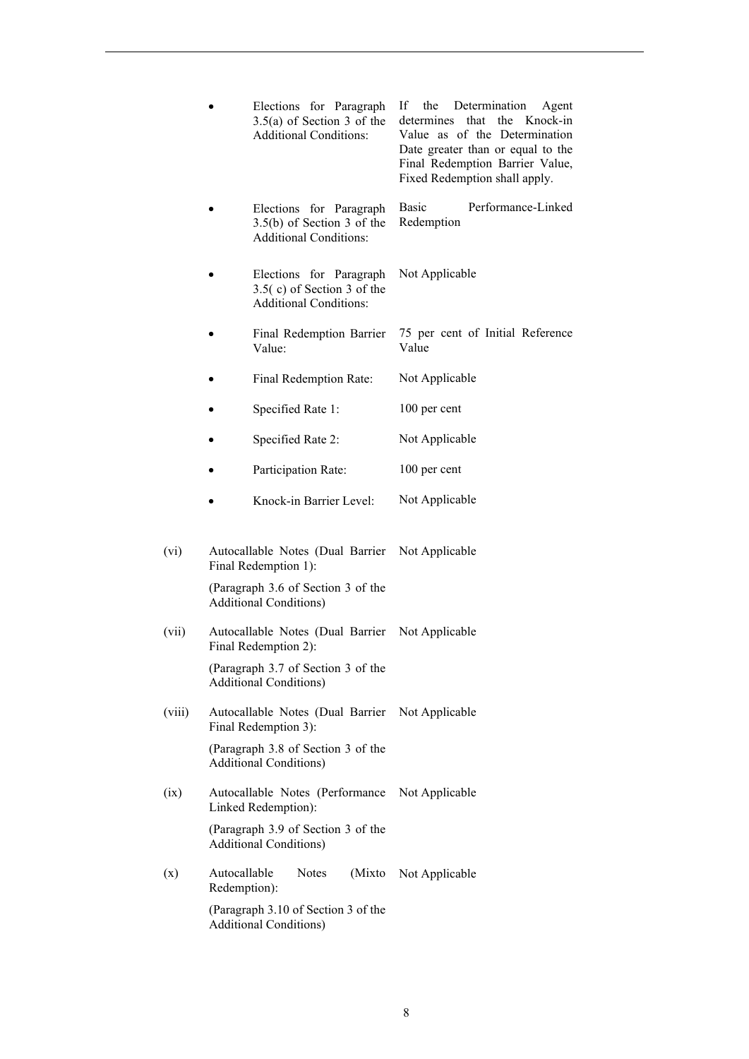|        |                              | Elections for Paragraph<br>$3.5(a)$ of Section 3 of the<br><b>Additional Conditions:</b> | If<br>the Determination<br>Agent<br>that<br>the<br>Knock-in<br>determines<br>Value as of the Determination<br>Date greater than or equal to the<br>Final Redemption Barrier Value,<br>Fixed Redemption shall apply. |
|--------|------------------------------|------------------------------------------------------------------------------------------|---------------------------------------------------------------------------------------------------------------------------------------------------------------------------------------------------------------------|
|        |                              | Elections for Paragraph<br>$3.5(b)$ of Section 3 of the<br><b>Additional Conditions:</b> | Basic<br>Performance-Linked<br>Redemption                                                                                                                                                                           |
|        |                              | Elections for Paragraph<br>$3.5(c)$ of Section 3 of the<br><b>Additional Conditions:</b> | Not Applicable                                                                                                                                                                                                      |
|        |                              | Final Redemption Barrier<br>Value:                                                       | 75 per cent of Initial Reference<br>Value                                                                                                                                                                           |
|        |                              | Final Redemption Rate:                                                                   | Not Applicable                                                                                                                                                                                                      |
|        |                              | Specified Rate 1:                                                                        | 100 per cent                                                                                                                                                                                                        |
|        |                              | Specified Rate 2:                                                                        | Not Applicable                                                                                                                                                                                                      |
|        |                              | Participation Rate:                                                                      | 100 per cent                                                                                                                                                                                                        |
|        |                              | Knock-in Barrier Level:                                                                  | Not Applicable                                                                                                                                                                                                      |
| (vi)   |                              | Autocallable Notes (Dual Barrier<br>Final Redemption 1):                                 | Not Applicable                                                                                                                                                                                                      |
|        |                              | (Paragraph 3.6 of Section 3 of the<br><b>Additional Conditions)</b>                      |                                                                                                                                                                                                                     |
| (vii)  |                              | Autocallable Notes (Dual Barrier<br>Final Redemption 2):                                 | Not Applicable                                                                                                                                                                                                      |
|        |                              | (Paragraph 3.7 of Section 3 of the<br><b>Additional Conditions)</b>                      |                                                                                                                                                                                                                     |
| (viii) |                              | Autocallable Notes (Dual Barrier<br>Final Redemption 3):                                 | Not Applicable                                                                                                                                                                                                      |
|        |                              | (Paragraph 3.8 of Section 3 of the<br><b>Additional Conditions)</b>                      |                                                                                                                                                                                                                     |
| (ix)   |                              | Autocallable Notes (Performance<br>Linked Redemption):                                   | Not Applicable                                                                                                                                                                                                      |
|        |                              | (Paragraph 3.9 of Section 3 of the<br><b>Additional Conditions)</b>                      |                                                                                                                                                                                                                     |
| (x)    | Autocallable<br>Redemption): | (Mixto)<br><b>Notes</b>                                                                  | Not Applicable                                                                                                                                                                                                      |
|        |                              | (Paragraph 3.10 of Section 3 of the<br><b>Additional Conditions)</b>                     |                                                                                                                                                                                                                     |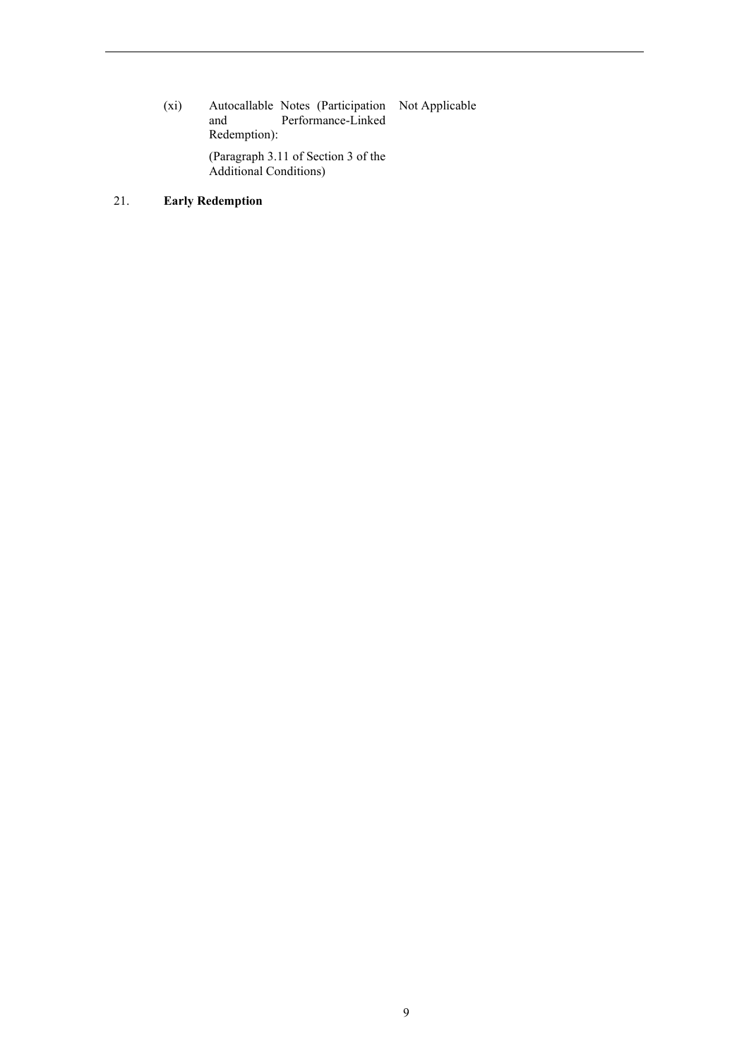(xi) Autocallable Notes (Participation Not Applicable and Performance-Linked Redemption): (Paragraph 3.11 of Section 3 of the

Additional Conditions)

# 21. **Early Redemption**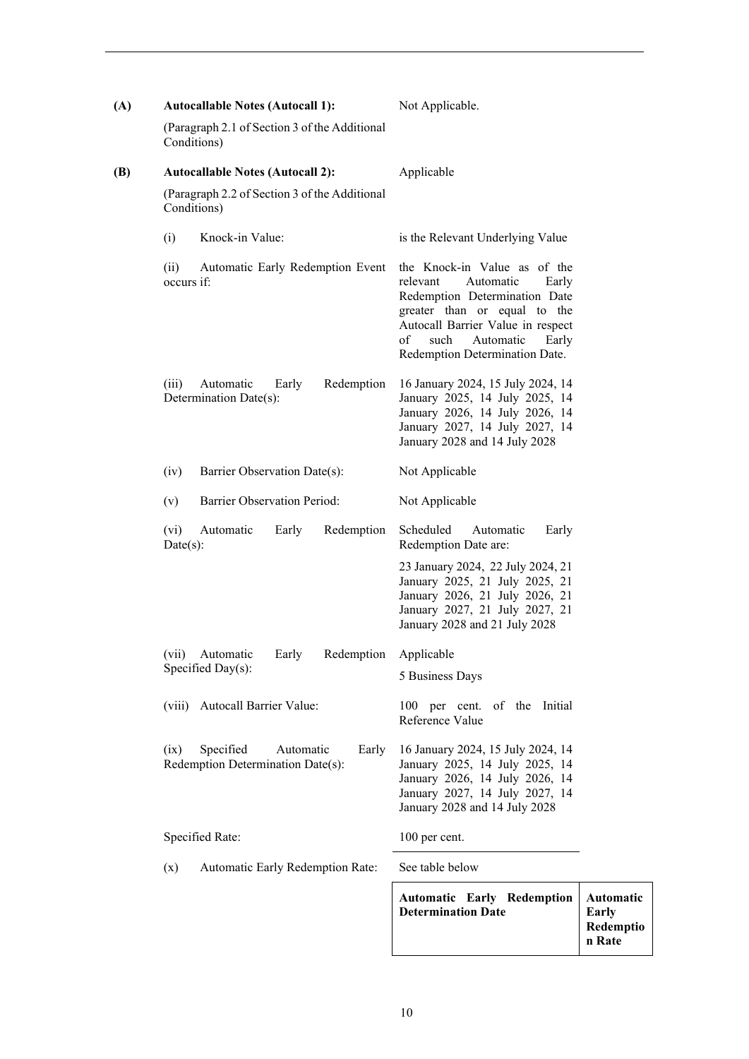| (A) | <b>Autocallable Notes (Autocall 1):</b>                                      | Not Applicable.                                                                                                                                                                                                                            |                                               |
|-----|------------------------------------------------------------------------------|--------------------------------------------------------------------------------------------------------------------------------------------------------------------------------------------------------------------------------------------|-----------------------------------------------|
|     | (Paragraph 2.1 of Section 3 of the Additional<br>Conditions)                 |                                                                                                                                                                                                                                            |                                               |
| (B) | <b>Autocallable Notes (Autocall 2):</b>                                      | Applicable                                                                                                                                                                                                                                 |                                               |
|     | (Paragraph 2.2 of Section 3 of the Additional<br>Conditions)                 |                                                                                                                                                                                                                                            |                                               |
|     | Knock-in Value:<br>(i)                                                       | is the Relevant Underlying Value                                                                                                                                                                                                           |                                               |
|     | Automatic Early Redemption Event<br>(ii)<br>occurs if:                       | the Knock-in Value as of the<br>relevant<br>Automatic<br>Early<br>Redemption Determination Date<br>greater than or equal to the<br>Autocall Barrier Value in respect<br>of<br>such<br>Automatic<br>Early<br>Redemption Determination Date. |                                               |
|     | Redemption<br>(iii)<br>Automatic<br>Early<br>Determination Date(s):          | 16 January 2024, 15 July 2024, 14<br>January 2025, 14 July 2025, 14<br>January 2026, 14 July 2026, 14<br>January 2027, 14 July 2027, 14<br>January 2028 and 14 July 2028                                                                   |                                               |
|     | Barrier Observation Date(s):<br>(iv)                                         | Not Applicable                                                                                                                                                                                                                             |                                               |
|     | <b>Barrier Observation Period:</b><br>(v)                                    | Not Applicable                                                                                                                                                                                                                             |                                               |
|     | Redemption<br>(vi)<br>Automatic<br>Early<br>Date(s):                         | Scheduled<br>Automatic<br>Early<br>Redemption Date are:                                                                                                                                                                                    |                                               |
|     |                                                                              | 23 January 2024, 22 July 2024, 21<br>January 2025, 21 July 2025, 21<br>January 2026, 21 July 2026, 21<br>January 2027, 21 July 2027, 21<br>January 2028 and 21 July 2028                                                                   |                                               |
|     | (vii)<br>Automatic<br>Redemption<br>Early                                    | Applicable                                                                                                                                                                                                                                 |                                               |
|     | Specified Day(s):                                                            | 5 Business Days                                                                                                                                                                                                                            |                                               |
|     | (viii) Autocall Barrier Value:                                               | 100 per cent. of the Initial<br>Reference Value                                                                                                                                                                                            |                                               |
|     | Specified<br>Automatic<br>Early<br>(ix)<br>Redemption Determination Date(s): | 16 January 2024, 15 July 2024, 14<br>January 2025, 14 July 2025, 14<br>January 2026, 14 July 2026, 14<br>January 2027, 14 July 2027, 14<br>January 2028 and 14 July 2028                                                                   |                                               |
|     | Specified Rate:                                                              | 100 per cent.                                                                                                                                                                                                                              |                                               |
|     | (x)<br>Automatic Early Redemption Rate:                                      | See table below                                                                                                                                                                                                                            |                                               |
|     |                                                                              | <b>Automatic Early Redemption</b><br><b>Determination Date</b>                                                                                                                                                                             | <b>Automatic</b><br><b>Early</b><br>Redemptio |

**n Rate**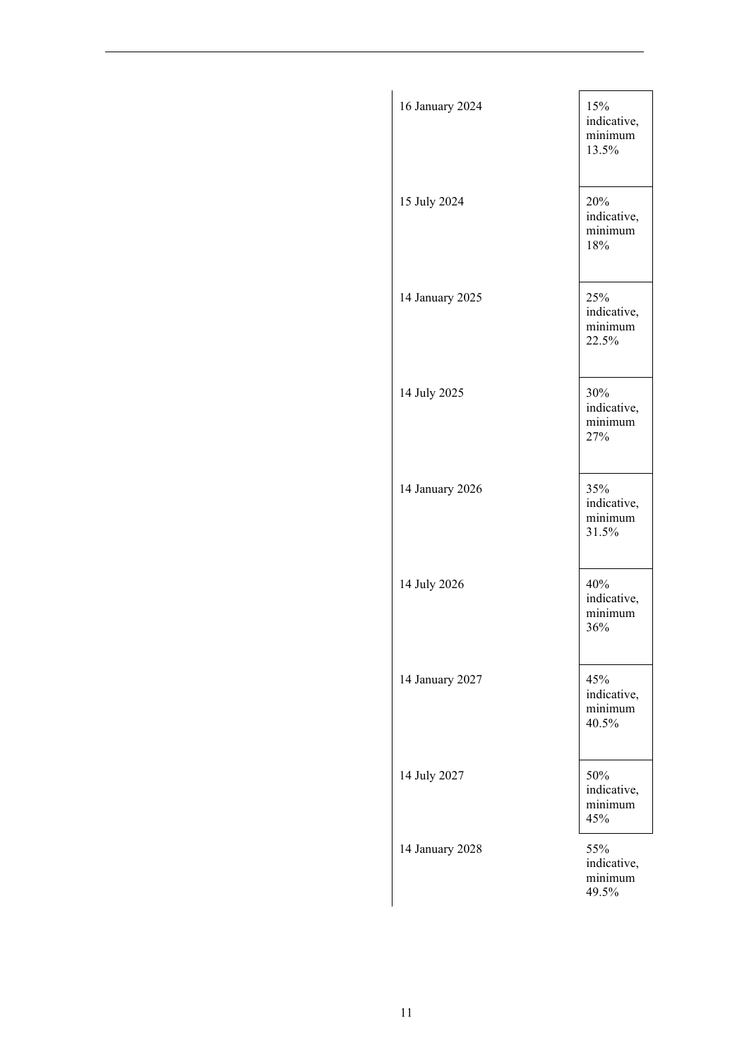| 16 January 2024 | 15%<br>indicative,<br>minimum<br>13.5% |
|-----------------|----------------------------------------|
| 15 July 2024    | 20%<br>indicative,<br>minimum<br>18%   |
| 14 January 2025 | 25%<br>indicative,<br>minimum<br>22.5% |
| 14 July 2025    | 30%<br>indicative,<br>minimum<br>27%   |
| 14 January 2026 | 35%<br>indicative,<br>minimum<br>31.5% |
| 14 July 2026    | 40%<br>indicative,<br>minimum<br>36%   |
| 14 January 2027 | 45%<br>indicative,<br>minimum<br>40.5% |
| 14 July 2027    | 50%<br>indicative,<br>minimum<br>45%   |
| 14 January 2028 | 55%<br>indicative,<br>minimum<br>49.5% |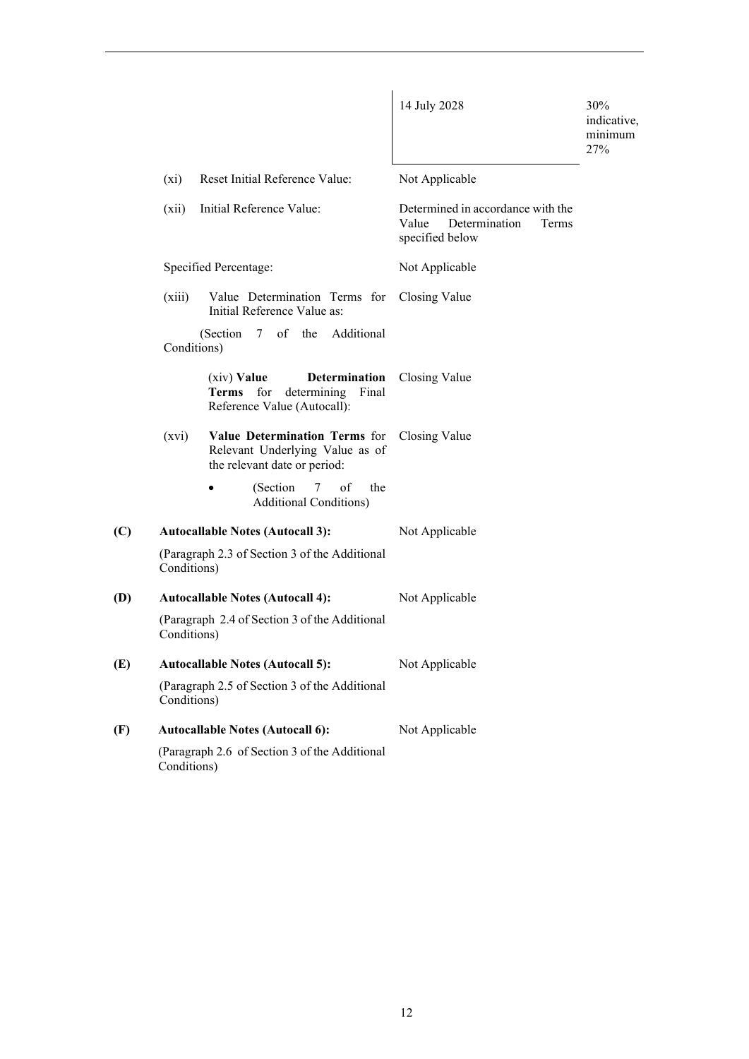|     |             |                                                                                                    | 14 July 2028                                                                            | 30%<br>indicative,<br>minimum<br>27% |
|-----|-------------|----------------------------------------------------------------------------------------------------|-----------------------------------------------------------------------------------------|--------------------------------------|
|     | $(x_i)$     | Reset Initial Reference Value:                                                                     | Not Applicable                                                                          |                                      |
|     | (xii)       | Initial Reference Value:                                                                           | Determined in accordance with the<br>Determination<br>Value<br>Terms<br>specified below |                                      |
|     |             | Specified Percentage:                                                                              | Not Applicable                                                                          |                                      |
|     | (xiii)      | Value Determination Terms for<br>Initial Reference Value as:                                       | Closing Value                                                                           |                                      |
|     |             | (Section $7$<br>of the Additional<br>Conditions)                                                   |                                                                                         |                                      |
|     |             | Determination<br>$(xiv)$ Value<br>Terms for<br>determining<br>Final<br>Reference Value (Autocall): | Closing Value                                                                           |                                      |
|     | (xvi)       | Value Determination Terms for<br>Relevant Underlying Value as of<br>the relevant date or period:   | Closing Value                                                                           |                                      |
|     |             | (Section)<br>of<br>7<br>the<br><b>Additional Conditions)</b>                                       |                                                                                         |                                      |
| (C) |             | <b>Autocallable Notes (Autocall 3):</b>                                                            | Not Applicable                                                                          |                                      |
|     | Conditions) | (Paragraph 2.3 of Section 3 of the Additional                                                      |                                                                                         |                                      |
| (D) |             | <b>Autocallable Notes (Autocall 4):</b>                                                            | Not Applicable                                                                          |                                      |
|     | Conditions) | (Paragraph 2.4 of Section 3 of the Additional                                                      |                                                                                         |                                      |
| (E) |             | <b>Autocallable Notes (Autocall 5):</b>                                                            | Not Applicable                                                                          |                                      |
|     | Conditions) | (Paragraph 2.5 of Section 3 of the Additional                                                      |                                                                                         |                                      |
| (F) |             | <b>Autocallable Notes (Autocall 6):</b>                                                            | Not Applicable                                                                          |                                      |
|     | Conditions) | (Paragraph 2.6 of Section 3 of the Additional                                                      |                                                                                         |                                      |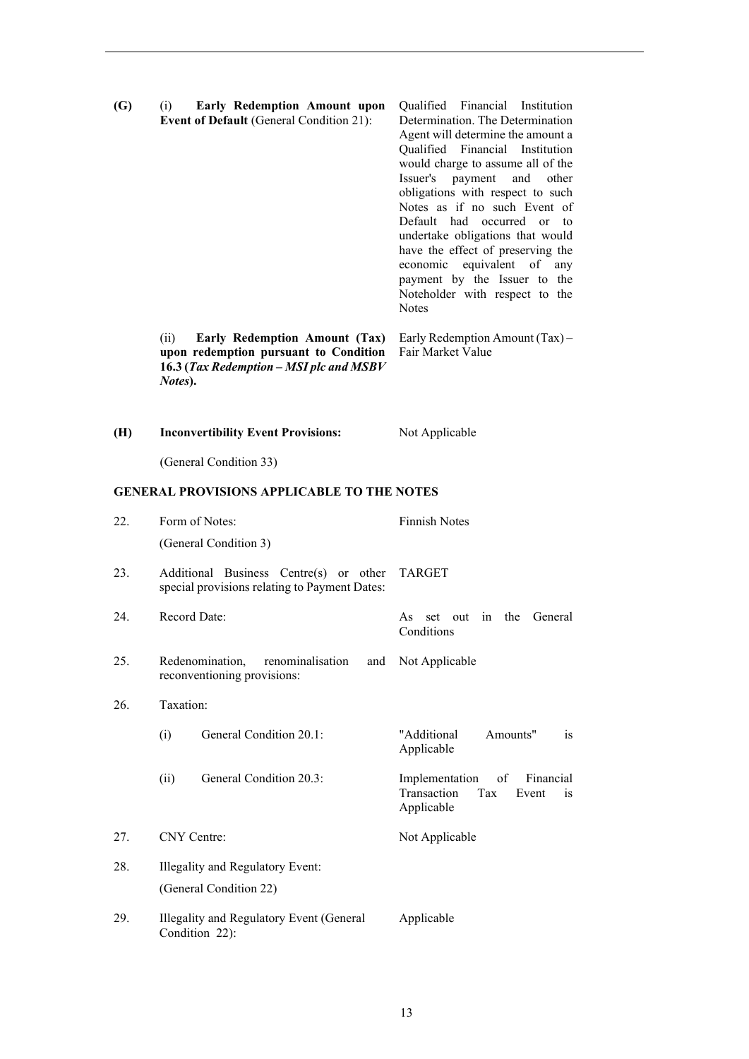| (G) | <b>Early Redemption Amount upon</b><br>(i)<br>Event of Default (General Condition 21):                                               | Qualified Financial Institution<br>Determination. The Determination<br>Agent will determine the amount a<br>Qualified Financial Institution<br>would charge to assume all of the<br>Issuer's<br>payment<br>and<br>other<br>obligations with respect to such<br>Notes as if no such Event of<br>Default had occurred<br>to<br>$\alpha$<br>undertake obligations that would<br>have the effect of preserving the<br>economic equivalent of any<br>payment by the Issuer to the<br>Noteholder with respect to the<br><b>Notes</b> |
|-----|--------------------------------------------------------------------------------------------------------------------------------------|--------------------------------------------------------------------------------------------------------------------------------------------------------------------------------------------------------------------------------------------------------------------------------------------------------------------------------------------------------------------------------------------------------------------------------------------------------------------------------------------------------------------------------|
|     | Early Redemption Amount (Tax)<br>(ii)<br>upon redemption pursuant to Condition<br>16.3 (Tax Redemption - MSI plc and MSBV<br>Notes). | Early Redemption Amount (Tax) -<br>Fair Market Value                                                                                                                                                                                                                                                                                                                                                                                                                                                                           |
| (H) | <b>Inconvertibility Event Provisions:</b>                                                                                            | Not Applicable                                                                                                                                                                                                                                                                                                                                                                                                                                                                                                                 |
|     | (General Condition 33)                                                                                                               |                                                                                                                                                                                                                                                                                                                                                                                                                                                                                                                                |
|     | <b>GENERAL PROVISIONS APPLICABLE TO THE NOTES</b>                                                                                    |                                                                                                                                                                                                                                                                                                                                                                                                                                                                                                                                |
| 22. | Form of Notes:                                                                                                                       | <b>Finnish Notes</b>                                                                                                                                                                                                                                                                                                                                                                                                                                                                                                           |
|     | (General Condition 3)                                                                                                                |                                                                                                                                                                                                                                                                                                                                                                                                                                                                                                                                |
| 23. | Additional Business Centre(s) or other<br>special provisions relating to Payment Dates:                                              | <b>TARGET</b>                                                                                                                                                                                                                                                                                                                                                                                                                                                                                                                  |
| 24. | Record Date:                                                                                                                         | the<br>General<br>As<br>set<br>out<br>in<br>Conditions                                                                                                                                                                                                                                                                                                                                                                                                                                                                         |
| 25. | Redenomination,<br>renominalisation<br>and<br>reconventioning provisions:                                                            | Not Applicable                                                                                                                                                                                                                                                                                                                                                                                                                                                                                                                 |
| 26. | Taxation:                                                                                                                            |                                                                                                                                                                                                                                                                                                                                                                                                                                                                                                                                |
|     | General Condition 20.1:<br>(i)                                                                                                       | "Additional<br>Amounts"<br><sub>is</sub><br>Applicable                                                                                                                                                                                                                                                                                                                                                                                                                                                                         |
|     | General Condition 20.3:<br>(ii)                                                                                                      | Implementation<br>of<br>Financial<br>Transaction<br>Tax<br>Event<br>is<br>Applicable                                                                                                                                                                                                                                                                                                                                                                                                                                           |
| 27. | CNY Centre:                                                                                                                          | Not Applicable                                                                                                                                                                                                                                                                                                                                                                                                                                                                                                                 |
| 28. | Illegality and Regulatory Event:                                                                                                     |                                                                                                                                                                                                                                                                                                                                                                                                                                                                                                                                |
|     | (General Condition 22)                                                                                                               |                                                                                                                                                                                                                                                                                                                                                                                                                                                                                                                                |
| 29. | Illegality and Regulatory Event (General<br>Condition 22):                                                                           | Applicable                                                                                                                                                                                                                                                                                                                                                                                                                                                                                                                     |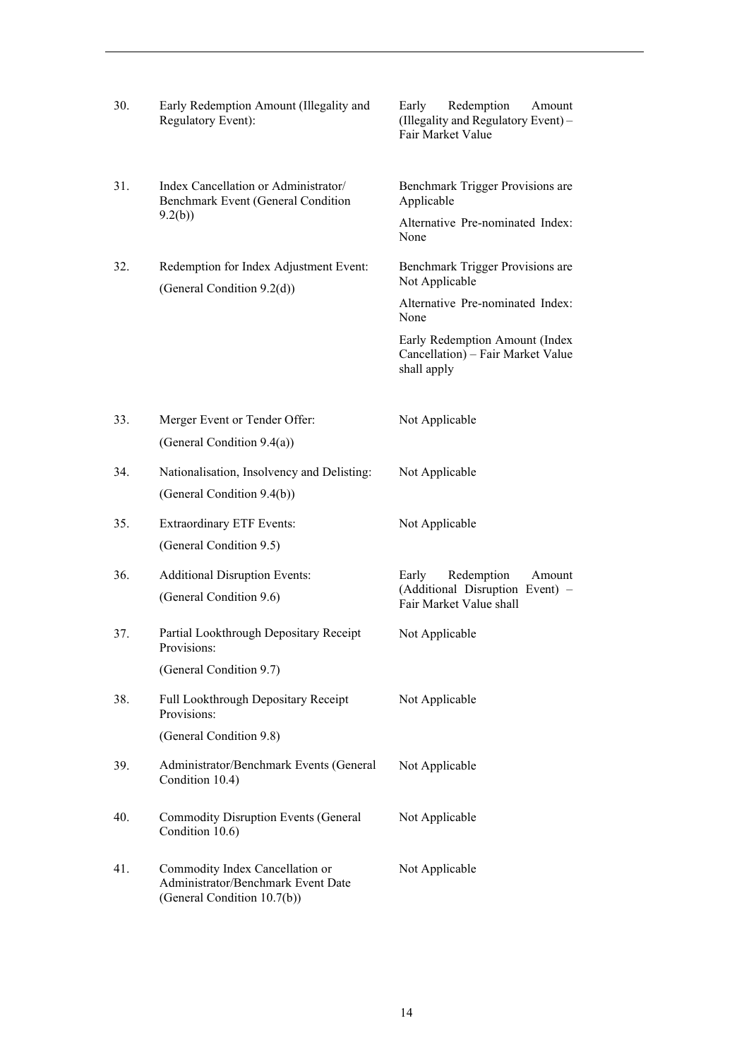| 30. | Early Redemption Amount (Illegality and<br>Regulatory Event):                                        | Redemption<br>Early<br>Amount<br>(Illegality and Regulatory Event) -<br>Fair Market Value |  |
|-----|------------------------------------------------------------------------------------------------------|-------------------------------------------------------------------------------------------|--|
| 31. | Index Cancellation or Administrator/<br>Benchmark Event (General Condition                           | Benchmark Trigger Provisions are<br>Applicable                                            |  |
|     | 9.2(b)                                                                                               | Alternative Pre-nominated Index:<br>None                                                  |  |
| 32. | Redemption for Index Adjustment Event:<br>(General Condition 9.2(d))                                 | Benchmark Trigger Provisions are<br>Not Applicable                                        |  |
|     |                                                                                                      | Alternative Pre-nominated Index:<br>None                                                  |  |
|     |                                                                                                      | Early Redemption Amount (Index<br>Cancellation) – Fair Market Value<br>shall apply        |  |
| 33. | Merger Event or Tender Offer:<br>(General Condition 9.4(a))                                          | Not Applicable                                                                            |  |
| 34. | Nationalisation, Insolvency and Delisting:<br>(General Condition 9.4(b))                             | Not Applicable                                                                            |  |
| 35. | <b>Extraordinary ETF Events:</b><br>(General Condition 9.5)                                          | Not Applicable                                                                            |  |
| 36. | <b>Additional Disruption Events:</b>                                                                 | Early<br>Redemption<br>Amount                                                             |  |
|     | (General Condition 9.6)                                                                              | (Additional Disruption Event) -<br>Fair Market Value shall                                |  |
| 37. | Partial Lookthrough Depositary Receipt<br>Provisions:                                                | Not Applicable                                                                            |  |
|     | (General Condition 9.7)                                                                              |                                                                                           |  |
| 38. | Full Lookthrough Depositary Receipt<br>Provisions:                                                   | Not Applicable                                                                            |  |
|     | (General Condition 9.8)                                                                              |                                                                                           |  |
| 39. | Administrator/Benchmark Events (General<br>Condition 10.4)                                           | Not Applicable                                                                            |  |
| 40. | <b>Commodity Disruption Events (General</b><br>Condition 10.6)                                       | Not Applicable                                                                            |  |
| 41. | Commodity Index Cancellation or<br>Administrator/Benchmark Event Date<br>(General Condition 10.7(b)) | Not Applicable                                                                            |  |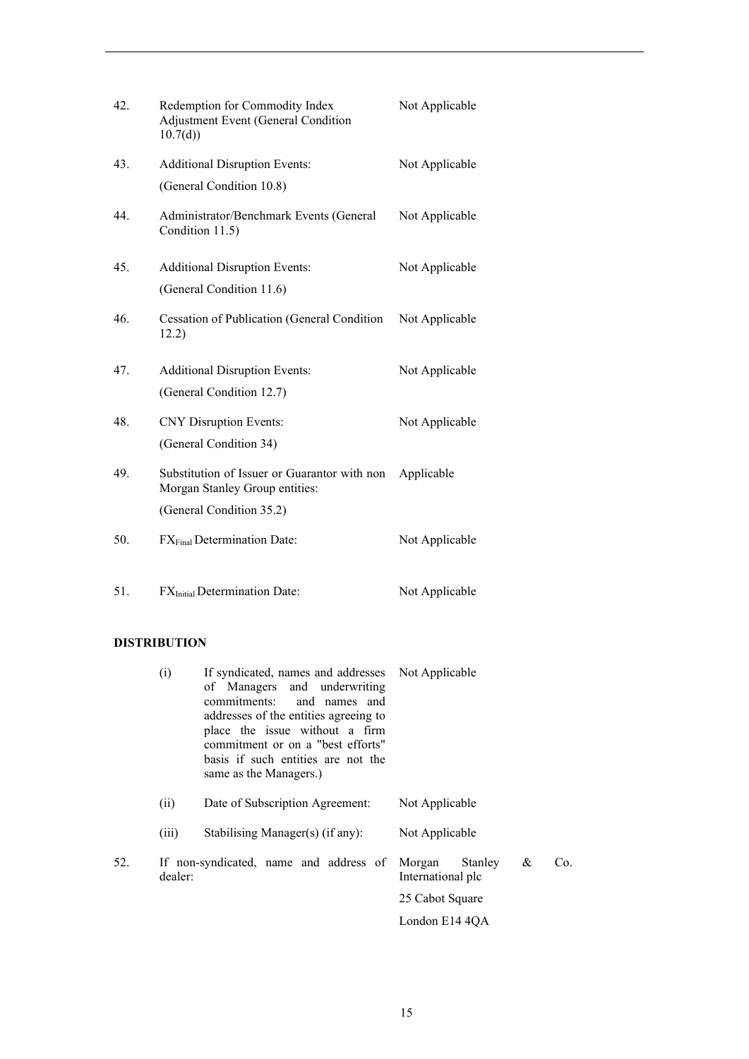| 42. | Redemption for Commodity Index<br>Adjustment Event (General Condition<br>10.7(d) | Not Applicable |
|-----|----------------------------------------------------------------------------------|----------------|
| 43. | <b>Additional Disruption Events:</b>                                             | Not Applicable |
|     | (General Condition 10.8)                                                         |                |
| 44. | Administrator/Benchmark Events (General<br>Condition 11.5)                       | Not Applicable |
| 45. | <b>Additional Disruption Events:</b>                                             | Not Applicable |
|     | (General Condition 11.6)                                                         |                |
| 46. | Cessation of Publication (General Condition<br>12.2)                             | Not Applicable |
| 47. | <b>Additional Disruption Events:</b>                                             | Not Applicable |
|     | (General Condition 12.7)                                                         |                |
| 48. | <b>CNY</b> Disruption Events:                                                    | Not Applicable |
|     | (General Condition 34)                                                           |                |
| 49. | Substitution of Issuer or Guarantor with non<br>Morgan Stanley Group entities:   | Applicable     |
|     | (General Condition 35.2)                                                         |                |
| 50. | FX <sub>Final</sub> Determination Date:                                          | Not Applicable |
| 51. | FX <sub>Initial</sub> Determination Date:                                        | Not Applicable |

# **DISTRIBUTION**

|     | (i)     | If syndicated, names and addresses Not Applicable<br>of Managers and underwriting<br>commitments: and names and<br>addresses of the entities agreeing to<br>place the issue without a firm<br>commitment or on a "best efforts"<br>basis if such entities are not the<br>same as the Managers.) |                                        |   |     |
|-----|---------|-------------------------------------------------------------------------------------------------------------------------------------------------------------------------------------------------------------------------------------------------------------------------------------------------|----------------------------------------|---|-----|
|     | (ii)    | Date of Subscription Agreement:                                                                                                                                                                                                                                                                 | Not Applicable                         |   |     |
|     | (iii)   | Stabilising Manager(s) (if any):                                                                                                                                                                                                                                                                | Not Applicable                         |   |     |
| 52. | dealer: | If non-syndicated, name and address of                                                                                                                                                                                                                                                          | Stanley<br>Morgan<br>International plc | & | Co. |
|     |         |                                                                                                                                                                                                                                                                                                 | 25 Cabot Square                        |   |     |
|     |         |                                                                                                                                                                                                                                                                                                 | London E14 4QA                         |   |     |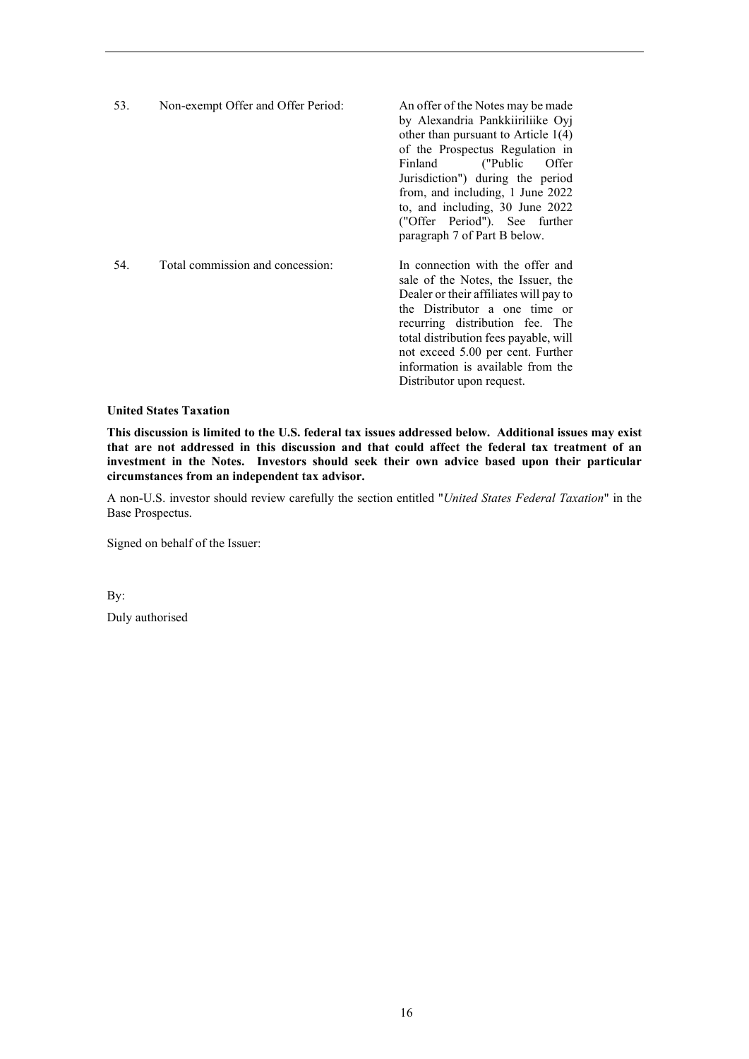| 53. | Non-exempt Offer and Offer Period: | An offer of the Notes may be made<br>by Alexandria Pankkiiriliike Oyj<br>other than pursuant to Article $1(4)$<br>of the Prospectus Regulation in<br>Offer<br>Finland<br>("Public")<br>Jurisdiction") during the period<br>from, and including, 1 June 2022<br>to, and including, 30 June 2022<br>("Offer Period"). See further<br>paragraph 7 of Part B below. |
|-----|------------------------------------|-----------------------------------------------------------------------------------------------------------------------------------------------------------------------------------------------------------------------------------------------------------------------------------------------------------------------------------------------------------------|
| 54. | Total commission and concession:   | In connection with the offer and<br>sale of the Notes, the Issuer, the<br>Dealer or their affiliates will pay to<br>the Distributor a one time or<br>recurring distribution fee. The<br>total distribution fees payable, will<br>not exceed 5.00 per cent. Further<br>information is available from the<br>Distributor upon request.                            |

# **United States Taxation**

**This discussion is limited to the U.S. federal tax issues addressed below. Additional issues may exist that are not addressed in this discussion and that could affect the federal tax treatment of an investment in the Notes. Investors should seek their own advice based upon their particular circumstances from an independent tax advisor.**

A non-U.S. investor should review carefully the section entitled "*United States Federal Taxation*" in the Base Prospectus.

Signed on behalf of the Issuer:

By:

Duly authorised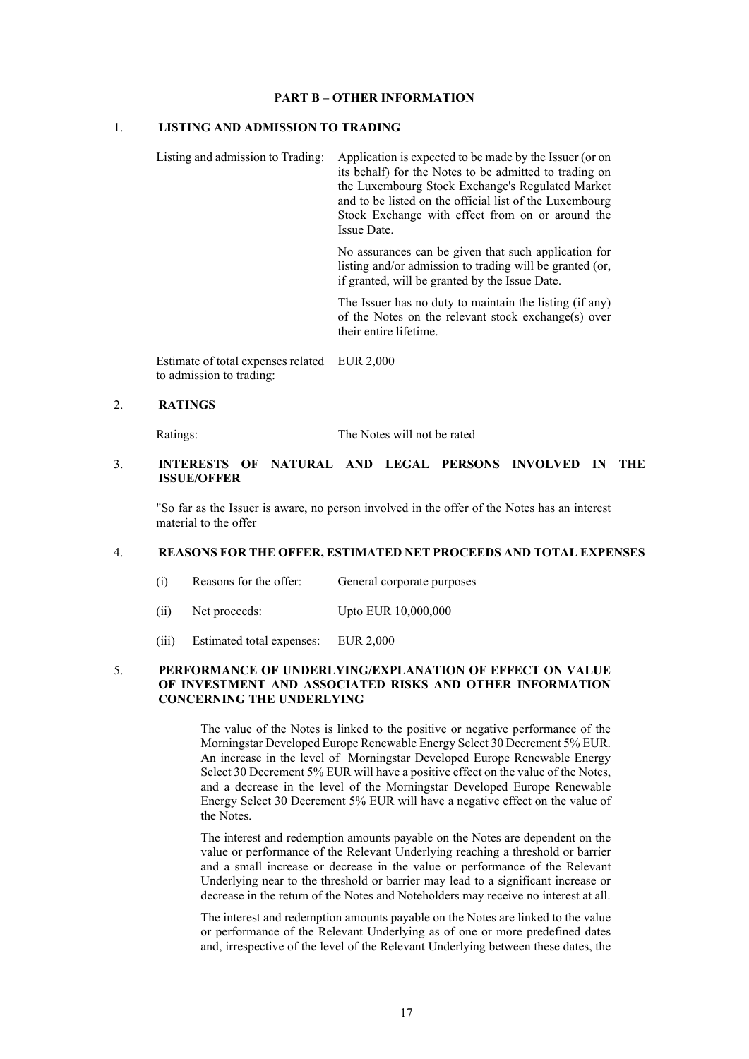#### **PART B – OTHER INFORMATION**

## 1. **LISTING AND ADMISSION TO TRADING**

Listing and admission to Trading: Application is expected to be made by the Issuer (or on its behalf) for the Notes to be admitted to trading on the Luxembourg Stock Exchange's Regulated Market and to be listed on the official list of the Luxembourg Stock Exchange with effect from on or around the Issue Date.

> No assurances can be given that such application for listing and/or admission to trading will be granted (or, if granted, will be granted by the Issue Date.

> The Issuer has no duty to maintain the listing (if any) of the Notes on the relevant stock exchange(s) over their entire lifetime.

Estimate of total expenses related EUR 2,000 to admission to trading:

### 2. **RATINGS**

Ratings: The Notes will not be rated

## 3. **INTERESTS OF NATURAL AND LEGAL PERSONS INVOLVED IN THE ISSUE/OFFER**

"So far as the Issuer is aware, no person involved in the offer of the Notes has an interest material to the offer

#### 4. **REASONS FOR THE OFFER, ESTIMATED NET PROCEEDS AND TOTAL EXPENSES**

- (i) Reasons for the offer: General corporate purposes
- (ii) Net proceeds: Upto EUR 10,000,000
- (iii) Estimated total expenses: EUR 2,000

### 5. **PERFORMANCE OF UNDERLYING/EXPLANATION OF EFFECT ON VALUE OF INVESTMENT AND ASSOCIATED RISKS AND OTHER INFORMATION CONCERNING THE UNDERLYING**

The value of the Notes is linked to the positive or negative performance of the Morningstar Developed Europe Renewable Energy Select 30 Decrement 5% EUR. An increase in the level of Morningstar Developed Europe Renewable Energy Select 30 Decrement 5% EUR will have a positive effect on the value of the Notes, and a decrease in the level of the Morningstar Developed Europe Renewable Energy Select 30 Decrement 5% EUR will have a negative effect on the value of the Notes.

The interest and redemption amounts payable on the Notes are dependent on the value or performance of the Relevant Underlying reaching a threshold or barrier and a small increase or decrease in the value or performance of the Relevant Underlying near to the threshold or barrier may lead to a significant increase or decrease in the return of the Notes and Noteholders may receive no interest at all.

The interest and redemption amounts payable on the Notes are linked to the value or performance of the Relevant Underlying as of one or more predefined dates and, irrespective of the level of the Relevant Underlying between these dates, the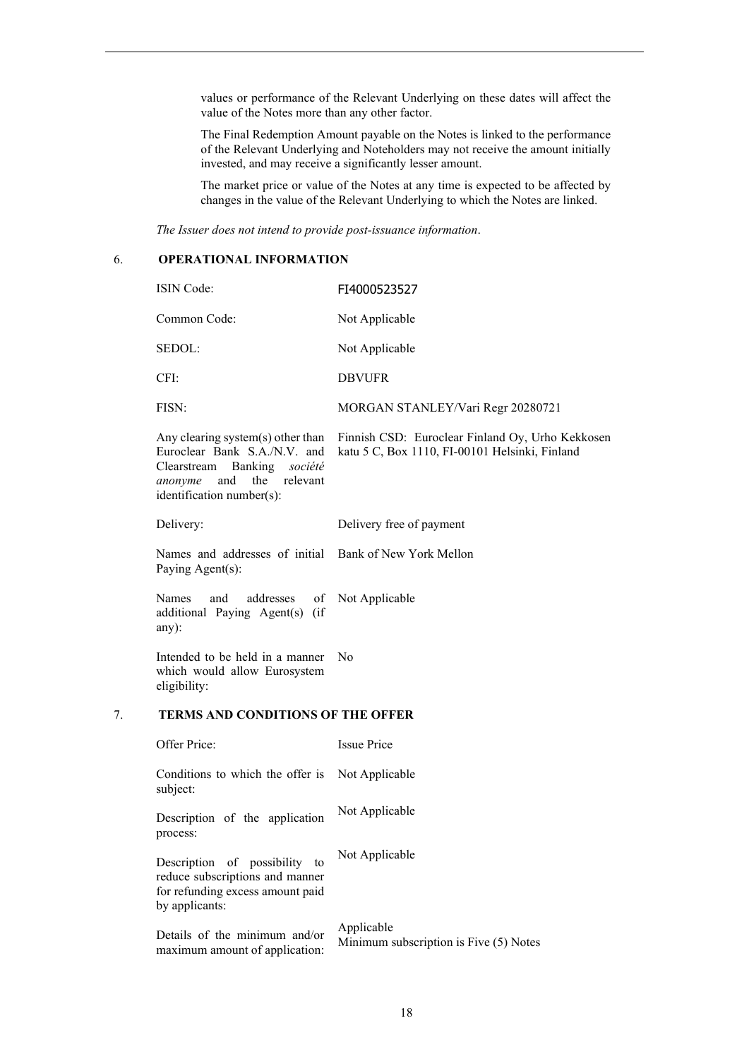values or performance of the Relevant Underlying on these dates will affect the value of the Notes more than any other factor.

The Final Redemption Amount payable on the Notes is linked to the performance of the Relevant Underlying and Noteholders may not receive the amount initially invested, and may receive a significantly lesser amount.

The market price or value of the Notes at any time is expected to be affected by changes in the value of the Relevant Underlying to which the Notes are linked.

*The Issuer does not intend to provide post-issuance information*.

# 6. **OPERATIONAL INFORMATION**

|    | ISIN Code:                                                                                                                                                            | FI4000523527                                                                                       |
|----|-----------------------------------------------------------------------------------------------------------------------------------------------------------------------|----------------------------------------------------------------------------------------------------|
|    | Common Code:                                                                                                                                                          | Not Applicable                                                                                     |
|    | SEDOL:                                                                                                                                                                | Not Applicable                                                                                     |
|    | CFI:                                                                                                                                                                  | <b>DBVUFR</b>                                                                                      |
|    | FISN:                                                                                                                                                                 | MORGAN STANLEY/Vari Regr 20280721                                                                  |
|    | Any clearing system(s) other than<br>Euroclear Bank S.A./N.V. and<br>Clearstream<br>Banking<br>société<br>and<br>the relevant<br>anonyme<br>identification number(s): | Finnish CSD: Euroclear Finland Oy, Urho Kekkosen<br>katu 5 C, Box 1110, FI-00101 Helsinki, Finland |
|    | Delivery:                                                                                                                                                             | Delivery free of payment                                                                           |
|    | Names and addresses of initial Bank of New York Mellon<br>Paying Agent(s):                                                                                            |                                                                                                    |
|    | Names<br>addresses<br>and<br>of<br>additional Paying Agent(s) (if<br>any):                                                                                            | Not Applicable                                                                                     |
|    | Intended to be held in a manner<br>which would allow Eurosystem<br>eligibility:                                                                                       | N <sub>o</sub>                                                                                     |
| 7. | <b>TERMS AND CONDITIONS OF THE OFFER</b>                                                                                                                              |                                                                                                    |
|    | Offer Price:                                                                                                                                                          | <b>Issue Price</b>                                                                                 |
|    | Conditions to which the offer is<br>subject:                                                                                                                          | Not Applicable                                                                                     |
|    | Description of the application<br>process:                                                                                                                            | Not Applicable                                                                                     |
|    | Description of possibility to<br>reduce subscriptions and manner<br>for refunding excess amount paid<br>by applicants:                                                | Not Applicable                                                                                     |
|    | Details of the minimum and/or<br>maximum amount of application:                                                                                                       | Applicable<br>Minimum subscription is Five (5) Notes                                               |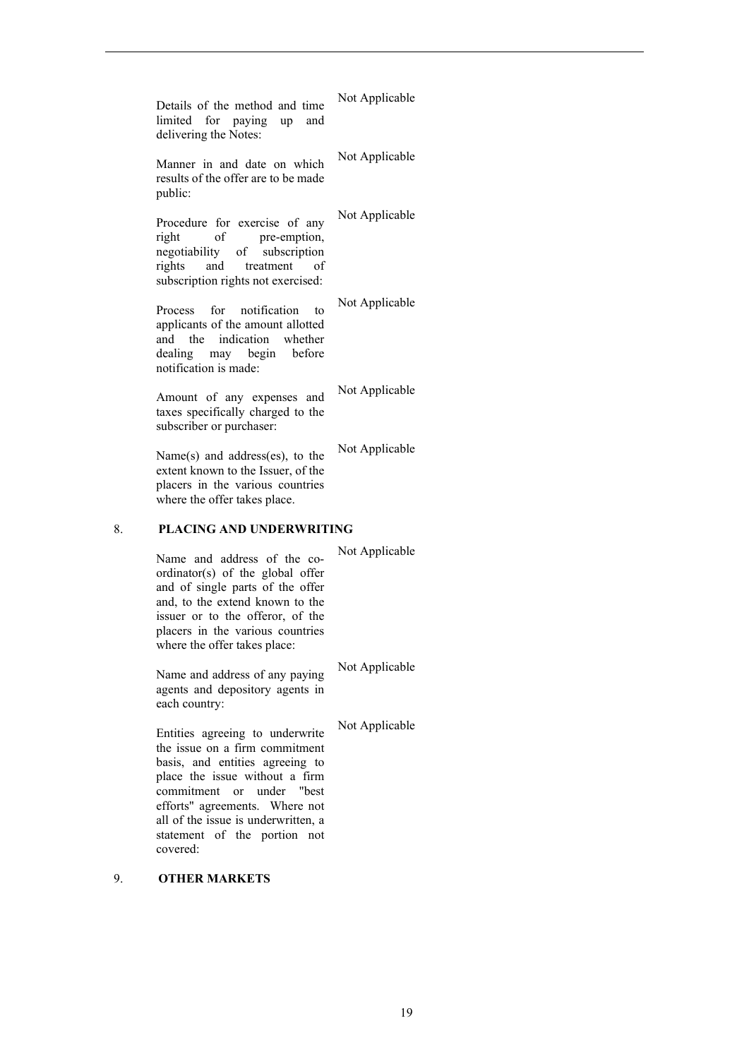|    | Details of the method and time<br>limited for paying up and<br>delivering the Notes:                                                                                                                                                           | Not Applicable |
|----|------------------------------------------------------------------------------------------------------------------------------------------------------------------------------------------------------------------------------------------------|----------------|
|    | Manner in and date on which<br>results of the offer are to be made<br>public:                                                                                                                                                                  | Not Applicable |
|    | Procedure for exercise of any<br>right<br>-of<br>pre-emption,<br>negotiability of subscription<br>and<br>rights<br>treatment<br>οf<br>subscription rights not exercised:                                                                       | Not Applicable |
|    | Process for notification<br>to<br>applicants of the amount allotted<br>and the indication whether<br>dealing may begin<br>before<br>notification is made:                                                                                      | Not Applicable |
|    | Amount of any expenses and<br>taxes specifically charged to the<br>subscriber or purchaser:                                                                                                                                                    | Not Applicable |
|    | Name $(s)$ and address $(es)$ , to the<br>extent known to the Issuer, of the<br>placers in the various countries<br>where the offer takes place.                                                                                               | Not Applicable |
| 8. | <b>PLACING AND UNDERWRITING</b>                                                                                                                                                                                                                |                |
|    | Name and address of the co-<br>ordinator(s) of the global offer<br>and of single parts of the offer<br>and, to the extend known to the<br>issuer or to the offeror, of the<br>placers in the various countries<br>where the offer takes place: | Not Applicable |
|    | Name and address of any paying<br>agents and depository agents in<br>each country:                                                                                                                                                             | Not Applicable |
|    | Entities agreeing to underwrite<br>the issue on a firm commitment<br>basis, and entities agreeing to                                                                                                                                           | Not Applicable |

place the issue without a firm commitment or under "best efforts" agreements. Where not all of the issue is underwritten, a statement of the portion not covered:

# 9. **OTHER MARKETS**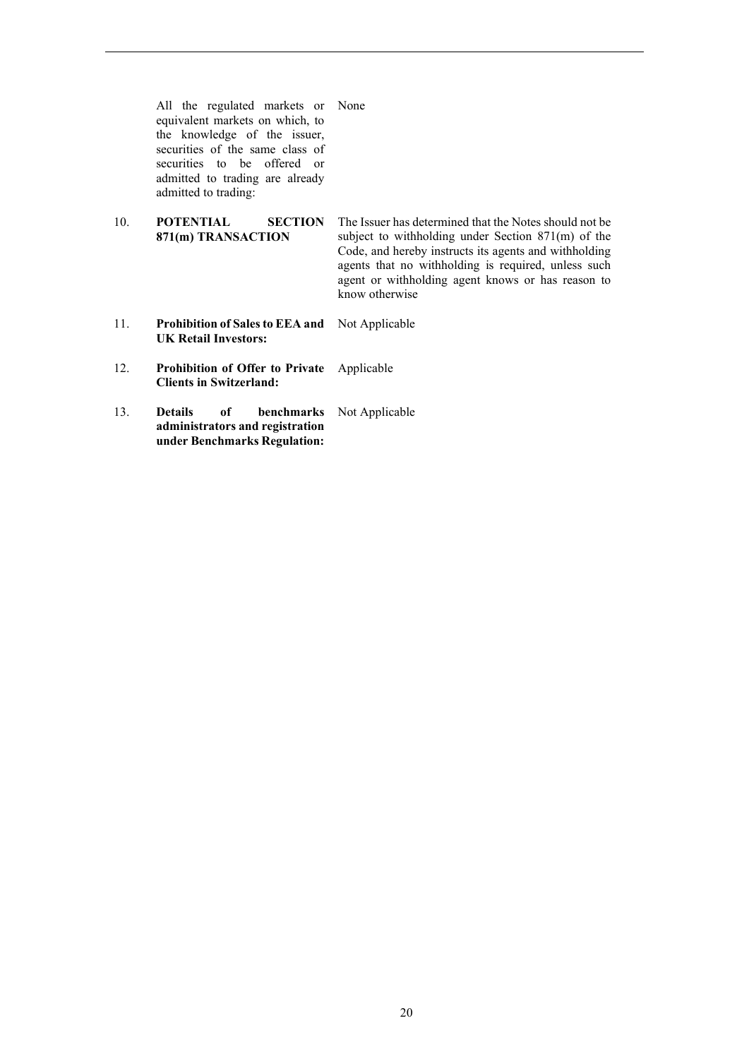All the regulated markets or None equivalent markets on which, to the knowledge of the issuer, securities of the same class of securities to be offered or admitted to trading are already admitted to trading:

- 10. **POTENTIAL SECTION 871(m) TRANSACTION** The Issuer has determined that the Notes should not be subject to withholding under Section 871(m) of the Code, and hereby instructs its agents and withholding agents that no withholding is required, unless such agent or withholding agent knows or has reason to know otherwise
- 11. **Prohibition of Sales to EEA and UK Retail Investors:** Not Applicable
- 12. **Prohibition of Offer to Private Clients in Switzerland:** Applicable
- 13. **Details of benchmarks administrators and registration under Benchmarks Regulation:** Not Applicable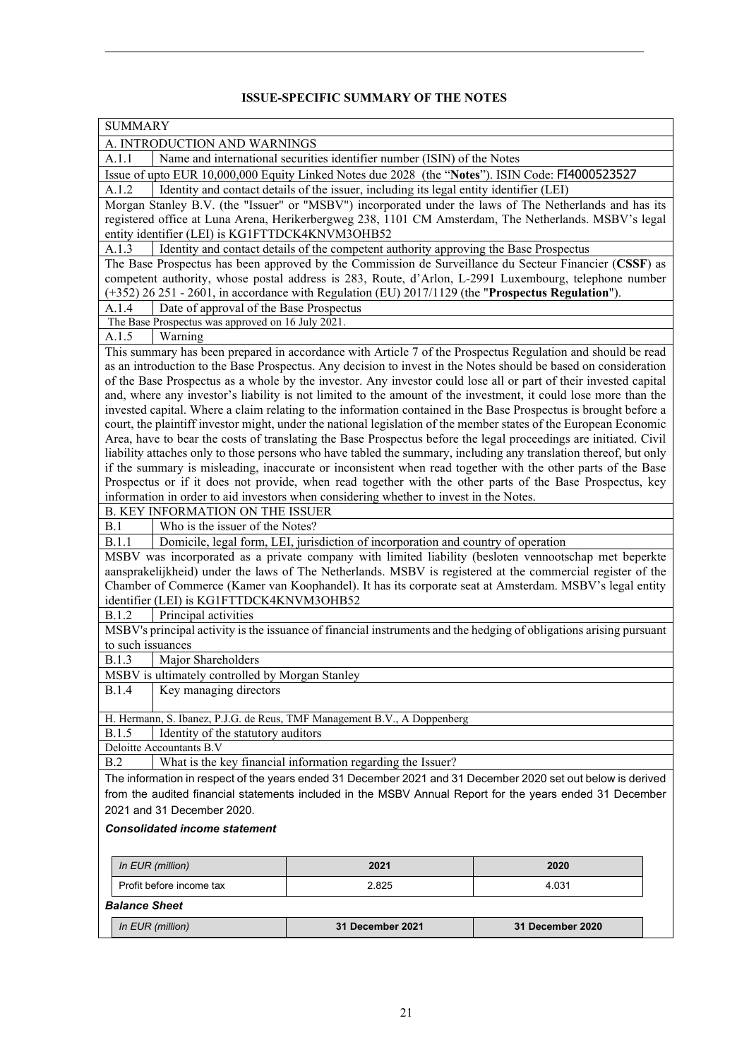# **ISSUE-SPECIFIC SUMMARY OF THE NOTES**

| <b>SUMMARY</b>                                                                                                                                                                                                                                                                                                         |                                                                                                                                                                             |                                                                                                                                                                                                                                                                                                                                                                                                                                                                                                                                                                                                                                                                                                                                                                                                                                                                                                                                                                                                                                                                                                                                                                                                                                                                                                                                                                                                                                                                                                                                |  |  |
|------------------------------------------------------------------------------------------------------------------------------------------------------------------------------------------------------------------------------------------------------------------------------------------------------------------------|-----------------------------------------------------------------------------------------------------------------------------------------------------------------------------|--------------------------------------------------------------------------------------------------------------------------------------------------------------------------------------------------------------------------------------------------------------------------------------------------------------------------------------------------------------------------------------------------------------------------------------------------------------------------------------------------------------------------------------------------------------------------------------------------------------------------------------------------------------------------------------------------------------------------------------------------------------------------------------------------------------------------------------------------------------------------------------------------------------------------------------------------------------------------------------------------------------------------------------------------------------------------------------------------------------------------------------------------------------------------------------------------------------------------------------------------------------------------------------------------------------------------------------------------------------------------------------------------------------------------------------------------------------------------------------------------------------------------------|--|--|
| A. INTRODUCTION AND WARNINGS                                                                                                                                                                                                                                                                                           |                                                                                                                                                                             |                                                                                                                                                                                                                                                                                                                                                                                                                                                                                                                                                                                                                                                                                                                                                                                                                                                                                                                                                                                                                                                                                                                                                                                                                                                                                                                                                                                                                                                                                                                                |  |  |
| Name and international securities identifier number (ISIN) of the Notes<br>A.1.1                                                                                                                                                                                                                                       |                                                                                                                                                                             |                                                                                                                                                                                                                                                                                                                                                                                                                                                                                                                                                                                                                                                                                                                                                                                                                                                                                                                                                                                                                                                                                                                                                                                                                                                                                                                                                                                                                                                                                                                                |  |  |
| Issue of upto EUR 10,000,000 Equity Linked Notes due 2028 (the "Notes"). ISIN Code: FI4000523527                                                                                                                                                                                                                       |                                                                                                                                                                             |                                                                                                                                                                                                                                                                                                                                                                                                                                                                                                                                                                                                                                                                                                                                                                                                                                                                                                                                                                                                                                                                                                                                                                                                                                                                                                                                                                                                                                                                                                                                |  |  |
| Identity and contact details of the issuer, including its legal entity identifier (LEI)<br>A.1.2                                                                                                                                                                                                                       |                                                                                                                                                                             |                                                                                                                                                                                                                                                                                                                                                                                                                                                                                                                                                                                                                                                                                                                                                                                                                                                                                                                                                                                                                                                                                                                                                                                                                                                                                                                                                                                                                                                                                                                                |  |  |
|                                                                                                                                                                                                                                                                                                                        |                                                                                                                                                                             | Morgan Stanley B.V. (the "Issuer" or "MSBV") incorporated under the laws of The Netherlands and has its                                                                                                                                                                                                                                                                                                                                                                                                                                                                                                                                                                                                                                                                                                                                                                                                                                                                                                                                                                                                                                                                                                                                                                                                                                                                                                                                                                                                                        |  |  |
|                                                                                                                                                                                                                                                                                                                        |                                                                                                                                                                             | registered office at Luna Arena, Herikerbergweg 238, 1101 CM Amsterdam, The Netherlands. MSBV's legal                                                                                                                                                                                                                                                                                                                                                                                                                                                                                                                                                                                                                                                                                                                                                                                                                                                                                                                                                                                                                                                                                                                                                                                                                                                                                                                                                                                                                          |  |  |
| entity identifier (LEI) is KG1FTTDCK4KNVM3OHB52                                                                                                                                                                                                                                                                        |                                                                                                                                                                             |                                                                                                                                                                                                                                                                                                                                                                                                                                                                                                                                                                                                                                                                                                                                                                                                                                                                                                                                                                                                                                                                                                                                                                                                                                                                                                                                                                                                                                                                                                                                |  |  |
| A.1.3                                                                                                                                                                                                                                                                                                                  | Identity and contact details of the competent authority approving the Base Prospectus                                                                                       |                                                                                                                                                                                                                                                                                                                                                                                                                                                                                                                                                                                                                                                                                                                                                                                                                                                                                                                                                                                                                                                                                                                                                                                                                                                                                                                                                                                                                                                                                                                                |  |  |
| The Base Prospectus has been approved by the Commission de Surveillance du Secteur Financier (CSSF) as<br>competent authority, whose postal address is 283, Route, d'Arlon, L-2991 Luxembourg, telephone number<br>$(+352)$ 26 251 - 2601, in accordance with Regulation (EU) 2017/1129 (the "Prospectus Regulation"). |                                                                                                                                                                             |                                                                                                                                                                                                                                                                                                                                                                                                                                                                                                                                                                                                                                                                                                                                                                                                                                                                                                                                                                                                                                                                                                                                                                                                                                                                                                                                                                                                                                                                                                                                |  |  |
| A.1.4                                                                                                                                                                                                                                                                                                                  | Date of approval of the Base Prospectus                                                                                                                                     |                                                                                                                                                                                                                                                                                                                                                                                                                                                                                                                                                                                                                                                                                                                                                                                                                                                                                                                                                                                                                                                                                                                                                                                                                                                                                                                                                                                                                                                                                                                                |  |  |
| The Base Prospectus was approved on 16 July 2021.                                                                                                                                                                                                                                                                      |                                                                                                                                                                             |                                                                                                                                                                                                                                                                                                                                                                                                                                                                                                                                                                                                                                                                                                                                                                                                                                                                                                                                                                                                                                                                                                                                                                                                                                                                                                                                                                                                                                                                                                                                |  |  |
| Warning<br>A.1.5                                                                                                                                                                                                                                                                                                       |                                                                                                                                                                             |                                                                                                                                                                                                                                                                                                                                                                                                                                                                                                                                                                                                                                                                                                                                                                                                                                                                                                                                                                                                                                                                                                                                                                                                                                                                                                                                                                                                                                                                                                                                |  |  |
|                                                                                                                                                                                                                                                                                                                        |                                                                                                                                                                             | This summary has been prepared in accordance with Article 7 of the Prospectus Regulation and should be read                                                                                                                                                                                                                                                                                                                                                                                                                                                                                                                                                                                                                                                                                                                                                                                                                                                                                                                                                                                                                                                                                                                                                                                                                                                                                                                                                                                                                    |  |  |
| <b>B. KEY INFORMATION ON THE ISSUER</b><br>Who is the issuer of the Notes?<br>B.1<br><b>B.1.1</b><br>identifier (LEI) is KG1FTTDCK4KNVM3OHB52<br><b>B.1.2</b><br>Principal activities<br>to such issuances                                                                                                             | information in order to aid investors when considering whether to invest in the Notes.<br>Domicile, legal form, LEI, jurisdiction of incorporation and country of operation | as an introduction to the Base Prospectus. Any decision to invest in the Notes should be based on consideration<br>of the Base Prospectus as a whole by the investor. Any investor could lose all or part of their invested capital<br>and, where any investor's liability is not limited to the amount of the investment, it could lose more than the<br>invested capital. Where a claim relating to the information contained in the Base Prospectus is brought before a<br>court, the plaintiff investor might, under the national legislation of the member states of the European Economic<br>Area, have to bear the costs of translating the Base Prospectus before the legal proceedings are initiated. Civil<br>liability attaches only to those persons who have tabled the summary, including any translation thereof, but only<br>if the summary is misleading, inaccurate or inconsistent when read together with the other parts of the Base<br>Prospectus or if it does not provide, when read together with the other parts of the Base Prospectus, key<br>MSBV was incorporated as a private company with limited liability (besloten vennootschap met beperkte<br>aansprakelijkheid) under the laws of The Netherlands. MSBV is registered at the commercial register of the<br>Chamber of Commerce (Kamer van Koophandel). It has its corporate seat at Amsterdam. MSBV's legal entity<br>MSBV's principal activity is the issuance of financial instruments and the hedging of obligations arising pursuant |  |  |
| Major Shareholders<br><b>B.1.3</b>                                                                                                                                                                                                                                                                                     |                                                                                                                                                                             |                                                                                                                                                                                                                                                                                                                                                                                                                                                                                                                                                                                                                                                                                                                                                                                                                                                                                                                                                                                                                                                                                                                                                                                                                                                                                                                                                                                                                                                                                                                                |  |  |
| MSBV is ultimately controlled by Morgan Stanley                                                                                                                                                                                                                                                                        |                                                                                                                                                                             |                                                                                                                                                                                                                                                                                                                                                                                                                                                                                                                                                                                                                                                                                                                                                                                                                                                                                                                                                                                                                                                                                                                                                                                                                                                                                                                                                                                                                                                                                                                                |  |  |
| <b>B.1.4</b><br>Key managing directors                                                                                                                                                                                                                                                                                 |                                                                                                                                                                             |                                                                                                                                                                                                                                                                                                                                                                                                                                                                                                                                                                                                                                                                                                                                                                                                                                                                                                                                                                                                                                                                                                                                                                                                                                                                                                                                                                                                                                                                                                                                |  |  |
|                                                                                                                                                                                                                                                                                                                        |                                                                                                                                                                             |                                                                                                                                                                                                                                                                                                                                                                                                                                                                                                                                                                                                                                                                                                                                                                                                                                                                                                                                                                                                                                                                                                                                                                                                                                                                                                                                                                                                                                                                                                                                |  |  |
| H. Hermann, S. Ibanez, P.J.G. de Reus, TMF Management B.V., A Doppenberg                                                                                                                                                                                                                                               |                                                                                                                                                                             |                                                                                                                                                                                                                                                                                                                                                                                                                                                                                                                                                                                                                                                                                                                                                                                                                                                                                                                                                                                                                                                                                                                                                                                                                                                                                                                                                                                                                                                                                                                                |  |  |
| Identity of the statutory auditors<br><b>B.1.5</b>                                                                                                                                                                                                                                                                     |                                                                                                                                                                             |                                                                                                                                                                                                                                                                                                                                                                                                                                                                                                                                                                                                                                                                                                                                                                                                                                                                                                                                                                                                                                                                                                                                                                                                                                                                                                                                                                                                                                                                                                                                |  |  |
| Deloitte Accountants B.V                                                                                                                                                                                                                                                                                               |                                                                                                                                                                             |                                                                                                                                                                                                                                                                                                                                                                                                                                                                                                                                                                                                                                                                                                                                                                                                                                                                                                                                                                                                                                                                                                                                                                                                                                                                                                                                                                                                                                                                                                                                |  |  |
| B.2                                                                                                                                                                                                                                                                                                                    | What is the key financial information regarding the Issuer?                                                                                                                 |                                                                                                                                                                                                                                                                                                                                                                                                                                                                                                                                                                                                                                                                                                                                                                                                                                                                                                                                                                                                                                                                                                                                                                                                                                                                                                                                                                                                                                                                                                                                |  |  |
|                                                                                                                                                                                                                                                                                                                        |                                                                                                                                                                             | The information in respect of the years ended 31 December 2021 and 31 December 2020 set out below is derived                                                                                                                                                                                                                                                                                                                                                                                                                                                                                                                                                                                                                                                                                                                                                                                                                                                                                                                                                                                                                                                                                                                                                                                                                                                                                                                                                                                                                   |  |  |
|                                                                                                                                                                                                                                                                                                                        |                                                                                                                                                                             | from the audited financial statements included in the MSBV Annual Report for the years ended 31 December                                                                                                                                                                                                                                                                                                                                                                                                                                                                                                                                                                                                                                                                                                                                                                                                                                                                                                                                                                                                                                                                                                                                                                                                                                                                                                                                                                                                                       |  |  |
| 2021 and 31 December 2020.                                                                                                                                                                                                                                                                                             |                                                                                                                                                                             |                                                                                                                                                                                                                                                                                                                                                                                                                                                                                                                                                                                                                                                                                                                                                                                                                                                                                                                                                                                                                                                                                                                                                                                                                                                                                                                                                                                                                                                                                                                                |  |  |
| <b>Consolidated income statement</b>                                                                                                                                                                                                                                                                                   |                                                                                                                                                                             |                                                                                                                                                                                                                                                                                                                                                                                                                                                                                                                                                                                                                                                                                                                                                                                                                                                                                                                                                                                                                                                                                                                                                                                                                                                                                                                                                                                                                                                                                                                                |  |  |
|                                                                                                                                                                                                                                                                                                                        |                                                                                                                                                                             |                                                                                                                                                                                                                                                                                                                                                                                                                                                                                                                                                                                                                                                                                                                                                                                                                                                                                                                                                                                                                                                                                                                                                                                                                                                                                                                                                                                                                                                                                                                                |  |  |
|                                                                                                                                                                                                                                                                                                                        |                                                                                                                                                                             |                                                                                                                                                                                                                                                                                                                                                                                                                                                                                                                                                                                                                                                                                                                                                                                                                                                                                                                                                                                                                                                                                                                                                                                                                                                                                                                                                                                                                                                                                                                                |  |  |
| In EUR (million)                                                                                                                                                                                                                                                                                                       | 2021                                                                                                                                                                        | 2020                                                                                                                                                                                                                                                                                                                                                                                                                                                                                                                                                                                                                                                                                                                                                                                                                                                                                                                                                                                                                                                                                                                                                                                                                                                                                                                                                                                                                                                                                                                           |  |  |
| Profit before income tax                                                                                                                                                                                                                                                                                               | 2.825                                                                                                                                                                       | 4.031                                                                                                                                                                                                                                                                                                                                                                                                                                                                                                                                                                                                                                                                                                                                                                                                                                                                                                                                                                                                                                                                                                                                                                                                                                                                                                                                                                                                                                                                                                                          |  |  |
| <b>Balance Sheet</b>                                                                                                                                                                                                                                                                                                   |                                                                                                                                                                             |                                                                                                                                                                                                                                                                                                                                                                                                                                                                                                                                                                                                                                                                                                                                                                                                                                                                                                                                                                                                                                                                                                                                                                                                                                                                                                                                                                                                                                                                                                                                |  |  |
| In EUR (million)                                                                                                                                                                                                                                                                                                       | 31 December 2021                                                                                                                                                            | 31 December 2020                                                                                                                                                                                                                                                                                                                                                                                                                                                                                                                                                                                                                                                                                                                                                                                                                                                                                                                                                                                                                                                                                                                                                                                                                                                                                                                                                                                                                                                                                                               |  |  |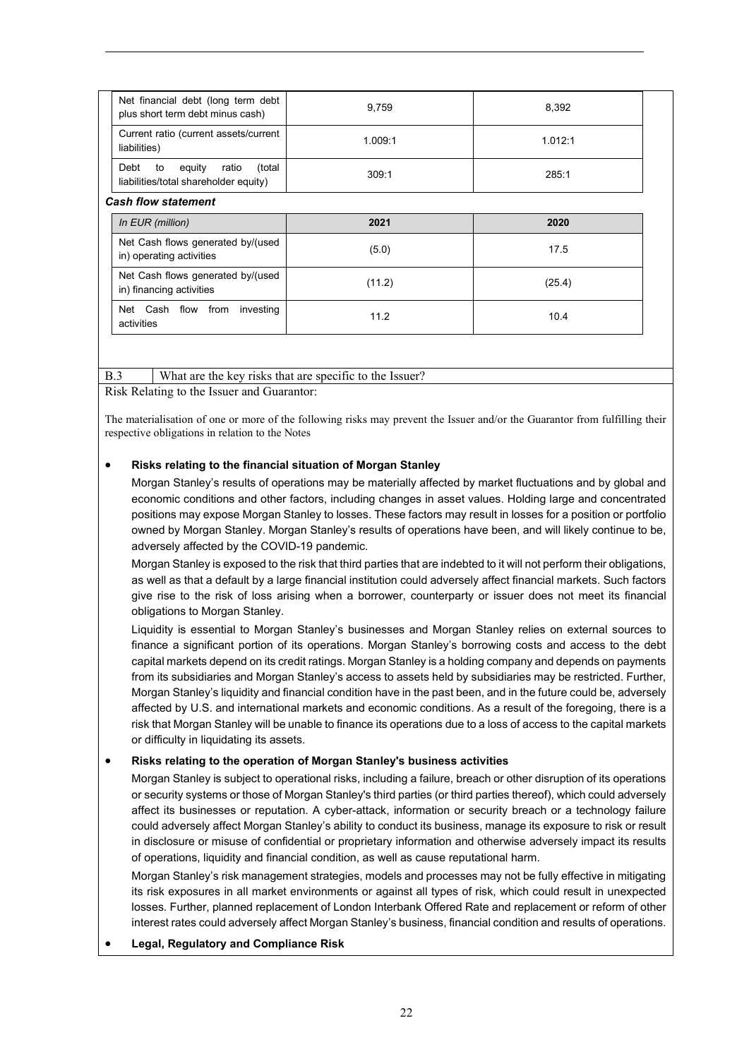| Net financial debt (long term debt<br>plus short term debt minus cash)           | 9.759          | 8,392   |
|----------------------------------------------------------------------------------|----------------|---------|
| Current ratio (current assets/current<br>liabilities)                            | 1.009:1        | 1.012:1 |
| equity<br>Debt<br>ratio<br>(total<br>to<br>liabilities/total shareholder equity) | 309:1<br>285:1 |         |
| <b>Cash flow statement</b>                                                       |                |         |
| In EUR (million)                                                                 | 2021           | 2020    |
|                                                                                  |                |         |
| Net Cash flows generated by/(used<br>in) operating activities                    | (5.0)          | 17.5    |
| Net Cash flows generated by/(used<br>in) financing activities                    | (11.2)         | (25.4)  |

# B.3 What are the key risks that are specific to the Issuer?

Risk Relating to the Issuer and Guarantor:

The materialisation of one or more of the following risks may prevent the Issuer and/or the Guarantor from fulfilling their respective obligations in relation to the Notes

## • **Risks relating to the financial situation of Morgan Stanley**

Morgan Stanley's results of operations may be materially affected by market fluctuations and by global and economic conditions and other factors, including changes in asset values. Holding large and concentrated positions may expose Morgan Stanley to losses. These factors may result in losses for a position or portfolio owned by Morgan Stanley. Morgan Stanley's results of operations have been, and will likely continue to be, adversely affected by the COVID-19 pandemic.

Morgan Stanley is exposed to the risk that third parties that are indebted to it will not perform their obligations, as well as that a default by a large financial institution could adversely affect financial markets. Such factors give rise to the risk of loss arising when a borrower, counterparty or issuer does not meet its financial obligations to Morgan Stanley.

Liquidity is essential to Morgan Stanley's businesses and Morgan Stanley relies on external sources to finance a significant portion of its operations. Morgan Stanley's borrowing costs and access to the debt capital markets depend on its credit ratings. Morgan Stanley is a holding company and depends on payments from its subsidiaries and Morgan Stanley's access to assets held by subsidiaries may be restricted. Further, Morgan Stanley's liquidity and financial condition have in the past been, and in the future could be, adversely affected by U.S. and international markets and economic conditions. As a result of the foregoing, there is a risk that Morgan Stanley will be unable to finance its operations due to a loss of access to the capital markets or difficulty in liquidating its assets.

# • **Risks relating to the operation of Morgan Stanley's business activities**

Morgan Stanley is subject to operational risks, including a failure, breach or other disruption of its operations or security systems or those of Morgan Stanley's third parties (or third parties thereof), which could adversely affect its businesses or reputation. A cyber-attack, information or security breach or a technology failure could adversely affect Morgan Stanley's ability to conduct its business, manage its exposure to risk or result in disclosure or misuse of confidential or proprietary information and otherwise adversely impact its results of operations, liquidity and financial condition, as well as cause reputational harm.

Morgan Stanley's risk management strategies, models and processes may not be fully effective in mitigating its risk exposures in all market environments or against all types of risk, which could result in unexpected losses. Further, planned replacement of London Interbank Offered Rate and replacement or reform of other interest rates could adversely affect Morgan Stanley's business, financial condition and results of operations.

• **Legal, Regulatory and Compliance Risk**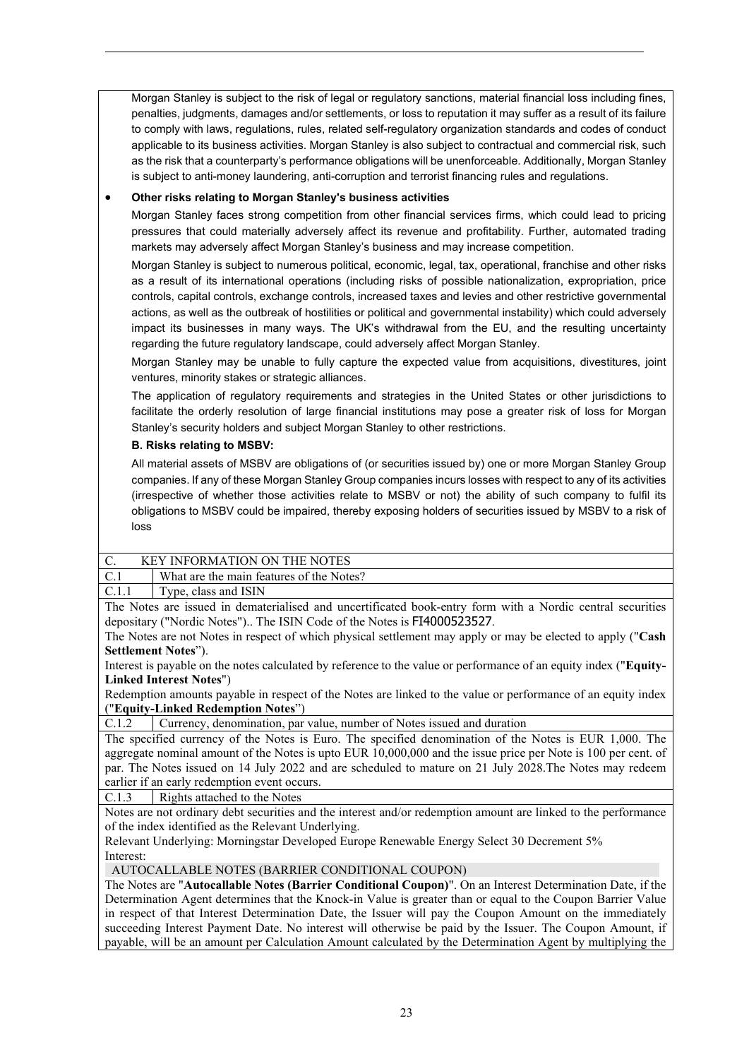Morgan Stanley is subject to the risk of legal or regulatory sanctions, material financial loss including fines, penalties, judgments, damages and/or settlements, or loss to reputation it may suffer as a result of its failure to comply with laws, regulations, rules, related self-regulatory organization standards and codes of conduct applicable to its business activities. Morgan Stanley is also subject to contractual and commercial risk, such as the risk that a counterparty's performance obligations will be unenforceable. Additionally, Morgan Stanley is subject to anti-money laundering, anti-corruption and terrorist financing rules and regulations.

# • **Other risks relating to Morgan Stanley's business activities**

Morgan Stanley faces strong competition from other financial services firms, which could lead to pricing pressures that could materially adversely affect its revenue and profitability. Further, automated trading markets may adversely affect Morgan Stanley's business and may increase competition.

Morgan Stanley is subject to numerous political, economic, legal, tax, operational, franchise and other risks as a result of its international operations (including risks of possible nationalization, expropriation, price controls, capital controls, exchange controls, increased taxes and levies and other restrictive governmental actions, as well as the outbreak of hostilities or political and governmental instability) which could adversely impact its businesses in many ways. The UK's withdrawal from the EU, and the resulting uncertainty regarding the future regulatory landscape, could adversely affect Morgan Stanley.

Morgan Stanley may be unable to fully capture the expected value from acquisitions, divestitures, joint ventures, minority stakes or strategic alliances.

The application of regulatory requirements and strategies in the United States or other jurisdictions to facilitate the orderly resolution of large financial institutions may pose a greater risk of loss for Morgan Stanley's security holders and subject Morgan Stanley to other restrictions.

# **B. Risks relating to MSBV:**

All material assets of MSBV are obligations of (or securities issued by) one or more Morgan Stanley Group companies. If any of these Morgan Stanley Group companies incurs losses with respect to any of its activities (irrespective of whether those activities relate to MSBV or not) the ability of such company to fulfil its obligations to MSBV could be impaired, thereby exposing holders of securities issued by MSBV to a risk of loss

| ככטו  |                                                                                                            |
|-------|------------------------------------------------------------------------------------------------------------|
|       |                                                                                                            |
| C.    | <b>KEY INFORMATION ON THE NOTES</b>                                                                        |
| C.1   | What are the main features of the Notes?                                                                   |
| C.1.1 | Type, class and ISIN                                                                                       |
|       | The Notes are issued in dematerialised and uncertificated book-entry form with a Nordic central securities |
|       |                                                                                                            |

depositary ("Nordic Notes").. The ISIN Code of the Notes is FI4000523527. The Notes are not Notes in respect of which physical settlement may apply or may be elected to apply ("**Cash Settlement Notes**").

Interest is payable on the notes calculated by reference to the value or performance of an equity index ("**Equity-Linked Interest Notes**")

Redemption amounts payable in respect of the Notes are linked to the value or performance of an equity index ("**Equity-Linked Redemption Notes**")

C.1.2 Currency, denomination, par value, number of Notes issued and duration

The specified currency of the Notes is Euro. The specified denomination of the Notes is EUR 1,000. The aggregate nominal amount of the Notes is upto EUR 10,000,000 and the issue price per Note is 100 per cent. of par. The Notes issued on 14 July 2022 and are scheduled to mature on 21 July 2028.The Notes may redeem earlier if an early redemption event occurs.

C.1.3 Rights attached to the Notes

Notes are not ordinary debt securities and the interest and/or redemption amount are linked to the performance of the index identified as the Relevant Underlying.

Relevant Underlying: Morningstar Developed Europe Renewable Energy Select 30 Decrement 5% Interest:

AUTOCALLABLE NOTES (BARRIER CONDITIONAL COUPON)

The Notes are "**Autocallable Notes (Barrier Conditional Coupon)**". On an Interest Determination Date, if the Determination Agent determines that the Knock-in Value is greater than or equal to the Coupon Barrier Value in respect of that Interest Determination Date, the Issuer will pay the Coupon Amount on the immediately succeeding Interest Payment Date. No interest will otherwise be paid by the Issuer. The Coupon Amount, if payable, will be an amount per Calculation Amount calculated by the Determination Agent by multiplying the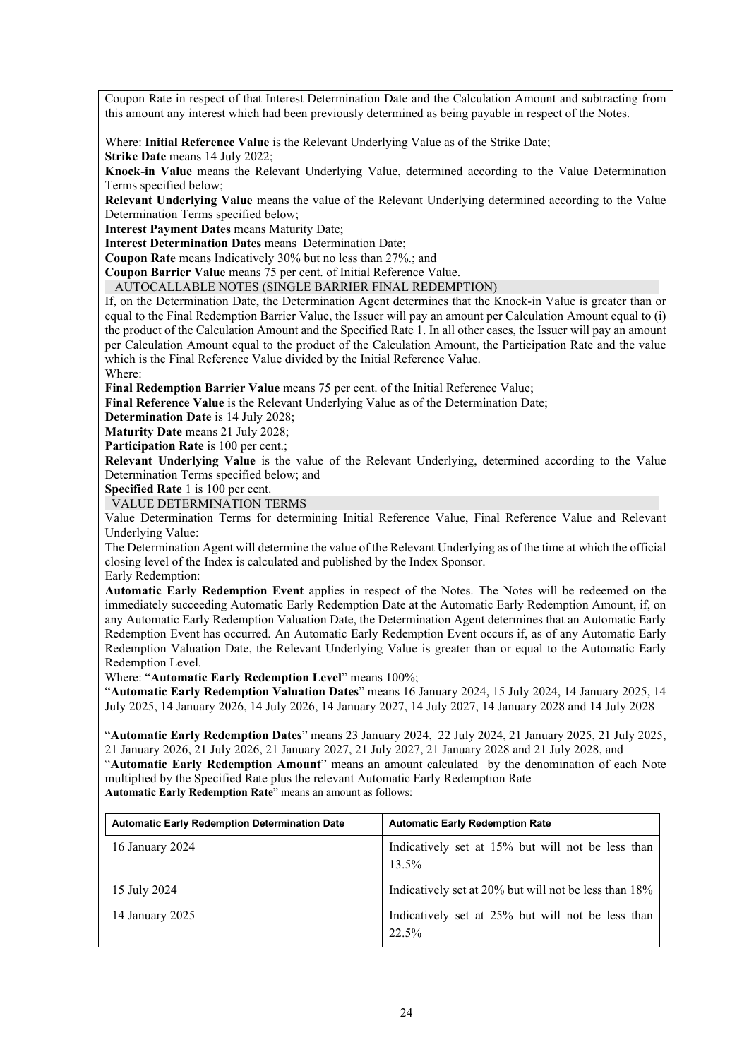Coupon Rate in respect of that Interest Determination Date and the Calculation Amount and subtracting from this amount any interest which had been previously determined as being payable in respect of the Notes.

Where: **Initial Reference Value** is the Relevant Underlying Value as of the Strike Date; **Strike Date** means 14 July 2022;

**Knock-in Value** means the Relevant Underlying Value, determined according to the Value Determination Terms specified below;

**Relevant Underlying Value** means the value of the Relevant Underlying determined according to the Value Determination Terms specified below;

**Interest Payment Dates** means Maturity Date;

**Interest Determination Dates** means Determination Date;

**Coupon Rate** means Indicatively 30% but no less than 27%.; and

**Coupon Barrier Value** means 75 per cent. of Initial Reference Value.

AUTOCALLABLE NOTES (SINGLE BARRIER FINAL REDEMPTION)

If, on the Determination Date, the Determination Agent determines that the Knock-in Value is greater than or equal to the Final Redemption Barrier Value, the Issuer will pay an amount per Calculation Amount equal to (i) the product of the Calculation Amount and the Specified Rate 1. In all other cases, the Issuer will pay an amount per Calculation Amount equal to the product of the Calculation Amount, the Participation Rate and the value which is the Final Reference Value divided by the Initial Reference Value. Where:

**Final Redemption Barrier Value** means 75 per cent. of the Initial Reference Value;

**Final Reference Value** is the Relevant Underlying Value as of the Determination Date;

**Determination Date** is 14 July 2028;

**Maturity Date** means 21 July 2028;

Participation Rate is 100 per cent.;

**Relevant Underlying Value** is the value of the Relevant Underlying, determined according to the Value Determination Terms specified below; and

**Specified Rate** 1 is 100 per cent.

VALUE DETERMINATION TERMS

Value Determination Terms for determining Initial Reference Value, Final Reference Value and Relevant Underlying Value:

The Determination Agent will determine the value of the Relevant Underlying as of the time at which the official closing level of the Index is calculated and published by the Index Sponsor. Early Redemption:

**Automatic Early Redemption Event** applies in respect of the Notes. The Notes will be redeemed on the immediately succeeding Automatic Early Redemption Date at the Automatic Early Redemption Amount, if, on any Automatic Early Redemption Valuation Date, the Determination Agent determines that an Automatic Early Redemption Event has occurred. An Automatic Early Redemption Event occurs if, as of any Automatic Early Redemption Valuation Date, the Relevant Underlying Value is greater than or equal to the Automatic Early Redemption Level.

Where: "**Automatic Early Redemption Level**" means 100%;

"**Automatic Early Redemption Valuation Dates**" means 16 January 2024, 15 July 2024, 14 January 2025, 14 July 2025, 14 January 2026, 14 July 2026, 14 January 2027, 14 July 2027, 14 January 2028 and 14 July 2028

"**Automatic Early Redemption Dates**" means 23 January 2024, 22 July 2024, 21 January 2025, 21 July 2025, 21 January 2026, 21 July 2026, 21 January 2027, 21 July 2027, 21 January 2028 and 21 July 2028, and "**Automatic Early Redemption Amount**" means an amount calculated by the denomination of each Note multiplied by the Specified Rate plus the relevant Automatic Early Redemption Rate **Automatic Early Redemption Rate**" means an amount as follows:

**Automatic Early Redemption Determination Date Automatic Early Redemption Rate** 16 January 2024 Indicatively set at 15% but will not be less than 13.5% 15 July 2024 Indicatively set at 20% but will not be less than 18% 14 January 2025 **Indicatively set at 25% but will not be less than** 22.5%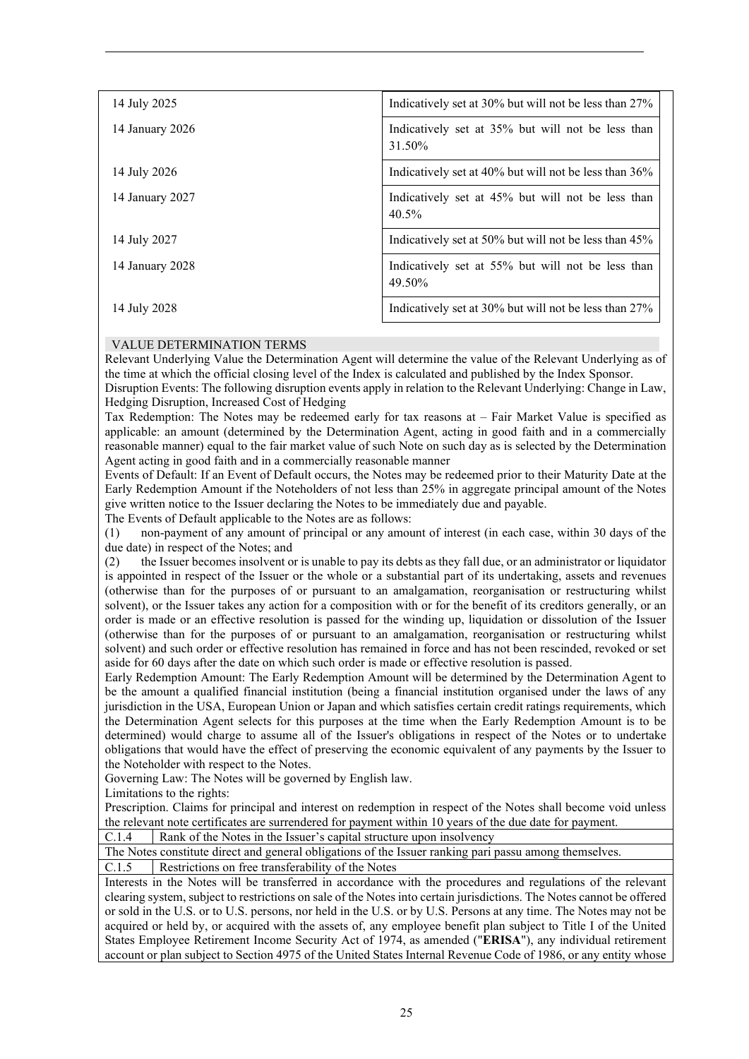| 14 July 2025    | Indicatively set at 30% but will not be less than 27%       |
|-----------------|-------------------------------------------------------------|
| 14 January 2026 | Indicatively set at 35% but will not be less than<br>31.50% |
| 14 July 2026    | Indicatively set at 40% but will not be less than 36%       |
| 14 January 2027 | Indicatively set at 45% but will not be less than<br>40.5%  |
| 14 July 2027    | Indicatively set at 50% but will not be less than 45%       |
| 14 January 2028 | Indicatively set at 55% but will not be less than<br>49.50% |
| 14 July 2028    | Indicatively set at 30% but will not be less than 27%       |

# VALUE DETERMINATION TERMS

Relevant Underlying Value the Determination Agent will determine the value of the Relevant Underlying as of the time at which the official closing level of the Index is calculated and published by the Index Sponsor.

Disruption Events: The following disruption events apply in relation to the Relevant Underlying: Change in Law, Hedging Disruption, Increased Cost of Hedging

Tax Redemption: The Notes may be redeemed early for tax reasons at – Fair Market Value is specified as applicable: an amount (determined by the Determination Agent, acting in good faith and in a commercially reasonable manner) equal to the fair market value of such Note on such day as is selected by the Determination Agent acting in good faith and in a commercially reasonable manner

Events of Default: If an Event of Default occurs, the Notes may be redeemed prior to their Maturity Date at the Early Redemption Amount if the Noteholders of not less than 25% in aggregate principal amount of the Notes give written notice to the Issuer declaring the Notes to be immediately due and payable.

The Events of Default applicable to the Notes are as follows:

(1) non-payment of any amount of principal or any amount of interest (in each case, within 30 days of the due date) in respect of the Notes; and

(2) the Issuer becomes insolvent or is unable to pay its debts as they fall due, or an administrator or liquidator is appointed in respect of the Issuer or the whole or a substantial part of its undertaking, assets and revenues (otherwise than for the purposes of or pursuant to an amalgamation, reorganisation or restructuring whilst solvent), or the Issuer takes any action for a composition with or for the benefit of its creditors generally, or an order is made or an effective resolution is passed for the winding up, liquidation or dissolution of the Issuer (otherwise than for the purposes of or pursuant to an amalgamation, reorganisation or restructuring whilst solvent) and such order or effective resolution has remained in force and has not been rescinded, revoked or set aside for 60 days after the date on which such order is made or effective resolution is passed.

Early Redemption Amount: The Early Redemption Amount will be determined by the Determination Agent to be the amount a qualified financial institution (being a financial institution organised under the laws of any jurisdiction in the USA, European Union or Japan and which satisfies certain credit ratings requirements, which the Determination Agent selects for this purposes at the time when the Early Redemption Amount is to be determined) would charge to assume all of the Issuer's obligations in respect of the Notes or to undertake obligations that would have the effect of preserving the economic equivalent of any payments by the Issuer to the Noteholder with respect to the Notes.

Governing Law: The Notes will be governed by English law.

Limitations to the rights:

Prescription. Claims for principal and interest on redemption in respect of the Notes shall become void unless the relevant note certificates are surrendered for payment within 10 years of the due date for payment.

C.1.4 Rank of the Notes in the Issuer's capital structure upon insolvency

The Notes constitute direct and general obligations of the Issuer ranking pari passu among themselves.

C.1.5 Restrictions on free transferability of the Notes

Interests in the Notes will be transferred in accordance with the procedures and regulations of the relevant clearing system, subject to restrictions on sale of the Notes into certain jurisdictions. The Notes cannot be offered or sold in the U.S. or to U.S. persons, nor held in the U.S. or by U.S. Persons at any time. The Notes may not be acquired or held by, or acquired with the assets of, any employee benefit plan subject to Title I of the United States Employee Retirement Income Security Act of 1974, as amended ("**ERISA**"), any individual retirement account or plan subject to Section 4975 of the United States Internal Revenue Code of 1986, or any entity whose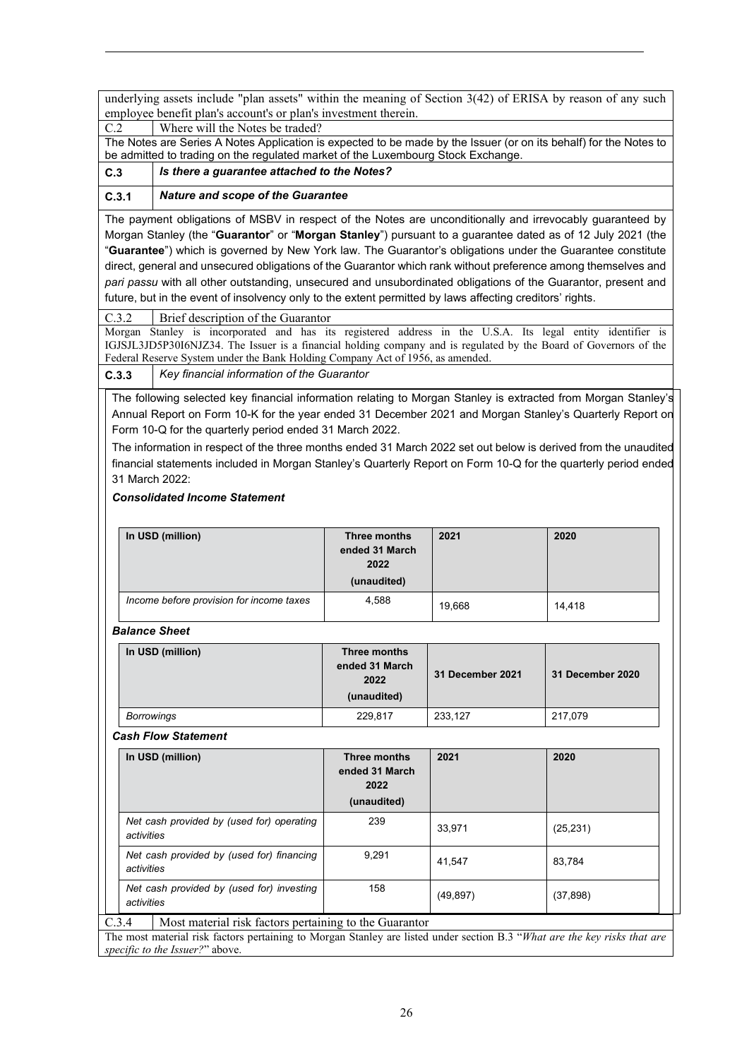underlying assets include "plan assets" within the meaning of Section 3(42) of ERISA by reason of any such employee benefit plan's account's or plan's investment therein.

C.2 Where will the Notes be traded?

The Notes are Series A Notes Application is expected to be made by the Issuer (or on its behalf) for the Notes to be admitted to trading on the regulated market of the Luxembourg Stock Exchange.

**C.3** *Is there a guarantee attached to the Notes?*

# **C.3.1** *Nature and scope of the Guarantee*

The payment obligations of MSBV in respect of the Notes are unconditionally and irrevocably guaranteed by Morgan Stanley (the "**Guarantor**" or "**Morgan Stanley**") pursuant to a guarantee dated as of 12 July 2021 (the "**Guarantee**") which is governed by New York law. The Guarantor's obligations under the Guarantee constitute direct, general and unsecured obligations of the Guarantor which rank without preference among themselves and *pari passu* with all other outstanding, unsecured and unsubordinated obligations of the Guarantor, present and future, but in the event of insolvency only to the extent permitted by laws affecting creditors' rights.

C.3.2 Brief description of the Guarantor

Morgan Stanley is incorporated and has its registered address in the U.S.A. Its legal entity identifier is IGJSJL3JD5P30I6NJZ34. The Issuer is a financial holding company and is regulated by the Board of Governors of the Federal Reserve System under the Bank Holding Company Act of 1956, as amended.

**C.3.3** *Key financial information of the Guarantor*

The following selected key financial information relating to Morgan Stanley is extracted from Morgan Stanley's Annual Report on Form 10-K for the year ended 31 December 2021 and Morgan Stanley's Quarterly Report on Form 10-Q for the quarterly period ended 31 March 2022.

The information in respect of the three months ended 31 March 2022 set out below is derived from the unaudited financial statements included in Morgan Stanley's Quarterly Report on Form 10-Q for the quarterly period ended 31 March 2022:

# *Consolidated Income Statement*

| In USD (million)                         | Three months<br>ended 31 March<br>2022<br>(unaudited) | 2021   | 2020   |
|------------------------------------------|-------------------------------------------------------|--------|--------|
| Income before provision for income taxes | 4,588                                                 | 19,668 | 14,418 |

## *Balance Sheet*

| In USD (million)                                        | <b>Three months</b><br>ended 31 March<br>2022<br>(unaudited) | 31 December 2021 | 31 December 2020 |
|---------------------------------------------------------|--------------------------------------------------------------|------------------|------------------|
| <b>Borrowings</b>                                       | 229,817                                                      | 233,127          | 217,079          |
| <b>Cash Flow Statement</b>                              |                                                              |                  |                  |
| In USD (million)                                        | Three months<br>ended 31 March<br>2022<br>(unaudited)        | 2021             | 2020             |
| Net cash provided by (used for) operating<br>activities | 239                                                          | 33,971           | (25, 231)        |
| Net cash provided by (used for) financing<br>activities | 9,291                                                        | 41,547           | 83,784           |
| Net cash provided by (used for) investing<br>activities | 158                                                          | (49, 897)        | (37, 898)        |

C.3.4 Most material risk factors pertaining to the Guarantor

The most material risk factors pertaining to Morgan Stanley are listed under section B.3 "*What are the key risks that are specific to the Issuer?*" above.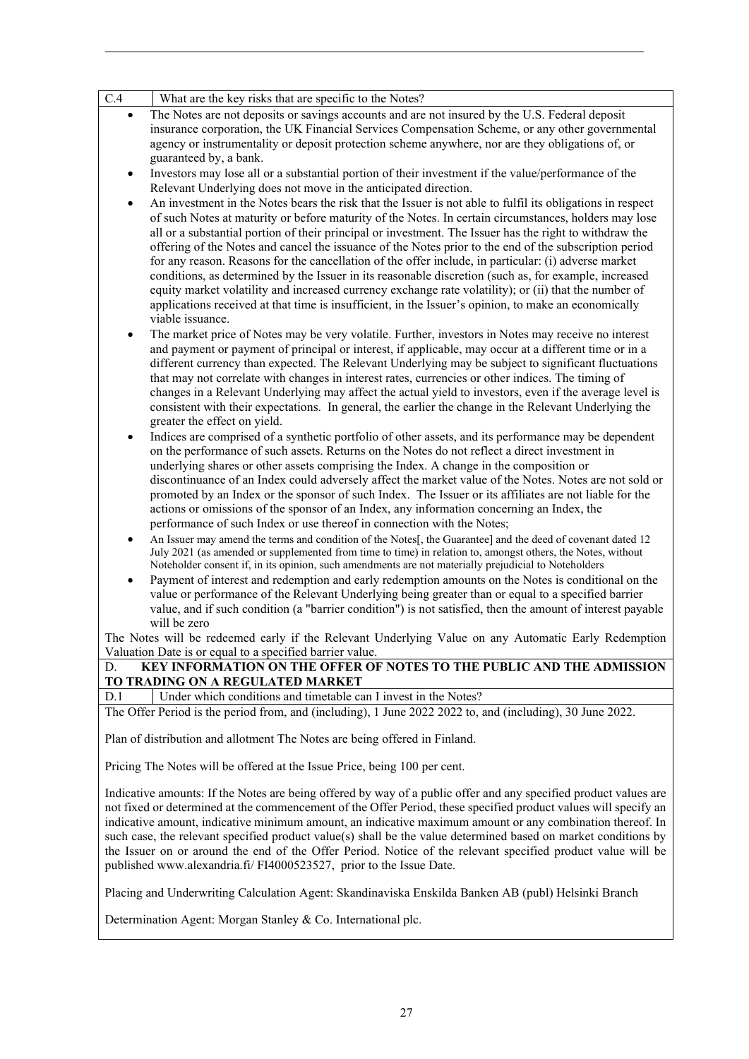| C.4<br>What are the key risks that are specific to the Notes?                                                                                                                                                                                                                                                                                                                                                                                                                                                                                                                                                                                           |
|---------------------------------------------------------------------------------------------------------------------------------------------------------------------------------------------------------------------------------------------------------------------------------------------------------------------------------------------------------------------------------------------------------------------------------------------------------------------------------------------------------------------------------------------------------------------------------------------------------------------------------------------------------|
| The Notes are not deposits or savings accounts and are not insured by the U.S. Federal deposit<br>$\bullet$                                                                                                                                                                                                                                                                                                                                                                                                                                                                                                                                             |
| insurance corporation, the UK Financial Services Compensation Scheme, or any other governmental                                                                                                                                                                                                                                                                                                                                                                                                                                                                                                                                                         |
| agency or instrumentality or deposit protection scheme anywhere, nor are they obligations of, or                                                                                                                                                                                                                                                                                                                                                                                                                                                                                                                                                        |
| guaranteed by, a bank.                                                                                                                                                                                                                                                                                                                                                                                                                                                                                                                                                                                                                                  |
| Investors may lose all or a substantial portion of their investment if the value/performance of the<br>$\bullet$                                                                                                                                                                                                                                                                                                                                                                                                                                                                                                                                        |
| Relevant Underlying does not move in the anticipated direction.                                                                                                                                                                                                                                                                                                                                                                                                                                                                                                                                                                                         |
| An investment in the Notes bears the risk that the Issuer is not able to fulfil its obligations in respect                                                                                                                                                                                                                                                                                                                                                                                                                                                                                                                                              |
| of such Notes at maturity or before maturity of the Notes. In certain circumstances, holders may lose                                                                                                                                                                                                                                                                                                                                                                                                                                                                                                                                                   |
| all or a substantial portion of their principal or investment. The Issuer has the right to withdraw the                                                                                                                                                                                                                                                                                                                                                                                                                                                                                                                                                 |
| offering of the Notes and cancel the issuance of the Notes prior to the end of the subscription period                                                                                                                                                                                                                                                                                                                                                                                                                                                                                                                                                  |
| for any reason. Reasons for the cancellation of the offer include, in particular: (i) adverse market                                                                                                                                                                                                                                                                                                                                                                                                                                                                                                                                                    |
| conditions, as determined by the Issuer in its reasonable discretion (such as, for example, increased<br>equity market volatility and increased currency exchange rate volatility); or (ii) that the number of                                                                                                                                                                                                                                                                                                                                                                                                                                          |
| applications received at that time is insufficient, in the Issuer's opinion, to make an economically                                                                                                                                                                                                                                                                                                                                                                                                                                                                                                                                                    |
| viable issuance.                                                                                                                                                                                                                                                                                                                                                                                                                                                                                                                                                                                                                                        |
| The market price of Notes may be very volatile. Further, investors in Notes may receive no interest                                                                                                                                                                                                                                                                                                                                                                                                                                                                                                                                                     |
| and payment or payment of principal or interest, if applicable, may occur at a different time or in a                                                                                                                                                                                                                                                                                                                                                                                                                                                                                                                                                   |
| different currency than expected. The Relevant Underlying may be subject to significant fluctuations                                                                                                                                                                                                                                                                                                                                                                                                                                                                                                                                                    |
| that may not correlate with changes in interest rates, currencies or other indices. The timing of                                                                                                                                                                                                                                                                                                                                                                                                                                                                                                                                                       |
| changes in a Relevant Underlying may affect the actual yield to investors, even if the average level is                                                                                                                                                                                                                                                                                                                                                                                                                                                                                                                                                 |
| consistent with their expectations. In general, the earlier the change in the Relevant Underlying the                                                                                                                                                                                                                                                                                                                                                                                                                                                                                                                                                   |
| greater the effect on yield.                                                                                                                                                                                                                                                                                                                                                                                                                                                                                                                                                                                                                            |
| Indices are comprised of a synthetic portfolio of other assets, and its performance may be dependent                                                                                                                                                                                                                                                                                                                                                                                                                                                                                                                                                    |
| on the performance of such assets. Returns on the Notes do not reflect a direct investment in                                                                                                                                                                                                                                                                                                                                                                                                                                                                                                                                                           |
| underlying shares or other assets comprising the Index. A change in the composition or                                                                                                                                                                                                                                                                                                                                                                                                                                                                                                                                                                  |
| discontinuance of an Index could adversely affect the market value of the Notes. Notes are not sold or                                                                                                                                                                                                                                                                                                                                                                                                                                                                                                                                                  |
| promoted by an Index or the sponsor of such Index. The Issuer or its affiliates are not liable for the                                                                                                                                                                                                                                                                                                                                                                                                                                                                                                                                                  |
| actions or omissions of the sponsor of an Index, any information concerning an Index, the<br>performance of such Index or use thereof in connection with the Notes;                                                                                                                                                                                                                                                                                                                                                                                                                                                                                     |
| An Issuer may amend the terms and condition of the Notes <sup>[1]</sup> , the Guarantee] and the deed of covenant dated 12<br>$\bullet$                                                                                                                                                                                                                                                                                                                                                                                                                                                                                                                 |
| July 2021 (as amended or supplemented from time to time) in relation to, amongst others, the Notes, without                                                                                                                                                                                                                                                                                                                                                                                                                                                                                                                                             |
| Noteholder consent if, in its opinion, such amendments are not materially prejudicial to Noteholders                                                                                                                                                                                                                                                                                                                                                                                                                                                                                                                                                    |
| Payment of interest and redemption and early redemption amounts on the Notes is conditional on the                                                                                                                                                                                                                                                                                                                                                                                                                                                                                                                                                      |
| value or performance of the Relevant Underlying being greater than or equal to a specified barrier                                                                                                                                                                                                                                                                                                                                                                                                                                                                                                                                                      |
| value, and if such condition (a "barrier condition") is not satisfied, then the amount of interest payable                                                                                                                                                                                                                                                                                                                                                                                                                                                                                                                                              |
| will be zero                                                                                                                                                                                                                                                                                                                                                                                                                                                                                                                                                                                                                                            |
| The Notes will be redeemed early if the Relevant Underlying Value on any Automatic Early Redemption                                                                                                                                                                                                                                                                                                                                                                                                                                                                                                                                                     |
| Valuation Date is or equal to a specified barrier value.                                                                                                                                                                                                                                                                                                                                                                                                                                                                                                                                                                                                |
| KEY INFORMATION ON THE OFFER OF NOTES TO THE PUBLIC AND THE ADMISSION<br>D.                                                                                                                                                                                                                                                                                                                                                                                                                                                                                                                                                                             |
| TO TRADING ON A REGULATED MARKET<br>Under which conditions and timetable can I invest in the Notes?                                                                                                                                                                                                                                                                                                                                                                                                                                                                                                                                                     |
| D.1<br>The Offer Period is the period from, and (including), 1 June 2022 2022 to, and (including), 30 June 2022.                                                                                                                                                                                                                                                                                                                                                                                                                                                                                                                                        |
|                                                                                                                                                                                                                                                                                                                                                                                                                                                                                                                                                                                                                                                         |
| Plan of distribution and allotment The Notes are being offered in Finland.                                                                                                                                                                                                                                                                                                                                                                                                                                                                                                                                                                              |
| Pricing The Notes will be offered at the Issue Price, being 100 per cent.                                                                                                                                                                                                                                                                                                                                                                                                                                                                                                                                                                               |
| Indicative amounts: If the Notes are being offered by way of a public offer and any specified product values are<br>not fixed or determined at the commencement of the Offer Period, these specified product values will specify an<br>indicative amount, indicative minimum amount, an indicative maximum amount or any combination thereof. In<br>such case, the relevant specified product value(s) shall be the value determined based on market conditions by<br>the Issuer on or around the end of the Offer Period. Notice of the relevant specified product value will be<br>published www.alexandria.fi/FI4000523527, prior to the Issue Date. |
| Placing and Underwriting Calculation Agent: Skandinaviska Enskilda Banken AB (publ) Helsinki Branch                                                                                                                                                                                                                                                                                                                                                                                                                                                                                                                                                     |
|                                                                                                                                                                                                                                                                                                                                                                                                                                                                                                                                                                                                                                                         |

Determination Agent: Morgan Stanley & Co. International plc.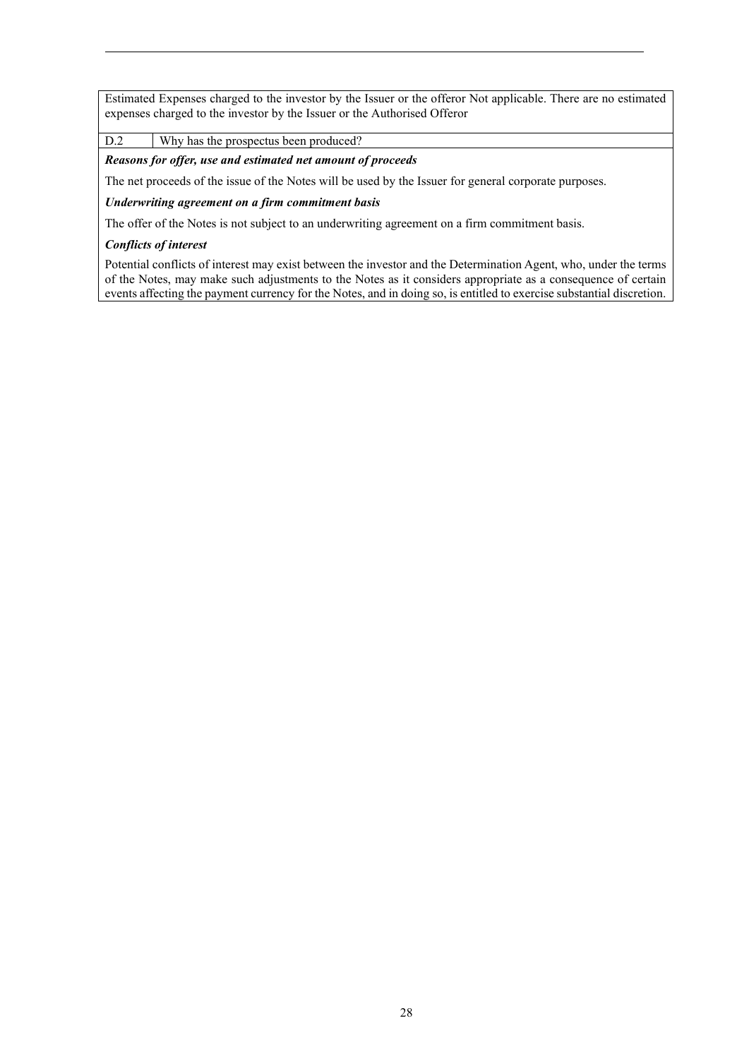Estimated Expenses charged to the investor by the Issuer or the offeror Not applicable. There are no estimated expenses charged to the investor by the Issuer or the Authorised Offeror

D.2 Why has the prospectus been produced?

*Reasons for offer, use and estimated net amount of proceeds*

The net proceeds of the issue of the Notes will be used by the Issuer for general corporate purposes.

### *Underwriting agreement on a firm commitment basis*

The offer of the Notes is not subject to an underwriting agreement on a firm commitment basis.

## *Conflicts of interest*

Potential conflicts of interest may exist between the investor and the Determination Agent, who, under the terms of the Notes, may make such adjustments to the Notes as it considers appropriate as a consequence of certain events affecting the payment currency for the Notes, and in doing so, is entitled to exercise substantial discretion.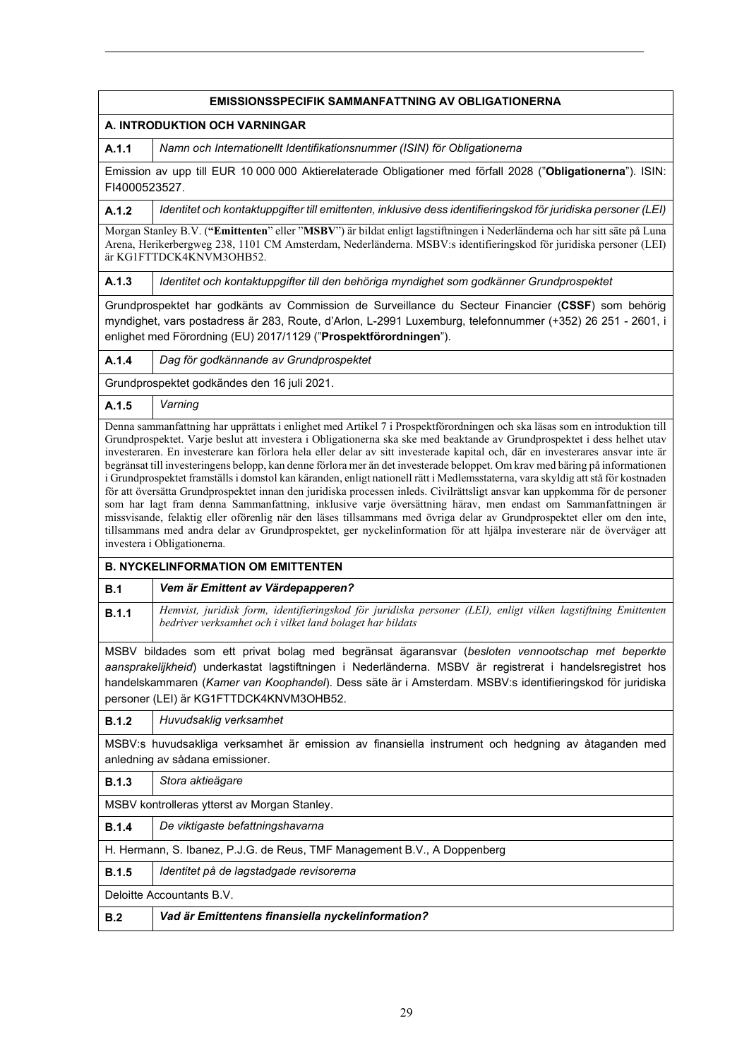| <b>EMISSIONSSPECIFIK SAMMANFATTNING AV OBLIGATIONERNA</b>                                                                                                                                                                                                                                                                                                                                                                                                                                                                                                                                                                                                                                                                                                                                                                                                                                                                          |                                                                                                                                                                                                                                                                                      |  |  |  |
|------------------------------------------------------------------------------------------------------------------------------------------------------------------------------------------------------------------------------------------------------------------------------------------------------------------------------------------------------------------------------------------------------------------------------------------------------------------------------------------------------------------------------------------------------------------------------------------------------------------------------------------------------------------------------------------------------------------------------------------------------------------------------------------------------------------------------------------------------------------------------------------------------------------------------------|--------------------------------------------------------------------------------------------------------------------------------------------------------------------------------------------------------------------------------------------------------------------------------------|--|--|--|
| A. INTRODUKTION OCH VARNINGAR                                                                                                                                                                                                                                                                                                                                                                                                                                                                                                                                                                                                                                                                                                                                                                                                                                                                                                      |                                                                                                                                                                                                                                                                                      |  |  |  |
| A.1.1                                                                                                                                                                                                                                                                                                                                                                                                                                                                                                                                                                                                                                                                                                                                                                                                                                                                                                                              | Namn och Internationellt Identifikationsnummer (ISIN) för Obligationerna                                                                                                                                                                                                             |  |  |  |
|                                                                                                                                                                                                                                                                                                                                                                                                                                                                                                                                                                                                                                                                                                                                                                                                                                                                                                                                    | Emission av upp till EUR 10 000 000 Aktierelaterade Obligationer med förfall 2028 ("Obligationerna"). ISIN:<br>FI4000523527.                                                                                                                                                         |  |  |  |
| A.1.2                                                                                                                                                                                                                                                                                                                                                                                                                                                                                                                                                                                                                                                                                                                                                                                                                                                                                                                              | Identitet och kontaktuppgifter till emittenten, inklusive dess identifieringskod för juridiska personer (LEI)                                                                                                                                                                        |  |  |  |
|                                                                                                                                                                                                                                                                                                                                                                                                                                                                                                                                                                                                                                                                                                                                                                                                                                                                                                                                    | Morgan Stanley B.V. ("Emittenten" eller "MSBV") är bildat enligt lagstiftningen i Nederländerna och har sitt säte på Luna<br>Arena, Herikerbergweg 238, 1101 CM Amsterdam, Nederländerna. MSBV:s identifieringskod för juridiska personer (LEI)<br>är KG1FTTDCK4KNVM3OHB52.          |  |  |  |
| A.1.3                                                                                                                                                                                                                                                                                                                                                                                                                                                                                                                                                                                                                                                                                                                                                                                                                                                                                                                              | Identitet och kontaktuppgifter till den behöriga myndighet som godkänner Grundprospektet                                                                                                                                                                                             |  |  |  |
|                                                                                                                                                                                                                                                                                                                                                                                                                                                                                                                                                                                                                                                                                                                                                                                                                                                                                                                                    | Grundprospektet har godkänts av Commission de Surveillance du Secteur Financier (CSSF) som behörig<br>myndighet, vars postadress är 283, Route, d'Arlon, L-2991 Luxemburg, telefonnummer (+352) 26 251 - 2601, i<br>enlighet med Förordning (EU) 2017/1129 ("Prospektförordningen"). |  |  |  |
| A.1.4                                                                                                                                                                                                                                                                                                                                                                                                                                                                                                                                                                                                                                                                                                                                                                                                                                                                                                                              | Dag för godkännande av Grundprospektet                                                                                                                                                                                                                                               |  |  |  |
|                                                                                                                                                                                                                                                                                                                                                                                                                                                                                                                                                                                                                                                                                                                                                                                                                                                                                                                                    | Grundprospektet godkändes den 16 juli 2021.                                                                                                                                                                                                                                          |  |  |  |
| A.1.5                                                                                                                                                                                                                                                                                                                                                                                                                                                                                                                                                                                                                                                                                                                                                                                                                                                                                                                              | Varning                                                                                                                                                                                                                                                                              |  |  |  |
| investeraren. En investerare kan förlora hela eller delar av sitt investerade kapital och, där en investerares ansvar inte är<br>begränsat till investeringens belopp, kan denne förlora mer än det investerade beloppet. Om krav med bäring på informationen<br>i Grundprospektet framställs i domstol kan käranden, enligt nationell rätt i Medlemsstaterna, vara skyldig att stå för kostnaden<br>för att översätta Grundprospektet innan den juridiska processen inleds. Civilrättsligt ansvar kan uppkomma för de personer<br>som har lagt fram denna Sammanfattning, inklusive varje översättning härav, men endast om Sammanfattningen är<br>missvisande, felaktig eller oförenlig när den läses tillsammans med övriga delar av Grundprospektet eller om den inte,<br>tillsammans med andra delar av Grundprospektet, ger nyckelinformation för att hjälpa investerare när de överväger att<br>investera i Obligationerna. |                                                                                                                                                                                                                                                                                      |  |  |  |
|                                                                                                                                                                                                                                                                                                                                                                                                                                                                                                                                                                                                                                                                                                                                                                                                                                                                                                                                    | <b>B. NYCKELINFORMATION OM EMITTENTEN</b>                                                                                                                                                                                                                                            |  |  |  |
| B.1                                                                                                                                                                                                                                                                                                                                                                                                                                                                                                                                                                                                                                                                                                                                                                                                                                                                                                                                | Vem är Emittent av Värdepapperen?                                                                                                                                                                                                                                                    |  |  |  |
| B.1.1                                                                                                                                                                                                                                                                                                                                                                                                                                                                                                                                                                                                                                                                                                                                                                                                                                                                                                                              | Hemvist, juridisk form, identifieringskod för juridiska personer (LEI), enligt vilken lagstiftning Emittenten<br>bedriver verksamhet och i vilket land bolaget har bildats                                                                                                           |  |  |  |
| MSBV bildades som ett privat bolag med begränsat ägaransvar (besloten vennootschap met beperkte<br>aansprakelijkheid) underkastat lagstiftningen i Nederländerna. MSBV är registrerat i handelsregistret hos<br>handelskammaren (Kamer van Koophandel). Dess säte är i Amsterdam. MSBV:s identifieringskod för juridiska<br>personer (LEI) är KG1FTTDCK4KNVM3OHB52.                                                                                                                                                                                                                                                                                                                                                                                                                                                                                                                                                                |                                                                                                                                                                                                                                                                                      |  |  |  |
| <b>B.1.2</b>                                                                                                                                                                                                                                                                                                                                                                                                                                                                                                                                                                                                                                                                                                                                                                                                                                                                                                                       | Huvudsaklig verksamhet                                                                                                                                                                                                                                                               |  |  |  |
| MSBV:s huvudsakliga verksamhet är emission av finansiella instrument och hedgning av åtaganden med<br>anledning av sådana emissioner.                                                                                                                                                                                                                                                                                                                                                                                                                                                                                                                                                                                                                                                                                                                                                                                              |                                                                                                                                                                                                                                                                                      |  |  |  |
| B.1.3                                                                                                                                                                                                                                                                                                                                                                                                                                                                                                                                                                                                                                                                                                                                                                                                                                                                                                                              | Stora aktieägare                                                                                                                                                                                                                                                                     |  |  |  |
| MSBV kontrolleras ytterst av Morgan Stanley.                                                                                                                                                                                                                                                                                                                                                                                                                                                                                                                                                                                                                                                                                                                                                                                                                                                                                       |                                                                                                                                                                                                                                                                                      |  |  |  |
| <b>B.1.4</b>                                                                                                                                                                                                                                                                                                                                                                                                                                                                                                                                                                                                                                                                                                                                                                                                                                                                                                                       | De viktigaste befattningshavarna                                                                                                                                                                                                                                                     |  |  |  |
| H. Hermann, S. Ibanez, P.J.G. de Reus, TMF Management B.V., A Doppenberg                                                                                                                                                                                                                                                                                                                                                                                                                                                                                                                                                                                                                                                                                                                                                                                                                                                           |                                                                                                                                                                                                                                                                                      |  |  |  |
| <b>B.1.5</b>                                                                                                                                                                                                                                                                                                                                                                                                                                                                                                                                                                                                                                                                                                                                                                                                                                                                                                                       | Identitet på de lagstadgade revisorerna                                                                                                                                                                                                                                              |  |  |  |
|                                                                                                                                                                                                                                                                                                                                                                                                                                                                                                                                                                                                                                                                                                                                                                                                                                                                                                                                    | Deloitte Accountants B.V.                                                                                                                                                                                                                                                            |  |  |  |
| B.2                                                                                                                                                                                                                                                                                                                                                                                                                                                                                                                                                                                                                                                                                                                                                                                                                                                                                                                                | Vad är Emittentens finansiella nyckelinformation?                                                                                                                                                                                                                                    |  |  |  |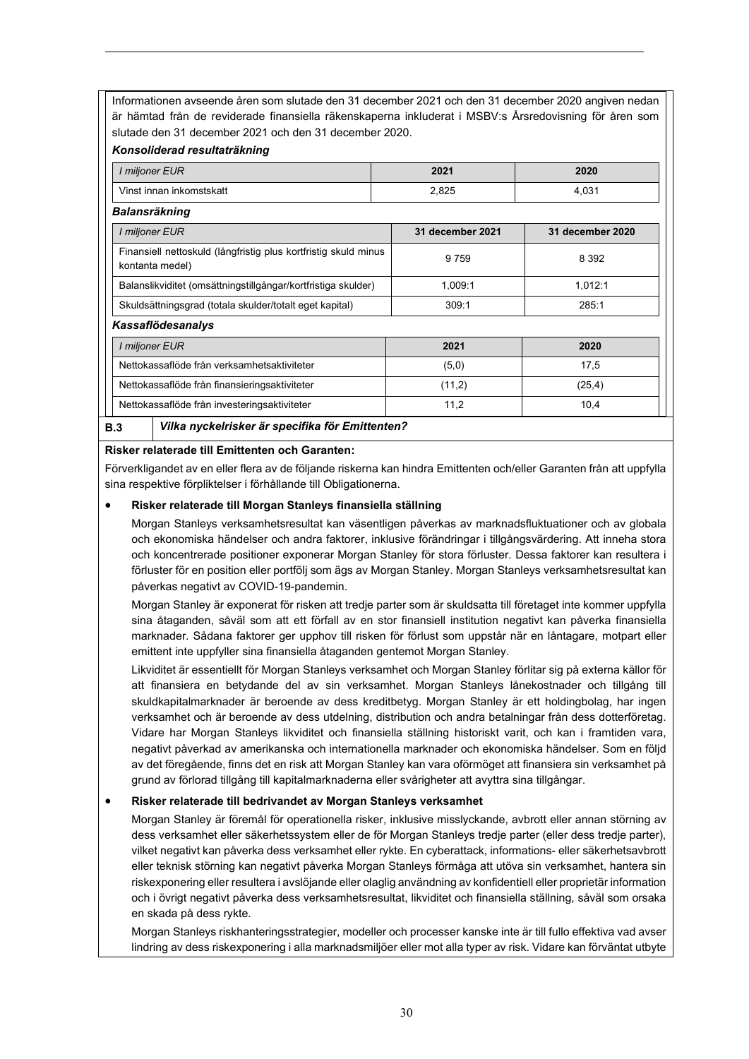Informationen avseende åren som slutade den 31 december 2021 och den 31 december 2020 angiven nedan är hämtad från de reviderade finansiella räkenskaperna inkluderat i MSBV:s Årsredovisning för åren som slutade den 31 december 2021 och den 31 december 2020.

## *Konsoliderad resultaträkning*

| I miljoner EUR                                                                     | 2021             | 2020             |  |  |  |
|------------------------------------------------------------------------------------|------------------|------------------|--|--|--|
| Vinst innan inkomstskatt                                                           | 2,825            | 4,031            |  |  |  |
| <b>Balansräkning</b>                                                               |                  |                  |  |  |  |
| I miljoner EUR                                                                     | 31 december 2021 | 31 december 2020 |  |  |  |
| Finansiell nettoskuld (långfristig plus kortfristig skuld minus<br>kontanta medel) | 9 7 5 9          | 8 3 9 2          |  |  |  |
| Balanslikviditet (omsättningstillgångar/kortfristiga skulder)                      | 1,009:1          | 1,012:1          |  |  |  |
| Skuldsättningsgrad (totala skulder/totalt eget kapital)                            | 309:1            | 285:1            |  |  |  |
| <b>Kassaflödesanalys</b>                                                           |                  |                  |  |  |  |
| I miljoner EUR                                                                     | 2021             | 2020             |  |  |  |
| Nettokassaflöde från verksamhetsaktiviteter                                        | (5,0)            | 17,5             |  |  |  |
| Nettokassaflöde från finansieringsaktiviteter                                      | (11,2)           | (25, 4)          |  |  |  |
| Nettokassaflöde från investeringsaktiviteter                                       | 11,2             | 10,4             |  |  |  |
| Vilka nyckelrisker är specifika för Emittenten?<br>B.3                             |                  |                  |  |  |  |

#### **Risker relaterade till Emittenten och Garanten:**

Förverkligandet av en eller flera av de följande riskerna kan hindra Emittenten och/eller Garanten från att uppfylla sina respektive förpliktelser i förhållande till Obligationerna.

## • **Risker relaterade till Morgan Stanleys finansiella ställning**

Morgan Stanleys verksamhetsresultat kan väsentligen påverkas av marknadsfluktuationer och av globala och ekonomiska händelser och andra faktorer, inklusive förändringar i tillgångsvärdering. Att inneha stora och koncentrerade positioner exponerar Morgan Stanley för stora förluster. Dessa faktorer kan resultera i förluster för en position eller portfölj som ägs av Morgan Stanley. Morgan Stanleys verksamhetsresultat kan påverkas negativt av COVID-19-pandemin.

Morgan Stanley är exponerat för risken att tredje parter som är skuldsatta till företaget inte kommer uppfylla sina åtaganden, såväl som att ett förfall av en stor finansiell institution negativt kan påverka finansiella marknader. Sådana faktorer ger upphov till risken för förlust som uppstår när en låntagare, motpart eller emittent inte uppfyller sina finansiella åtaganden gentemot Morgan Stanley.

Likviditet är essentiellt för Morgan Stanleys verksamhet och Morgan Stanley förlitar sig på externa källor för att finansiera en betydande del av sin verksamhet. Morgan Stanleys lånekostnader och tillgång till skuldkapitalmarknader är beroende av dess kreditbetyg. Morgan Stanley är ett holdingbolag, har ingen verksamhet och är beroende av dess utdelning, distribution och andra betalningar från dess dotterföretag. Vidare har Morgan Stanleys likviditet och finansiella ställning historiskt varit, och kan i framtiden vara, negativt påverkad av amerikanska och internationella marknader och ekonomiska händelser. Som en följd av det föregående, finns det en risk att Morgan Stanley kan vara oförmöget att finansiera sin verksamhet på grund av förlorad tillgång till kapitalmarknaderna eller svårigheter att avyttra sina tillgångar.

#### • **Risker relaterade till bedrivandet av Morgan Stanleys verksamhet**

Morgan Stanley är föremål för operationella risker, inklusive misslyckande, avbrott eller annan störning av dess verksamhet eller säkerhetssystem eller de för Morgan Stanleys tredje parter (eller dess tredje parter), vilket negativt kan påverka dess verksamhet eller rykte. En cyberattack, informations- eller säkerhetsavbrott eller teknisk störning kan negativt påverka Morgan Stanleys förmåga att utöva sin verksamhet, hantera sin riskexponering eller resultera i avslöjande eller olaglig användning av konfidentiell eller proprietär information och i övrigt negativt påverka dess verksamhetsresultat, likviditet och finansiella ställning, såväl som orsaka en skada på dess rykte.

Morgan Stanleys riskhanteringsstrategier, modeller och processer kanske inte är till fullo effektiva vad avser lindring av dess riskexponering i alla marknadsmiljöer eller mot alla typer av risk. Vidare kan förväntat utbyte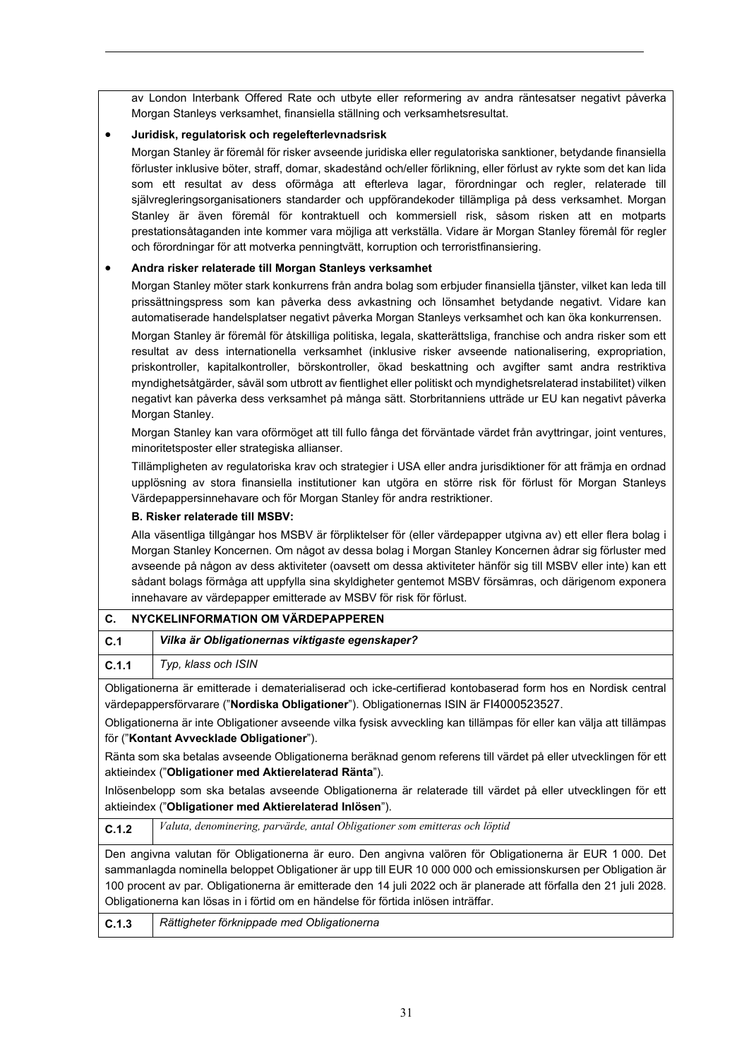av London Interbank Offered Rate och utbyte eller reformering av andra räntesatser negativt påverka Morgan Stanleys verksamhet, finansiella ställning och verksamhetsresultat.

# • **Juridisk, regulatorisk och regelefterlevnadsrisk**

Morgan Stanley är föremål för risker avseende juridiska eller regulatoriska sanktioner, betydande finansiella förluster inklusive böter, straff, domar, skadestånd och/eller förlikning, eller förlust av rykte som det kan lida som ett resultat av dess oförmåga att efterleva lagar, förordningar och regler, relaterade till självregleringsorganisationers standarder och uppförandekoder tillämpliga på dess verksamhet. Morgan Stanley är även föremål för kontraktuell och kommersiell risk, såsom risken att en motparts prestationsåtaganden inte kommer vara möjliga att verkställa. Vidare är Morgan Stanley föremål för regler och förordningar för att motverka penningtvätt, korruption och terroristfinansiering.

## • **Andra risker relaterade till Morgan Stanleys verksamhet**

Morgan Stanley möter stark konkurrens från andra bolag som erbjuder finansiella tjänster, vilket kan leda till prissättningspress som kan påverka dess avkastning och lönsamhet betydande negativt. Vidare kan automatiserade handelsplatser negativt påverka Morgan Stanleys verksamhet och kan öka konkurrensen.

Morgan Stanley är föremål för åtskilliga politiska, legala, skatterättsliga, franchise och andra risker som ett resultat av dess internationella verksamhet (inklusive risker avseende nationalisering, expropriation, priskontroller, kapitalkontroller, börskontroller, ökad beskattning och avgifter samt andra restriktiva myndighetsåtgärder, såväl som utbrott av fientlighet eller politiskt och myndighetsrelaterad instabilitet) vilken negativt kan påverka dess verksamhet på många sätt. Storbritanniens utträde ur EU kan negativt påverka Morgan Stanley.

Morgan Stanley kan vara oförmöget att till fullo fånga det förväntade värdet från avyttringar, joint ventures, minoritetsposter eller strategiska allianser.

Tillämpligheten av regulatoriska krav och strategier i USA eller andra jurisdiktioner för att främja en ordnad upplösning av stora finansiella institutioner kan utgöra en större risk för förlust för Morgan Stanleys Värdepappersinnehavare och för Morgan Stanley för andra restriktioner.

# **B. Risker relaterade till MSBV:**

Alla väsentliga tillgångar hos MSBV är förpliktelser för (eller värdepapper utgivna av) ett eller flera bolag i Morgan Stanley Koncernen. Om något av dessa bolag i Morgan Stanley Koncernen ådrar sig förluster med avseende på någon av dess aktiviteter (oavsett om dessa aktiviteter hänför sig till MSBV eller inte) kan ett sådant bolags förmåga att uppfylla sina skyldigheter gentemot MSBV försämras, och därigenom exponera innehavare av värdepapper emitterade av MSBV för risk för förlust.

| NYCKELINFORMATION OM VÄRDEPAPPEREN<br>C.                                                                                                                                                                                                                                                                                                                                                                                            |                                                                                                                                                                          |  |  |
|-------------------------------------------------------------------------------------------------------------------------------------------------------------------------------------------------------------------------------------------------------------------------------------------------------------------------------------------------------------------------------------------------------------------------------------|--------------------------------------------------------------------------------------------------------------------------------------------------------------------------|--|--|
| C.1                                                                                                                                                                                                                                                                                                                                                                                                                                 | Vilka är Obligationernas viktigaste egenskaper?                                                                                                                          |  |  |
| C.1.1                                                                                                                                                                                                                                                                                                                                                                                                                               | Typ, klass och ISIN                                                                                                                                                      |  |  |
| Obligationerna är emitterade i dematerialiserad och icke-certifierad kontobaserad form hos en Nordisk central<br>värdepappersförvarare (" <b>Nordiska Obligationer</b> "). Obligationernas ISIN är FI4000523527.                                                                                                                                                                                                                    |                                                                                                                                                                          |  |  |
| Obligationerna är inte Obligationer avseende vilka fysisk avveckling kan tillämpas för eller kan välja att tillämpas<br>för ("Kontant Avvecklade Obligationer").                                                                                                                                                                                                                                                                    |                                                                                                                                                                          |  |  |
|                                                                                                                                                                                                                                                                                                                                                                                                                                     | Ränta som ska betalas avseende Obligationerna beräknad genom referens till värdet på eller utvecklingen för ett<br>aktieindex ("Obligationer med Aktierelaterad Ränta"). |  |  |
| Inlösenbelopp som ska betalas avseende Obligationerna är relaterade till värdet på eller utvecklingen för ett<br>aktieindex ("Obligationer med Aktierelaterad Inlösen").                                                                                                                                                                                                                                                            |                                                                                                                                                                          |  |  |
| C.1.2                                                                                                                                                                                                                                                                                                                                                                                                                               | Valuta, denominering, parvärde, antal Obligationer som emitteras och löptid                                                                                              |  |  |
| Den angivna valutan för Obligationerna är euro. Den angivna valören för Obligationerna är EUR 1 000. Det<br>sammanlagda nominella beloppet Obligationer är upp till EUR 10 000 000 och emissionskursen per Obligation är<br>100 procent av par. Obligationerna är emitterade den 14 juli 2022 och är planerade att förfalla den 21 juli 2028.<br>Obligationerna kan lösas in i förtid om en händelse för förtida inlösen inträffar. |                                                                                                                                                                          |  |  |
| C.1.3                                                                                                                                                                                                                                                                                                                                                                                                                               | Rättigheter förknippade med Obligationerna                                                                                                                               |  |  |
|                                                                                                                                                                                                                                                                                                                                                                                                                                     |                                                                                                                                                                          |  |  |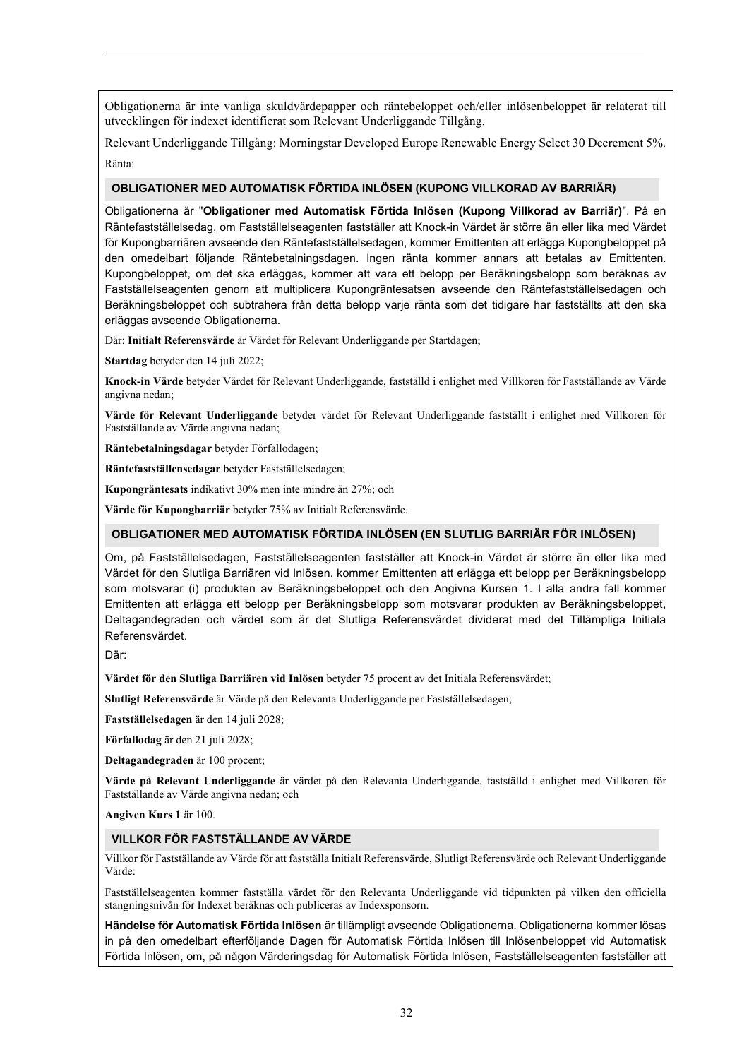Obligationerna är inte vanliga skuldvärdepapper och räntebeloppet och/eller inlösenbeloppet är relaterat till utvecklingen för indexet identifierat som Relevant Underliggande Tillgång.

Relevant Underliggande Tillgång: Morningstar Developed Europe Renewable Energy Select 30 Decrement 5%. Ränta:

#### **OBLIGATIONER MED AUTOMATISK FÖRTIDA INLÖSEN (KUPONG VILLKORAD AV BARRIÄR)**

Obligationerna är "**Obligationer med Automatisk Förtida Inlösen (Kupong Villkorad av Barriär)**". På en Räntefastställelsedag, om Fastställelseagenten fastställer att Knock-in Värdet är större än eller lika med Värdet för Kupongbarriären avseende den Räntefastställelsedagen, kommer Emittenten att erlägga Kupongbeloppet på den omedelbart följande Räntebetalningsdagen. Ingen ränta kommer annars att betalas av Emittenten. Kupongbeloppet, om det ska erläggas, kommer att vara ett belopp per Beräkningsbelopp som beräknas av Fastställelseagenten genom att multiplicera Kupongräntesatsen avseende den Räntefastställelsedagen och Beräkningsbeloppet och subtrahera från detta belopp varje ränta som det tidigare har fastställts att den ska erläggas avseende Obligationerna.

Där: **Initialt Referensvärde** är Värdet för Relevant Underliggande per Startdagen;

**Startdag** betyder den 14 juli 2022;

**Knock-in Värde** betyder Värdet för Relevant Underliggande, fastställd i enlighet med Villkoren för Fastställande av Värde angivna nedan;

**Värde för Relevant Underliggande** betyder värdet för Relevant Underliggande fastställt i enlighet med Villkoren för Fastställande av Värde angivna nedan;

**Räntebetalningsdagar** betyder Förfallodagen;

**Räntefastställensedagar** betyder Fastställelsedagen;

**Kupongräntesats** indikativt 30% men inte mindre än 27%; och

**Värde för Kupongbarriär** betyder 75% av Initialt Referensvärde.

#### **OBLIGATIONER MED AUTOMATISK FÖRTIDA INLÖSEN (EN SLUTLIG BARRIÄR FÖR INLÖSEN)**

Om, på Fastställelsedagen, Fastställelseagenten fastställer att Knock-in Värdet är större än eller lika med Värdet för den Slutliga Barriären vid Inlösen, kommer Emittenten att erlägga ett belopp per Beräkningsbelopp som motsvarar (i) produkten av Beräkningsbeloppet och den Angivna Kursen 1. I alla andra fall kommer Emittenten att erlägga ett belopp per Beräkningsbelopp som motsvarar produkten av Beräkningsbeloppet, Deltagandegraden och värdet som är det Slutliga Referensvärdet dividerat med det Tillämpliga Initiala Referensvärdet.

Där:

**Värdet för den Slutliga Barriären vid Inlösen** betyder 75 procent av det Initiala Referensvärdet;

**Slutligt Referensvärde** är Värde på den Relevanta Underliggande per Fastställelsedagen;

**Fastställelsedagen** är den 14 juli 2028;

**Förfallodag** är den 21 juli 2028;

**Deltagandegraden** är 100 procent;

**Värde på Relevant Underliggande** är värdet på den Relevanta Underliggande, fastställd i enlighet med Villkoren för Fastställande av Värde angivna nedan; och

**Angiven Kurs 1** är 100.

#### **VILLKOR FÖR FASTSTÄLLANDE AV VÄRDE**

Villkor för Fastställande av Värde för att fastställa Initialt Referensvärde, Slutligt Referensvärde och Relevant Underliggande Värde:

Fastställelseagenten kommer fastställa värdet för den Relevanta Underliggande vid tidpunkten på vilken den officiella stängningsnivån för Indexet beräknas och publiceras av Indexsponsorn.

**Händelse för Automatisk Förtida Inlösen** är tillämpligt avseende Obligationerna. Obligationerna kommer lösas in på den omedelbart efterföljande Dagen för Automatisk Förtida Inlösen till Inlösenbeloppet vid Automatisk Förtida Inlösen, om, på någon Värderingsdag för Automatisk Förtida Inlösen, Fastställelseagenten fastställer att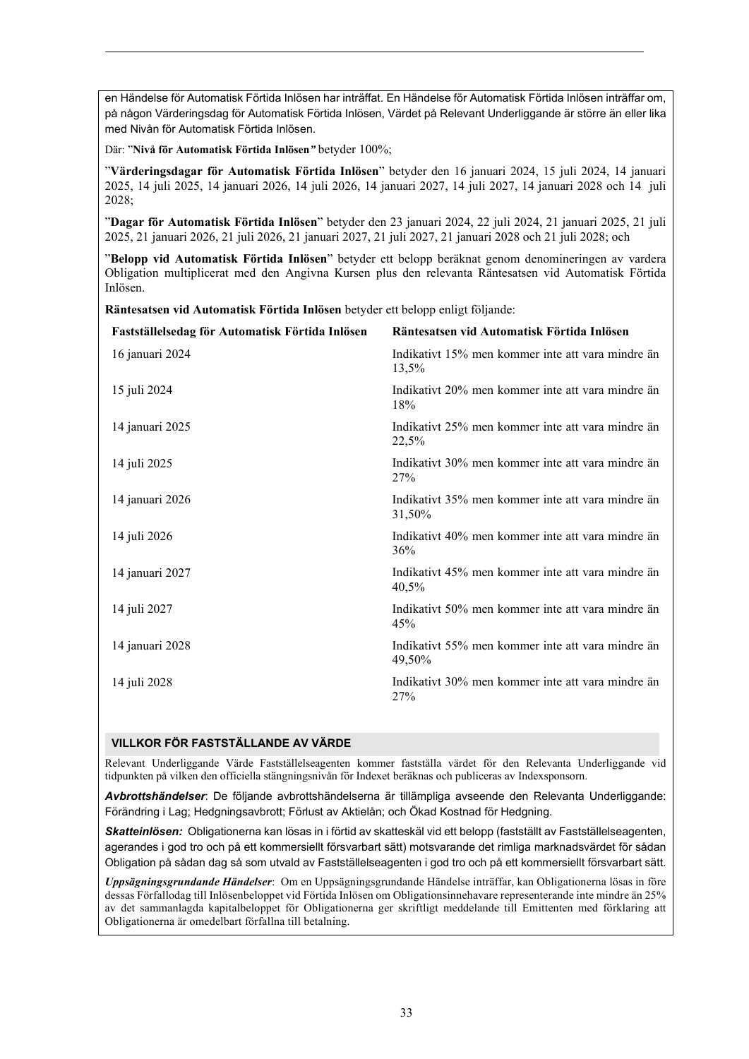en Händelse för Automatisk Förtida Inlösen har inträffat. En Händelse för Automatisk Förtida Inlösen inträffar om, på någon Värderingsdag för Automatisk Förtida Inlösen, Värdet på Relevant Underliggande är större än eller lika med Nivån för Automatisk Förtida Inlösen.

Där: "**Nivå för Automatisk Förtida Inlösen***"* betyder 100%;

"**Värderingsdagar för Automatisk Förtida Inlösen**" betyder den 16 januari 2024, 15 juli 2024, 14 januari 2025, 14 juli 2025, 14 januari 2026, 14 juli 2026, 14 januari 2027, 14 juli 2027, 14 januari 2028 och 14 juli 2028;

"**Dagar för Automatisk Förtida Inlösen**" betyder den 23 januari 2024, 22 juli 2024, 21 januari 2025, 21 juli 2025, 21 januari 2026, 21 juli 2026, 21 januari 2027, 21 juli 2027, 21 januari 2028 och 21 juli 2028; och

"**Belopp vid Automatisk Förtida Inlösen**" betyder ett belopp beräknat genom denomineringen av vardera Obligation multiplicerat med den Angivna Kursen plus den relevanta Räntesatsen vid Automatisk Förtida Inlösen.

**Räntesatsen vid Automatisk Förtida Inlösen** betyder ett belopp enligt följande:

| Fastställelsedag för Automatisk Förtida Inlösen | Räntesatsen vid Automatisk Förtida Inlösen                  |
|-------------------------------------------------|-------------------------------------------------------------|
| 16 januari 2024                                 | Indikativt 15% men kommer inte att vara mindre än<br>13,5%  |
| 15 juli 2024                                    | Indikativt 20% men kommer inte att vara mindre än<br>18%    |
| 14 januari 2025                                 | Indikativt 25% men kommer inte att vara mindre än<br>22,5%  |
| 14 juli 2025                                    | Indikativt 30% men kommer inte att vara mindre än<br>27%    |
| 14 januari 2026                                 | Indikativt 35% men kommer inte att vara mindre än<br>31,50% |
| 14 juli 2026                                    | Indikativt 40% men kommer inte att vara mindre än<br>36%    |
| 14 januari 2027                                 | Indikativt 45% men kommer inte att vara mindre än<br>40,5%  |
| 14 juli 2027                                    | Indikativt 50% men kommer inte att vara mindre än<br>45%    |
| 14 januari 2028                                 | Indikativt 55% men kommer inte att vara mindre än<br>49,50% |
| 14 juli 2028                                    | Indikativt 30% men kommer inte att vara mindre än<br>27%    |
|                                                 |                                                             |

## **VILLKOR FÖR FASTSTÄLLANDE AV VÄRDE**

Relevant Underliggande Värde Fastställelseagenten kommer fastställa värdet för den Relevanta Underliggande vid tidpunkten på vilken den officiella stängningsnivån för Indexet beräknas och publiceras av Indexsponsorn.

*Avbrottshändelser*: De följande avbrottshändelserna är tillämpliga avseende den Relevanta Underliggande: Förändring i Lag; Hedgningsavbrott; Förlust av Aktielån; och Ökad Kostnad för Hedgning.

*Skatteinlösen:* Obligationerna kan lösas in i förtid av skatteskäl vid ett belopp (fastställt av Fastställelseagenten, agerandes i god tro och på ett kommersiellt försvarbart sätt) motsvarande det rimliga marknadsvärdet för sådan Obligation på sådan dag så som utvald av Fastställelseagenten i god tro och på ett kommersiellt försvarbart sätt.

*Uppsägningsgrundande Händelser*: Om en Uppsägningsgrundande Händelse inträffar, kan Obligationerna lösas in före dessas Förfallodag till Inlösenbeloppet vid Förtida Inlösen om Obligationsinnehavare representerande inte mindre än 25% av det sammanlagda kapitalbeloppet för Obligationerna ger skriftligt meddelande till Emittenten med förklaring att Obligationerna är omedelbart förfallna till betalning.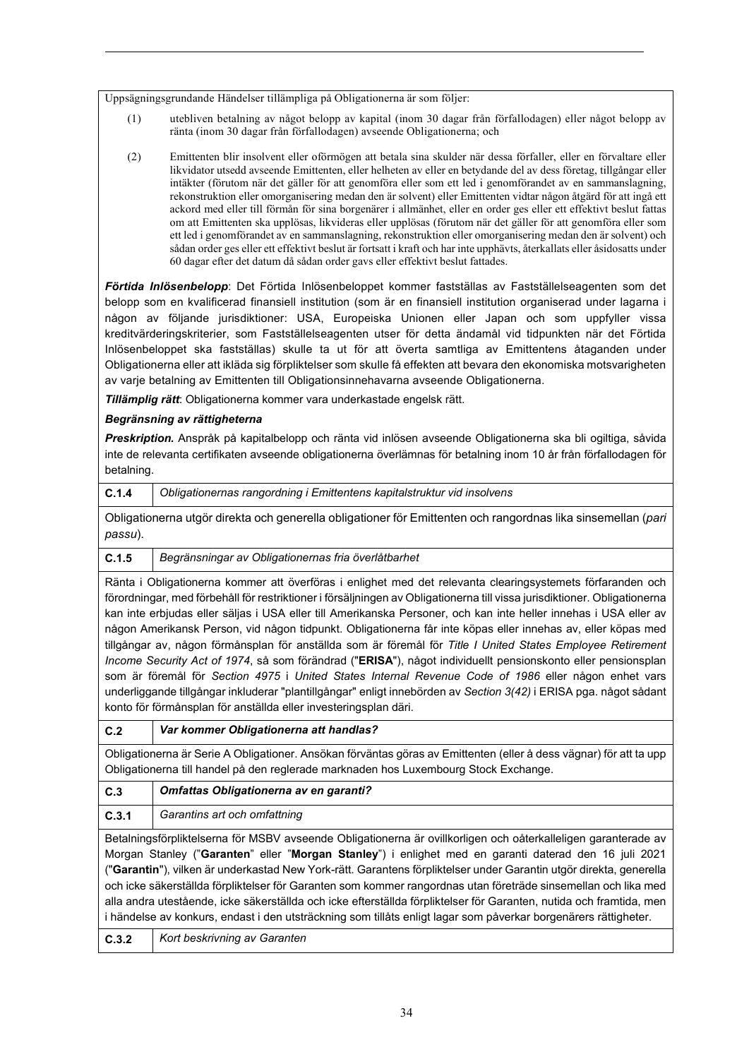Uppsägningsgrundande Händelser tillämpliga på Obligationerna är som följer:

- (1) utebliven betalning av något belopp av kapital (inom 30 dagar från förfallodagen) eller något belopp av ränta (inom 30 dagar från förfallodagen) avseende Obligationerna; och
- (2) Emittenten blir insolvent eller oförmögen att betala sina skulder när dessa förfaller, eller en förvaltare eller likvidator utsedd avseende Emittenten, eller helheten av eller en betydande del av dess företag, tillgångar eller intäkter (förutom när det gäller för att genomföra eller som ett led i genomförandet av en sammanslagning, rekonstruktion eller omorganisering medan den är solvent) eller Emittenten vidtar någon åtgärd för att ingå ett ackord med eller till förmån för sina borgenärer i allmänhet, eller en order ges eller ett effektivt beslut fattas om att Emittenten ska upplösas, likvideras eller upplösas (förutom när det gäller för att genomföra eller som ett led i genomförandet av en sammanslagning, rekonstruktion eller omorganisering medan den är solvent) och sådan order ges eller ett effektivt beslut är fortsatt i kraft och har inte upphävts, återkallats eller åsidosatts under 60 dagar efter det datum då sådan order gavs eller effektivt beslut fattades.

*Förtida Inlösenbelopp*: Det Förtida Inlösenbeloppet kommer fastställas av Fastställelseagenten som det belopp som en kvalificerad finansiell institution (som är en finansiell institution organiserad under lagarna i någon av följande jurisdiktioner: USA, Europeiska Unionen eller Japan och som uppfyller vissa kreditvärderingskriterier, som Fastställelseagenten utser för detta ändamål vid tidpunkten när det Förtida Inlösenbeloppet ska fastställas) skulle ta ut för att överta samtliga av Emittentens åtaganden under Obligationerna eller att ikläda sig förpliktelser som skulle få effekten att bevara den ekonomiska motsvarigheten av varje betalning av Emittenten till Obligationsinnehavarna avseende Obligationerna.

*Tillämplig rätt*: Obligationerna kommer vara underkastade engelsk rätt.

# *Begränsning av rättigheterna*

*Preskription.* Anspråk på kapitalbelopp och ränta vid inlösen avseende Obligationerna ska bli ogiltiga, såvida inte de relevanta certifikaten avseende obligationerna överlämnas för betalning inom 10 år från förfallodagen för betalning.

| C.1.4 | Obligationernas rangordning i Emittentens kapitalstruktur vid insolvens |
|-------|-------------------------------------------------------------------------|
|-------|-------------------------------------------------------------------------|

Obligationerna utgör direkta och generella obligationer för Emittenten och rangordnas lika sinsemellan (*pari passu*).

# **C.1.5** *Begränsningar av Obligationernas fria överlåtbarhet*

Ränta i Obligationerna kommer att överföras i enlighet med det relevanta clearingsystemets förfaranden och förordningar, med förbehåll för restriktioner i försäljningen av Obligationerna till vissa jurisdiktioner. Obligationerna kan inte erbjudas eller säljas i USA eller till Amerikanska Personer, och kan inte heller innehas i USA eller av någon Amerikansk Person, vid någon tidpunkt. Obligationerna får inte köpas eller innehas av, eller köpas med tillgångar av, någon förmånsplan för anställda som är föremål för *Title I United States Employee Retirement Income Security Act of 1974*, så som förändrad ("**ERISA**"), något individuellt pensionskonto eller pensionsplan som är föremål för *Section 4975* i *United States Internal Revenue Code of 1986* eller någon enhet vars underliggande tillgångar inkluderar "plantillgångar" enligt innebörden av *Section 3(42)* i ERISA pga. något sådant konto för förmånsplan för anställda eller investeringsplan däri.

| ۰. |  |
|----|--|
|    |  |

**C.2** *Var kommer Obligationerna att handlas?* 

Obligationerna är Serie A Obligationer. Ansökan förväntas göras av Emittenten (eller å dess vägnar) för att ta upp Obligationerna till handel på den reglerade marknaden hos Luxembourg Stock Exchange.

| C.3                                                                                                            | Omfattas Obligationerna av en garanti?                                                                             |  |  |
|----------------------------------------------------------------------------------------------------------------|--------------------------------------------------------------------------------------------------------------------|--|--|
| C.3.1                                                                                                          | Garantins art och omfattning                                                                                       |  |  |
| Betalningsförpliktelserna för MSBV avseende Obligationerna är ovillkorligen och oåterkalleligen garanterade av |                                                                                                                    |  |  |
| Morgan Stanley ("Garanten" eller "Morgan Stanley") i enlighet med en garanti daterad den 16 juli 2021          |                                                                                                                    |  |  |
|                                                                                                                | ("Garantin"), vilken är underkastad New York-rätt, Garantens förnliktelser under Garantin utgör direkta, generella |  |  |

("**Garantin**"), vilken är underkastad New York-rätt. Garantens förpliktelser under Garantin utgör direkta, generella och icke säkerställda förpliktelser för Garanten som kommer rangordnas utan företräde sinsemellan och lika med alla andra utestående, icke säkerställda och icke efterställda förpliktelser för Garanten, nutida och framtida, men i händelse av konkurs, endast i den utsträckning som tillåts enligt lagar som påverkar borgenärers rättigheter.

**C.3.2** *Kort beskrivning av Garanten*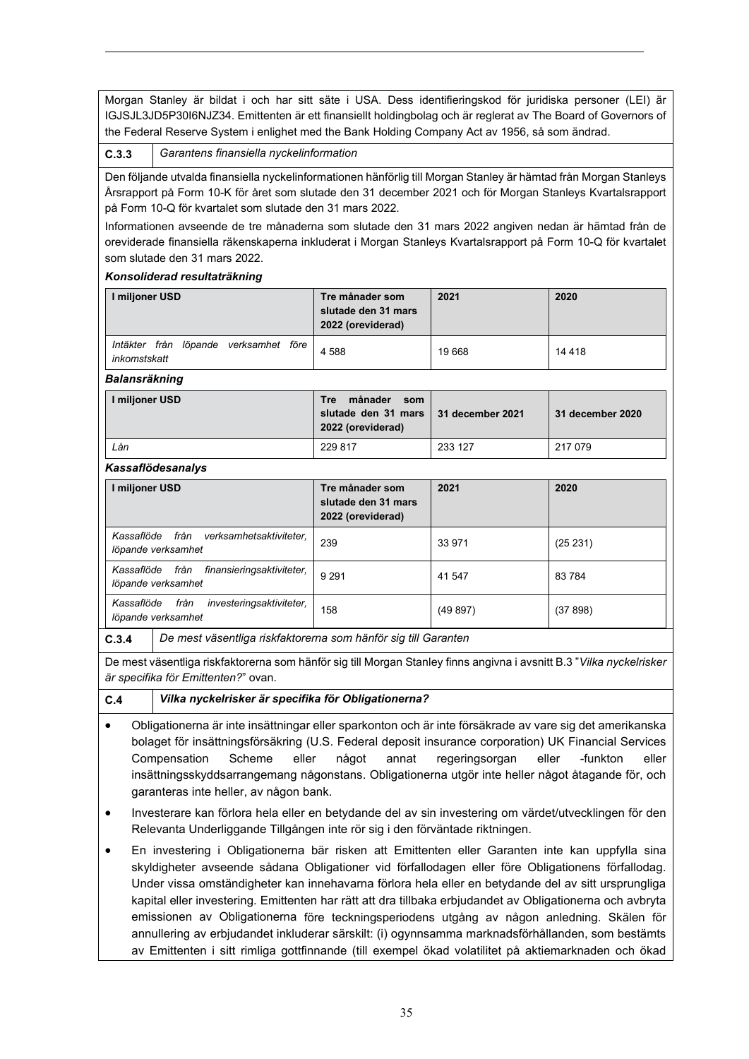Morgan Stanley är bildat i och har sitt säte i USA. Dess identifieringskod för juridiska personer (LEI) är IGJSJL3JD5P30I6NJZ34. Emittenten är ett finansiellt holdingbolag och är reglerat av The Board of Governors of the Federal Reserve System i enlighet med the Bank Holding Company Act av 1956, så som ändrad.

### **C.3.3** *Garantens finansiella nyckelinformation*

Den följande utvalda finansiella nyckelinformationen hänförlig till Morgan Stanley är hämtad från Morgan Stanleys Årsrapport på Form 10-K för året som slutade den 31 december 2021 och för Morgan Stanleys Kvartalsrapport på Form 10-Q för kvartalet som slutade den 31 mars 2022.

Informationen avseende de tre månaderna som slutade den 31 mars 2022 angiven nedan är hämtad från de oreviderade finansiella räkenskaperna inkluderat i Morgan Stanleys Kvartalsrapport på Form 10-Q för kvartalet som slutade den 31 mars 2022.

#### *Konsoliderad resultaträkning*

| l miljoner USD                                                 | Tre månader som<br>slutade den 31 mars<br>2022 (oreviderad) | 2021   | 2020    |
|----------------------------------------------------------------|-------------------------------------------------------------|--------|---------|
| från<br>löpande<br>verksamhet före<br>Intäkter<br>inkomstskatt | 4 5 8 8                                                     | 19 668 | 14 4 18 |

*Balansräkning* 

| I miljoner USD | månader<br>Tre<br>som<br>slutade den 31 mars   31 december 2021<br>2022 (oreviderad) |         | 31 december 2020 |
|----------------|--------------------------------------------------------------------------------------|---------|------------------|
| Lån            | 229 817                                                                              | 233 127 | 217 079          |

## *Kassaflödesanalys*

| I miljoner USD                                                        | Tre månader som<br>slutade den 31 mars<br>2022 (oreviderad) | 2021    | 2020     |
|-----------------------------------------------------------------------|-------------------------------------------------------------|---------|----------|
| från<br>verksamhetsaktiviteter,<br>Kassaflöde<br>löpande verksamhet   | 239                                                         | 33 971  | (25 231) |
| från<br>finansieringsaktiviteter,<br>Kassaflöde<br>löpande verksamhet | 9 2 9 1                                                     | 41 547  | 83 784   |
| från<br>investeringsaktiviteter,<br>Kassaflöde<br>löpande verksamhet  | 158                                                         | (49897) | (37 898) |

**C.3.4** *De mest väsentliga riskfaktorerna som hänför sig till Garanten*

De mest väsentliga riskfaktorerna som hänför sig till Morgan Stanley finns angivna i avsnitt B.3 "*Vilka nyckelrisker är specifika för Emittenten?*" ovan.

- **C.4** *Vilka nyckelrisker är specifika för Obligationerna?*
- Obligationerna är inte insättningar eller sparkonton och är inte försäkrade av vare sig det amerikanska bolaget för insättningsförsäkring (U.S. Federal deposit insurance corporation) UK Financial Services Compensation Scheme eller något annat regeringsorgan eller -funkton eller insättningsskyddsarrangemang någonstans. Obligationerna utgör inte heller något åtagande för, och garanteras inte heller, av någon bank.
- Investerare kan förlora hela eller en betydande del av sin investering om värdet/utvecklingen för den Relevanta Underliggande Tillgången inte rör sig i den förväntade riktningen.
- En investering i Obligationerna bär risken att Emittenten eller Garanten inte kan uppfylla sina skyldigheter avseende sådana Obligationer vid förfallodagen eller före Obligationens förfallodag. Under vissa omständigheter kan innehavarna förlora hela eller en betydande del av sitt ursprungliga kapital eller investering. Emittenten har rätt att dra tillbaka erbjudandet av Obligationerna och avbryta emissionen av Obligationerna före teckningsperiodens utgång av någon anledning. Skälen för annullering av erbjudandet inkluderar särskilt: (i) ogynnsamma marknadsförhållanden, som bestämts av Emittenten i sitt rimliga gottfinnande (till exempel ökad volatilitet på aktiemarknaden och ökad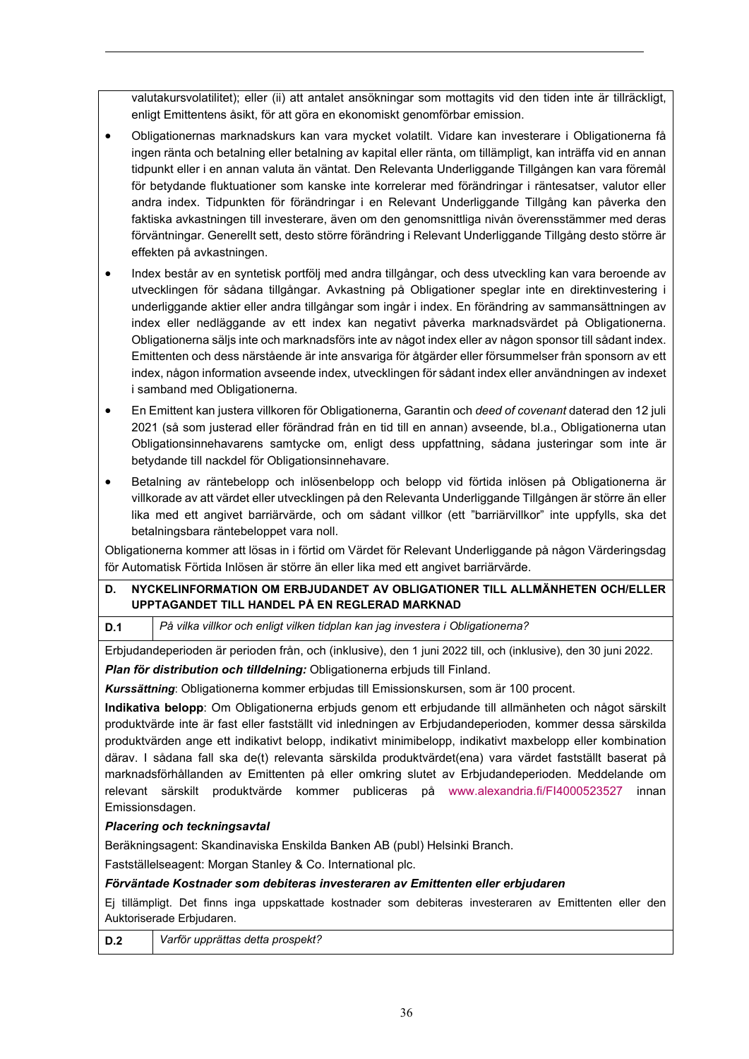valutakursvolatilitet); eller (ii) att antalet ansökningar som mottagits vid den tiden inte är tillräckligt, enligt Emittentens åsikt, för att göra en ekonomiskt genomförbar emission.

- Obligationernas marknadskurs kan vara mycket volatilt. Vidare kan investerare i Obligationerna få ingen ränta och betalning eller betalning av kapital eller ränta, om tillämpligt, kan inträffa vid en annan tidpunkt eller i en annan valuta än väntat. Den Relevanta Underliggande Tillgången kan vara föremål för betydande fluktuationer som kanske inte korrelerar med förändringar i räntesatser, valutor eller andra index. Tidpunkten för förändringar i en Relevant Underliggande Tillgång kan påverka den faktiska avkastningen till investerare, även om den genomsnittliga nivån överensstämmer med deras förväntningar. Generellt sett, desto större förändring i Relevant Underliggande Tillgång desto större är effekten på avkastningen.
- Index består av en syntetisk portfölj med andra tillgångar, och dess utveckling kan vara beroende av utvecklingen för sådana tillgångar. Avkastning på Obligationer speglar inte en direktinvestering i underliggande aktier eller andra tillgångar som ingår i index. En förändring av sammansättningen av index eller nedläggande av ett index kan negativt påverka marknadsvärdet på Obligationerna. Obligationerna säljs inte och marknadsförs inte av något index eller av någon sponsor till sådant index. Emittenten och dess närstående är inte ansvariga för åtgärder eller försummelser från sponsorn av ett index, någon information avseende index, utvecklingen för sådant index eller användningen av indexet i samband med Obligationerna.
- En Emittent kan justera villkoren för Obligationerna, Garantin och *deed of covenant* daterad den 12 juli 2021 (så som justerad eller förändrad från en tid till en annan) avseende, bl.a., Obligationerna utan Obligationsinnehavarens samtycke om, enligt dess uppfattning, sådana justeringar som inte är betydande till nackdel för Obligationsinnehavare.
- Betalning av räntebelopp och inlösenbelopp och belopp vid förtida inlösen på Obligationerna är villkorade av att värdet eller utvecklingen på den Relevanta Underliggande Tillgången är större än eller lika med ett angivet barriärvärde, och om sådant villkor (ett "barriärvillkor" inte uppfylls, ska det betalningsbara räntebeloppet vara noll.

Obligationerna kommer att lösas in i förtid om Värdet för Relevant Underliggande på någon Värderingsdag för Automatisk Förtida Inlösen är större än eller lika med ett angivet barriärvärde.

# **D. NYCKELINFORMATION OM ERBJUDANDET AV OBLIGATIONER TILL ALLMÄNHETEN OCH/ELLER UPPTAGANDET TILL HANDEL PÅ EN REGLERAD MARKNAD**

**D.1** *På vilka villkor och enligt vilken tidplan kan jag investera i Obligationerna?* 

Erbjudandeperioden är perioden från, och (inklusive), den 1 juni 2022 till, och (inklusive), den 30 juni 2022.

*Plan för distribution och tilldelning:* Obligationerna erbjuds till Finland.

*Kurssättning*: Obligationerna kommer erbjudas till Emissionskursen, som är 100 procent.

**Indikativa belopp**: Om Obligationerna erbjuds genom ett erbjudande till allmänheten och något särskilt produktvärde inte är fast eller fastställt vid inledningen av Erbjudandeperioden, kommer dessa särskilda produktvärden ange ett indikativt belopp, indikativt minimibelopp, indikativt maxbelopp eller kombination därav. I sådana fall ska de(t) relevanta särskilda produktvärdet(ena) vara värdet fastställt baserat på marknadsförhållanden av Emittenten på eller omkring slutet av Erbjudandeperioden. Meddelande om relevant särskilt produktvärde kommer publiceras på [www.alexandria.fi/FI4000523527](http://www.alexandria.fi/FI4000523527) innan Emissionsdagen.

# *Placering och teckningsavtal*

Beräkningsagent: Skandinaviska Enskilda Banken AB (publ) Helsinki Branch.

Fastställelseagent: Morgan Stanley & Co. International plc.

# *Förväntade Kostnader som debiteras investeraren av Emittenten eller erbjudaren*

Ej tillämpligt. Det finns inga uppskattade kostnader som debiteras investeraren av Emittenten eller den Auktoriserade Erbjudaren.

**D.2** *Varför upprättas detta prospekt?*